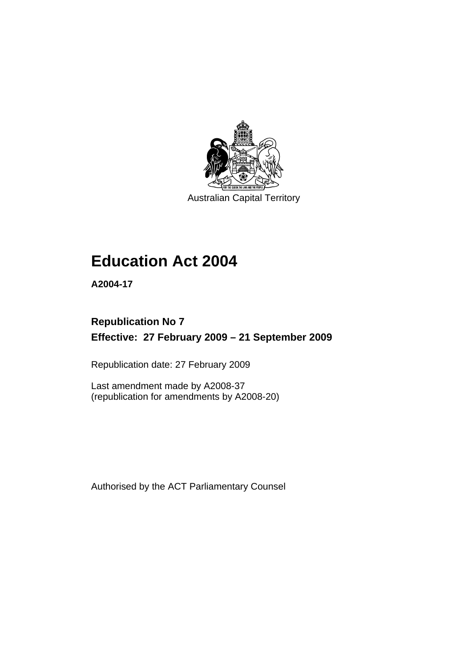

Australian Capital Territory

# **[Education Act 2004](#page-10-0)**

**A2004-17** 

# **Republication No 7 Effective: 27 February 2009 – 21 September 2009**

Republication date: 27 February 2009

Last amendment made by A2008-37 (republication for amendments by A2008-20)

Authorised by the ACT Parliamentary Counsel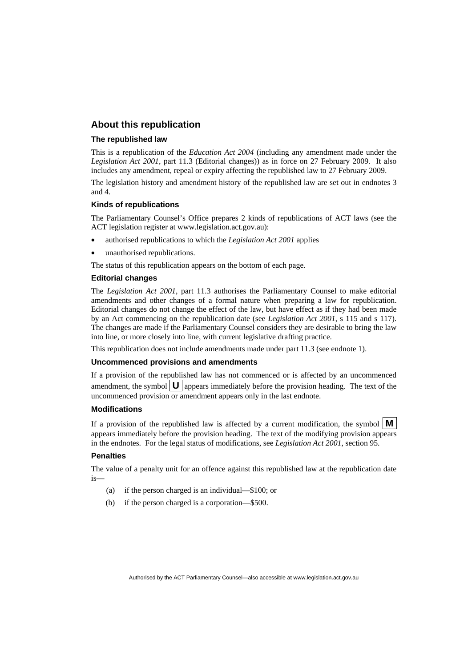### **About this republication**

#### **The republished law**

This is a republication of the *Education Act 2004* (including any amendment made under the *Legislation Act 2001*, part 11.3 (Editorial changes)) as in force on 27 February 2009*.* It also includes any amendment, repeal or expiry affecting the republished law to 27 February 2009.

The legislation history and amendment history of the republished law are set out in endnotes 3 and 4.

#### **Kinds of republications**

The Parliamentary Counsel's Office prepares 2 kinds of republications of ACT laws (see the ACT legislation register at www.legislation.act.gov.au):

- authorised republications to which the *Legislation Act 2001* applies
- unauthorised republications.

The status of this republication appears on the bottom of each page.

#### **Editorial changes**

The *Legislation Act 2001*, part 11.3 authorises the Parliamentary Counsel to make editorial amendments and other changes of a formal nature when preparing a law for republication. Editorial changes do not change the effect of the law, but have effect as if they had been made by an Act commencing on the republication date (see *Legislation Act 2001*, s 115 and s 117). The changes are made if the Parliamentary Counsel considers they are desirable to bring the law into line, or more closely into line, with current legislative drafting practice.

This republication does not include amendments made under part 11.3 (see endnote 1).

#### **Uncommenced provisions and amendments**

If a provision of the republished law has not commenced or is affected by an uncommenced amendment, the symbol  $\mathbf{U}$  appears immediately before the provision heading. The text of the uncommenced provision or amendment appears only in the last endnote.

#### **Modifications**

If a provision of the republished law is affected by a current modification, the symbol  $\mathbf{M}$ appears immediately before the provision heading. The text of the modifying provision appears in the endnotes. For the legal status of modifications, see *Legislation Act 2001*, section 95.

#### **Penalties**

The value of a penalty unit for an offence against this republished law at the republication date is—

- (a) if the person charged is an individual—\$100; or
- (b) if the person charged is a corporation—\$500.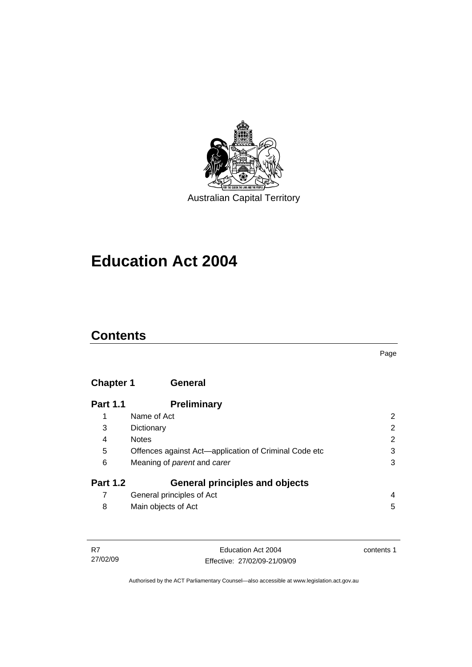

**[Education Act 2004](#page-10-0)** 

# **Contents**

## **Chapter 1 General**

| <b>Part 1.1</b> | <b>Preliminary</b>                                    |   |
|-----------------|-------------------------------------------------------|---|
| 1               | Name of Act                                           | 2 |
| 3               | Dictionary                                            | 2 |
| 4               | <b>Notes</b>                                          | 2 |
| 5               | Offences against Act-application of Criminal Code etc | 3 |
| 6               | Meaning of <i>parent</i> and <i>carer</i>             | 3 |
| <b>Part 1.2</b> | <b>General principles and objects</b>                 |   |
| 7               | General principles of Act                             | 4 |
| 8               | Main objects of Act                                   | 5 |

| - R7     | Education Act 2004           | contents 1 |
|----------|------------------------------|------------|
| 27/02/09 | Effective: 27/02/09-21/09/09 |            |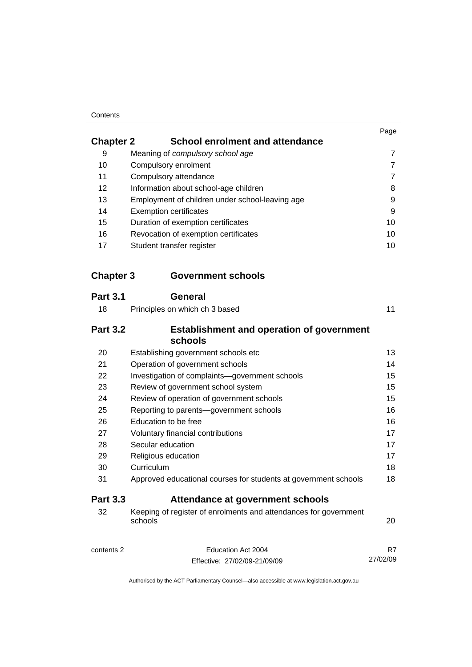#### **Contents**

| <b>Chapter 2</b><br><b>School enrolment and attendance</b><br>9<br>Meaning of compulsory school age<br>10<br>Compulsory enrolment<br>11<br>Compulsory attendance<br>12<br>Information about school-age children<br>13<br>Employment of children under school-leaving age<br>14<br><b>Exemption certificates</b><br>15<br>Duration of exemption certificates<br>16<br>Revocation of exemption certificates<br>17<br>Student transfer register<br><b>Government schools</b><br><b>General</b><br>18<br>Principles on which ch 3 based<br><b>Establishment and operation of government</b><br>schools<br>20<br>Establishing government schools etc<br>21<br>Operation of government schools<br>22<br>Investigation of complaints-government schools<br>23<br>Review of government school system<br>24<br>Review of operation of government schools<br>25<br>Reporting to parents-government schools<br>26<br>Education to be free<br>27<br>Voluntary financial contributions<br>Secular education<br>28<br>29<br>Religious education<br>Curriculum<br>30<br>31<br>Approved educational courses for students at government schools<br><b>Attendance at government schools</b><br>32<br>Keeping of register of enrolments and attendances for government<br>schools | Page           |
|----------------------------------------------------------------------------------------------------------------------------------------------------------------------------------------------------------------------------------------------------------------------------------------------------------------------------------------------------------------------------------------------------------------------------------------------------------------------------------------------------------------------------------------------------------------------------------------------------------------------------------------------------------------------------------------------------------------------------------------------------------------------------------------------------------------------------------------------------------------------------------------------------------------------------------------------------------------------------------------------------------------------------------------------------------------------------------------------------------------------------------------------------------------------------------------------------------------------------------------------------------------|----------------|
|                                                                                                                                                                                                                                                                                                                                                                                                                                                                                                                                                                                                                                                                                                                                                                                                                                                                                                                                                                                                                                                                                                                                                                                                                                                                |                |
|                                                                                                                                                                                                                                                                                                                                                                                                                                                                                                                                                                                                                                                                                                                                                                                                                                                                                                                                                                                                                                                                                                                                                                                                                                                                | $\overline{7}$ |
|                                                                                                                                                                                                                                                                                                                                                                                                                                                                                                                                                                                                                                                                                                                                                                                                                                                                                                                                                                                                                                                                                                                                                                                                                                                                | 7              |
|                                                                                                                                                                                                                                                                                                                                                                                                                                                                                                                                                                                                                                                                                                                                                                                                                                                                                                                                                                                                                                                                                                                                                                                                                                                                | $\overline{7}$ |
| <b>Chapter 3</b>                                                                                                                                                                                                                                                                                                                                                                                                                                                                                                                                                                                                                                                                                                                                                                                                                                                                                                                                                                                                                                                                                                                                                                                                                                               | 8              |
|                                                                                                                                                                                                                                                                                                                                                                                                                                                                                                                                                                                                                                                                                                                                                                                                                                                                                                                                                                                                                                                                                                                                                                                                                                                                | 9              |
|                                                                                                                                                                                                                                                                                                                                                                                                                                                                                                                                                                                                                                                                                                                                                                                                                                                                                                                                                                                                                                                                                                                                                                                                                                                                | 9              |
|                                                                                                                                                                                                                                                                                                                                                                                                                                                                                                                                                                                                                                                                                                                                                                                                                                                                                                                                                                                                                                                                                                                                                                                                                                                                | 10             |
|                                                                                                                                                                                                                                                                                                                                                                                                                                                                                                                                                                                                                                                                                                                                                                                                                                                                                                                                                                                                                                                                                                                                                                                                                                                                | 10             |
|                                                                                                                                                                                                                                                                                                                                                                                                                                                                                                                                                                                                                                                                                                                                                                                                                                                                                                                                                                                                                                                                                                                                                                                                                                                                | 10             |
| <b>Part 3.1</b><br><b>Part 3.2</b><br><b>Part 3.3</b>                                                                                                                                                                                                                                                                                                                                                                                                                                                                                                                                                                                                                                                                                                                                                                                                                                                                                                                                                                                                                                                                                                                                                                                                          |                |
|                                                                                                                                                                                                                                                                                                                                                                                                                                                                                                                                                                                                                                                                                                                                                                                                                                                                                                                                                                                                                                                                                                                                                                                                                                                                |                |
|                                                                                                                                                                                                                                                                                                                                                                                                                                                                                                                                                                                                                                                                                                                                                                                                                                                                                                                                                                                                                                                                                                                                                                                                                                                                | 11             |
|                                                                                                                                                                                                                                                                                                                                                                                                                                                                                                                                                                                                                                                                                                                                                                                                                                                                                                                                                                                                                                                                                                                                                                                                                                                                |                |
|                                                                                                                                                                                                                                                                                                                                                                                                                                                                                                                                                                                                                                                                                                                                                                                                                                                                                                                                                                                                                                                                                                                                                                                                                                                                | 13             |
|                                                                                                                                                                                                                                                                                                                                                                                                                                                                                                                                                                                                                                                                                                                                                                                                                                                                                                                                                                                                                                                                                                                                                                                                                                                                | 14             |
|                                                                                                                                                                                                                                                                                                                                                                                                                                                                                                                                                                                                                                                                                                                                                                                                                                                                                                                                                                                                                                                                                                                                                                                                                                                                | 15             |
|                                                                                                                                                                                                                                                                                                                                                                                                                                                                                                                                                                                                                                                                                                                                                                                                                                                                                                                                                                                                                                                                                                                                                                                                                                                                | 15             |
|                                                                                                                                                                                                                                                                                                                                                                                                                                                                                                                                                                                                                                                                                                                                                                                                                                                                                                                                                                                                                                                                                                                                                                                                                                                                | 15             |
|                                                                                                                                                                                                                                                                                                                                                                                                                                                                                                                                                                                                                                                                                                                                                                                                                                                                                                                                                                                                                                                                                                                                                                                                                                                                | 16             |
|                                                                                                                                                                                                                                                                                                                                                                                                                                                                                                                                                                                                                                                                                                                                                                                                                                                                                                                                                                                                                                                                                                                                                                                                                                                                | 16             |
|                                                                                                                                                                                                                                                                                                                                                                                                                                                                                                                                                                                                                                                                                                                                                                                                                                                                                                                                                                                                                                                                                                                                                                                                                                                                | 17             |
|                                                                                                                                                                                                                                                                                                                                                                                                                                                                                                                                                                                                                                                                                                                                                                                                                                                                                                                                                                                                                                                                                                                                                                                                                                                                | 17             |
|                                                                                                                                                                                                                                                                                                                                                                                                                                                                                                                                                                                                                                                                                                                                                                                                                                                                                                                                                                                                                                                                                                                                                                                                                                                                | 17             |
|                                                                                                                                                                                                                                                                                                                                                                                                                                                                                                                                                                                                                                                                                                                                                                                                                                                                                                                                                                                                                                                                                                                                                                                                                                                                | 18             |
|                                                                                                                                                                                                                                                                                                                                                                                                                                                                                                                                                                                                                                                                                                                                                                                                                                                                                                                                                                                                                                                                                                                                                                                                                                                                | 18             |
|                                                                                                                                                                                                                                                                                                                                                                                                                                                                                                                                                                                                                                                                                                                                                                                                                                                                                                                                                                                                                                                                                                                                                                                                                                                                |                |
|                                                                                                                                                                                                                                                                                                                                                                                                                                                                                                                                                                                                                                                                                                                                                                                                                                                                                                                                                                                                                                                                                                                                                                                                                                                                | 20             |
| Education Act 2004<br>contents 2                                                                                                                                                                                                                                                                                                                                                                                                                                                                                                                                                                                                                                                                                                                                                                                                                                                                                                                                                                                                                                                                                                                                                                                                                               | R7             |
| Effective: 27/02/09-21/09/09                                                                                                                                                                                                                                                                                                                                                                                                                                                                                                                                                                                                                                                                                                                                                                                                                                                                                                                                                                                                                                                                                                                                                                                                                                   | 27/02/09       |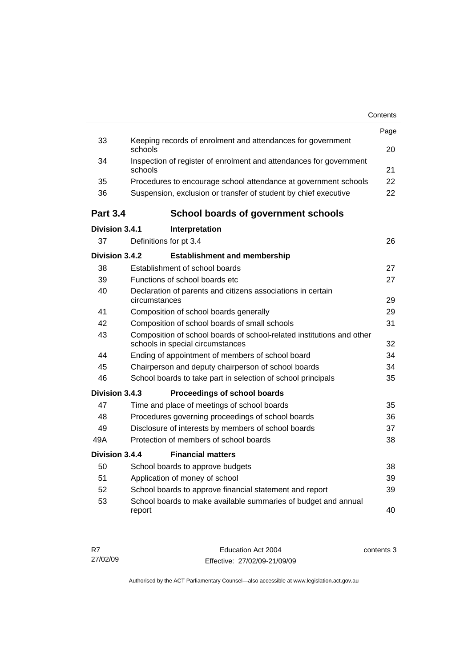|                 |                                                                                                           | Contents |
|-----------------|-----------------------------------------------------------------------------------------------------------|----------|
|                 |                                                                                                           | Page     |
| 33              | Keeping records of enrolment and attendances for government<br>schools                                    | 20       |
| 34              | Inspection of register of enrolment and attendances for government<br>schools                             | 21       |
| 35              | Procedures to encourage school attendance at government schools                                           | 22       |
| 36              | Suspension, exclusion or transfer of student by chief executive                                           | 22       |
| <b>Part 3.4</b> | <b>School boards of government schools</b>                                                                |          |
| Division 3.4.1  | Interpretation                                                                                            |          |
| 37              | Definitions for pt 3.4                                                                                    | 26       |
| Division 3.4.2  | <b>Establishment and membership</b>                                                                       |          |
| 38              | Establishment of school boards                                                                            | 27       |
| 39              | Functions of school boards etc.                                                                           | 27       |
| 40              | Declaration of parents and citizens associations in certain<br>circumstances                              | 29       |
| 41              | Composition of school boards generally                                                                    | 29       |
| 42              | Composition of school boards of small schools                                                             | 31       |
| 43              | Composition of school boards of school-related institutions and other<br>schools in special circumstances | 32       |
| 44              | Ending of appointment of members of school board                                                          | 34       |
| 45              | Chairperson and deputy chairperson of school boards                                                       | 34       |
| 46              | School boards to take part in selection of school principals                                              | 35       |
| Division 3.4.3  | Proceedings of school boards                                                                              |          |
| 47              | Time and place of meetings of school boards                                                               | 35       |
| 48              | Procedures governing proceedings of school boards                                                         | 36       |
| 49              | Disclosure of interests by members of school boards                                                       | 37       |
| 49A             | Protection of members of school boards                                                                    | 38       |
| Division 3.4.4  | <b>Financial matters</b>                                                                                  |          |
| 50              | School boards to approve budgets                                                                          | 38       |
| 51              | Application of money of school                                                                            | 39       |
| 52              | School boards to approve financial statement and report                                                   | 39       |
| 53              | School boards to make available summaries of budget and annual<br>report                                  | 40       |
|                 |                                                                                                           |          |

| R7       | Education Act 2004           | contents 3 |
|----------|------------------------------|------------|
| 27/02/09 | Effective: 27/02/09-21/09/09 |            |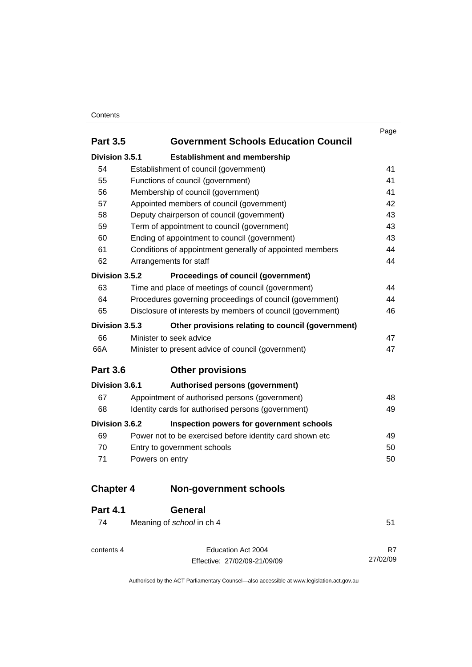#### **Contents**

|                  |                                                            | Page |
|------------------|------------------------------------------------------------|------|
| <b>Part 3.5</b>  | <b>Government Schools Education Council</b>                |      |
| Division 3.5.1   | <b>Establishment and membership</b>                        |      |
| 54               | Establishment of council (government)                      | 41   |
| 55               | Functions of council (government)                          | 41   |
| 56               | Membership of council (government)                         | 41   |
| 57               | Appointed members of council (government)                  | 42   |
| 58               | Deputy chairperson of council (government)                 | 43   |
| 59               | Term of appointment to council (government)                | 43   |
| 60               | Ending of appointment to council (government)              | 43   |
| 61               | Conditions of appointment generally of appointed members   | 44   |
| 62               | Arrangements for staff                                     | 44   |
| Division 3.5.2   | Proceedings of council (government)                        |      |
| 63               | Time and place of meetings of council (government)         | 44   |
| 64               | Procedures governing proceedings of council (government)   | 44   |
| 65               | Disclosure of interests by members of council (government) | 46   |
| Division 3.5.3   | Other provisions relating to council (government)          |      |
| 66               | Minister to seek advice                                    | 47   |
| 66A              | Minister to present advice of council (government)         | 47   |
| <b>Part 3.6</b>  | <b>Other provisions</b>                                    |      |
| Division 3.6.1   | Authorised persons (government)                            |      |
| 67               | Appointment of authorised persons (government)             | 48   |
| 68               | Identity cards for authorised persons (government)         | 49   |
| Division 3.6.2   | Inspection powers for government schools                   |      |
| 69               | Power not to be exercised before identity card shown etc   | 49   |
| 70               | Entry to government schools                                | 50   |
| 71               | Powers on entry                                            | 50   |
| <b>Chapter 4</b> | <b>Non-government schools</b>                              |      |
| Dag14            | ^^^~ <b>~~</b>                                             |      |

| <b>Part 4.1</b> | General                      |          |
|-----------------|------------------------------|----------|
| 74              | Meaning of school in ch 4    | 51       |
|                 |                              |          |
| contents 4      | Education Act 2004           | R7       |
|                 | Effective: 27/02/09-21/09/09 | 27/02/09 |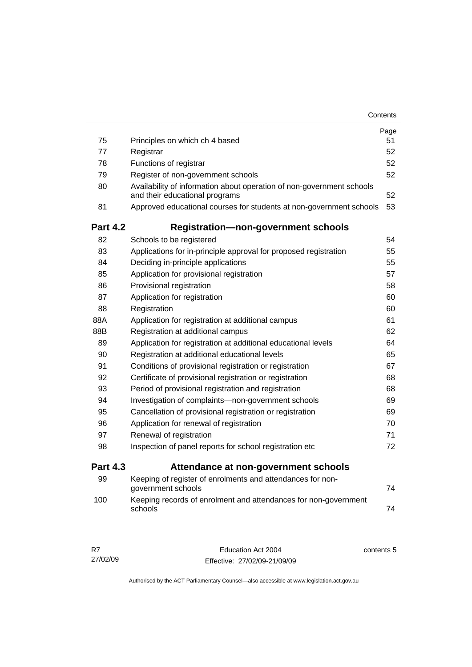|                 |                                                                                                         | Contents |
|-----------------|---------------------------------------------------------------------------------------------------------|----------|
|                 |                                                                                                         | Page     |
| 75              | Principles on which ch 4 based                                                                          | 51       |
| 77              | Registrar                                                                                               | 52       |
| 78              | Functions of registrar                                                                                  | 52       |
| 79              | Register of non-government schools                                                                      | 52       |
| 80              | Availability of information about operation of non-government schools<br>and their educational programs | 52       |
| 81              | Approved educational courses for students at non-government schools                                     | 53       |
| <b>Part 4.2</b> | <b>Registration-non-government schools</b>                                                              |          |
| 82              | Schools to be registered                                                                                | 54       |
| 83              | Applications for in-principle approval for proposed registration                                        | 55       |
| 84              | Deciding in-principle applications                                                                      | 55       |
| 85              | Application for provisional registration                                                                | 57       |
| 86              | Provisional registration                                                                                | 58       |
| 87              | Application for registration                                                                            | 60       |
| 88              | Registration                                                                                            | 60       |
| 88A             | Application for registration at additional campus                                                       | 61       |
| 88B             | Registration at additional campus                                                                       | 62       |
| 89              | Application for registration at additional educational levels                                           | 64       |
| 90              | Registration at additional educational levels                                                           | 65       |
| 91              | Conditions of provisional registration or registration                                                  | 67       |
| 92              | Certificate of provisional registration or registration                                                 | 68       |
| 93              | Period of provisional registration and registration                                                     | 68       |
| 94              | Investigation of complaints-non-government schools                                                      | 69       |
| 95              | Cancellation of provisional registration or registration                                                | 69       |
| 96              | Application for renewal of registration                                                                 | 70       |
| 97              | Renewal of registration                                                                                 | 71       |
| 98              | Inspection of panel reports for school registration etc                                                 | 72       |
| <b>Part 4.3</b> | Attendance at non-government schools                                                                    |          |
| 99              | Keeping of register of enrolments and attendances for non-<br>government schools                        | 74       |
| 100             | Keeping records of enrolment and attendances for non-government<br>schools                              | 74       |

| R7       | Education Act 2004           | contents 5 |
|----------|------------------------------|------------|
| 27/02/09 | Effective: 27/02/09-21/09/09 |            |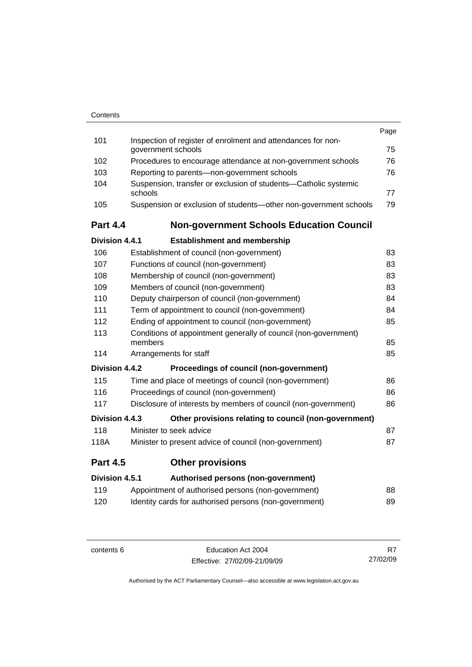| Contents |
|----------|
|          |

|                 |                                                                                    | Page |
|-----------------|------------------------------------------------------------------------------------|------|
| 101             | Inspection of register of enrolment and attendances for non-<br>government schools | 75   |
| 102             | Procedures to encourage attendance at non-government schools                       | 76   |
| 103             | Reporting to parents-non-government schools                                        | 76   |
| 104             | Suspension, transfer or exclusion of students-Catholic systemic                    |      |
|                 | schools                                                                            | 77   |
| 105             | Suspension or exclusion of students-other non-government schools                   | 79   |
| <b>Part 4.4</b> | <b>Non-government Schools Education Council</b>                                    |      |
| Division 4.4.1  | <b>Establishment and membership</b>                                                |      |
| 106             | Establishment of council (non-government)                                          | 83   |
| 107             | Functions of council (non-government)                                              | 83   |
| 108             | Membership of council (non-government)                                             | 83   |
| 109             | Members of council (non-government)                                                | 83   |
| 110             | Deputy chairperson of council (non-government)                                     | 84   |
| 111             | Term of appointment to council (non-government)                                    | 84   |
| 112             | Ending of appointment to council (non-government)                                  | 85   |
| 113             | Conditions of appointment generally of council (non-government)<br>members         | 85   |
| 114             | Arrangements for staff                                                             | 85   |
| Division 4.4.2  | Proceedings of council (non-government)                                            |      |
| 115             | Time and place of meetings of council (non-government)                             | 86   |
| 116             | Proceedings of council (non-government)                                            | 86   |
| 117             | Disclosure of interests by members of council (non-government)                     | 86   |
| Division 4.4.3  | Other provisions relating to council (non-government)                              |      |
| 118             | Minister to seek advice                                                            | 87   |
| 118A            | Minister to present advice of council (non-government)                             | 87   |
| <b>Part 4.5</b> | <b>Other provisions</b>                                                            |      |
| Division 4.5.1  | Authorised persons (non-government)                                                |      |
| 119             | Appointment of authorised persons (non-government)                                 | 88   |
| 120             | Identity cards for authorised persons (non-government)                             | 89   |
|                 |                                                                                    |      |

contents 6 Education Act 2004 Effective: 27/02/09-21/09/09

R7 27/02/09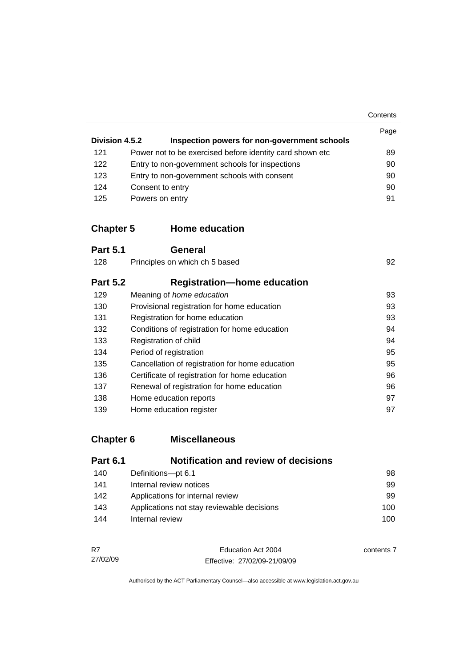**Contents** 

| Division 4.5.2 | Inspection powers for non-government schools              | Page |
|----------------|-----------------------------------------------------------|------|
| 121            | Power not to be exercised before identity card shown etc. | 89   |
| 122            | Entry to non-government schools for inspections           | 90   |
| 123            | Entry to non-government schools with consent              | 90   |
| 124            | Consent to entry                                          | 90   |
| 125            | Powers on entry                                           | 91   |

### **Chapter 5 Home education**

| <b>Part 5.1</b> | General                                         |    |
|-----------------|-------------------------------------------------|----|
| 128             | Principles on which ch 5 based                  | 92 |
| <b>Part 5.2</b> | <b>Registration-home education</b>              |    |
| 129             | Meaning of home education                       | 93 |
| 130             | Provisional registration for home education     | 93 |
| 131             | Registration for home education                 | 93 |
| 132             | Conditions of registration for home education   | 94 |
| 133             | Registration of child                           | 94 |
| 134             | Period of registration                          | 95 |
| 135             | Cancellation of registration for home education | 95 |
| 136             | Certificate of registration for home education  | 96 |
| 137             | Renewal of registration for home education      | 96 |
| 138             | Home education reports                          | 97 |
| 139             | Home education register                         | 97 |

# **Chapter 6 Miscellaneous**

| <b>Part 6.1</b> | <b>Notification and review of decisions</b> |     |
|-----------------|---------------------------------------------|-----|
| 140             | Definitions-pt 6.1                          | 98  |
| 141             | Internal review notices                     | 99  |
| 142             | Applications for internal review            | 99  |
| 143             | Applications not stay reviewable decisions  | 100 |
| 144             | Internal review                             | 100 |

| - R7     | Education Act 2004           | contents 7 |
|----------|------------------------------|------------|
| 27/02/09 | Effective: 27/02/09-21/09/09 |            |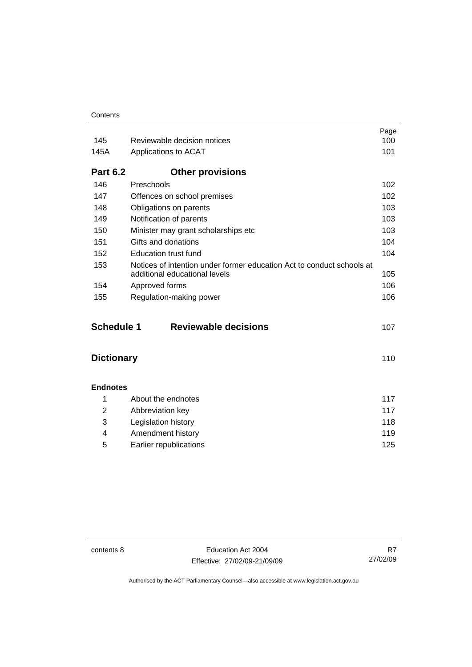| Contents |
|----------|
|----------|

|                   |                                                                                                        | Page |
|-------------------|--------------------------------------------------------------------------------------------------------|------|
| 145               | Reviewable decision notices                                                                            | 100  |
| 145A              | Applications to ACAT                                                                                   | 101  |
| <b>Part 6.2</b>   | <b>Other provisions</b>                                                                                |      |
| 146               | Preschools                                                                                             | 102  |
| 147               | Offences on school premises                                                                            | 102  |
| 148               | Obligations on parents                                                                                 | 103  |
| 149               | Notification of parents                                                                                | 103  |
| 150               | Minister may grant scholarships etc                                                                    | 103  |
| 151               | Gifts and donations                                                                                    | 104  |
| 152               | <b>Education trust fund</b>                                                                            | 104  |
| 153               | Notices of intention under former education Act to conduct schools at<br>additional educational levels | 105  |
| 154               | Approved forms                                                                                         | 106  |
| 155               | Regulation-making power                                                                                | 106  |
| <b>Schedule 1</b> | <b>Reviewable decisions</b>                                                                            | 107  |
| <b>Dictionary</b> |                                                                                                        | 110  |
| <b>Endnotes</b>   |                                                                                                        |      |
| 1                 | About the endnotes                                                                                     | 117  |
| $\overline{2}$    | Abbreviation key                                                                                       | 117  |
| 3                 | Legislation history                                                                                    | 118  |
| 4                 | Amendment history                                                                                      | 119  |
| 5                 | Earlier republications                                                                                 | 125  |

contents 8 Education Act 2004 Effective: 27/02/09-21/09/09

R7 27/02/09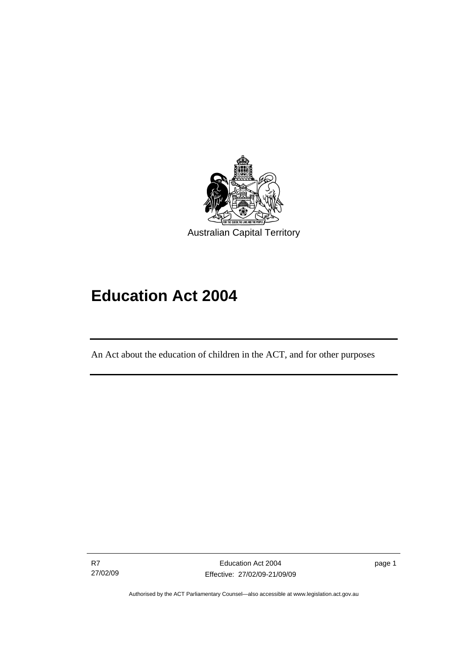<span id="page-10-0"></span>

# **Education Act 2004**

An Act about the education of children in the ACT, and for other purposes

R7 27/02/09

I

page 1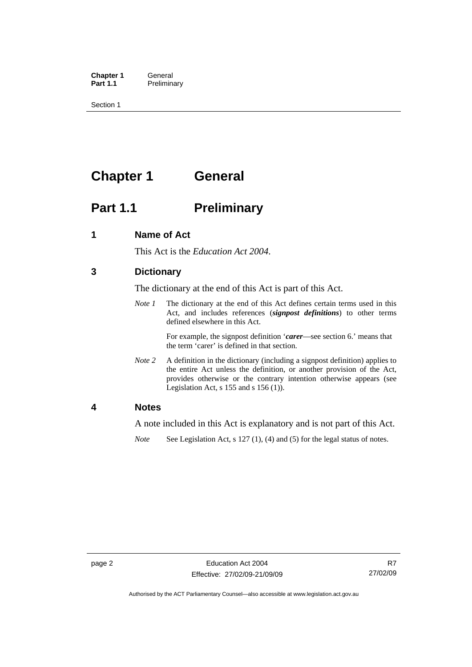<span id="page-11-0"></span>**Chapter 1 General**<br>**Part 1.1 Prelimina Preliminary** 

Section 1

# **Chapter 1 General**

# **Part 1.1** Preliminary

### **1 Name of Act**

This Act is the *Education Act 2004*.

### **3 Dictionary**

The dictionary at the end of this Act is part of this Act.

*Note 1* The dictionary at the end of this Act defines certain terms used in this Act, and includes references (*signpost definitions*) to other terms defined elsewhere in this Act.

> For example, the signpost definition '*carer*—see section 6.' means that the term 'carer' is defined in that section.

*Note 2* A definition in the dictionary (including a signpost definition) applies to the entire Act unless the definition, or another provision of the Act, provides otherwise or the contrary intention otherwise appears (see Legislation Act,  $s$  155 and  $s$  156 (1)).

### **4 Notes**

A note included in this Act is explanatory and is not part of this Act.

*Note* See Legislation Act, s 127 (1), (4) and (5) for the legal status of notes.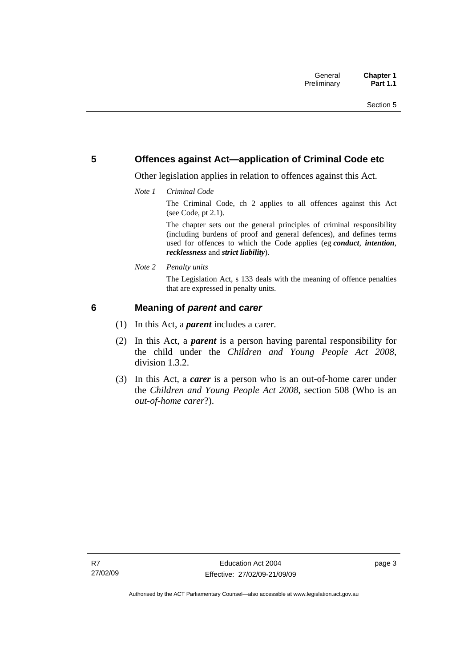### <span id="page-12-0"></span>**5 Offences against Act—application of Criminal Code etc**

Other legislation applies in relation to offences against this Act.

*Note 1 Criminal Code*

The Criminal Code, ch 2 applies to all offences against this Act (see Code, pt 2.1).

The chapter sets out the general principles of criminal responsibility (including burdens of proof and general defences), and defines terms used for offences to which the Code applies (eg *conduct*, *intention*, *recklessness* and *strict liability*).

*Note 2 Penalty units* 

The Legislation Act, s 133 deals with the meaning of offence penalties that are expressed in penalty units.

### **6 Meaning of** *parent* **and** *carer*

- (1) In this Act, a *parent* includes a carer.
- (2) In this Act, a *parent* is a person having parental responsibility for the child under the *Children and Young People Act 2008*, division 1.3.2.
- (3) In this Act, a *carer* is a person who is an out-of-home carer under the *Children and Young People Act 2008*, section 508 (Who is an *out-of-home carer*?).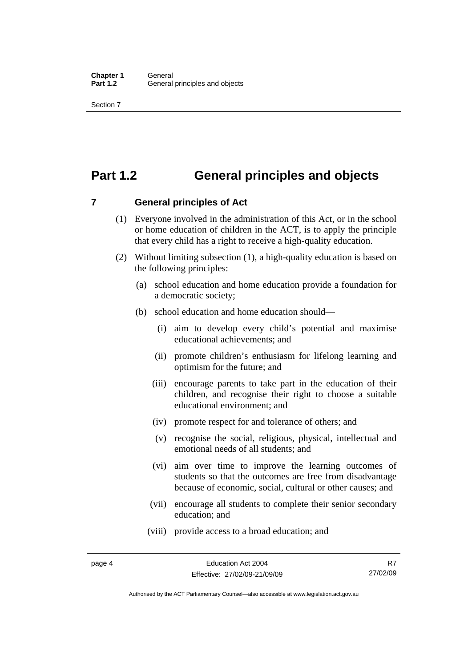## <span id="page-13-0"></span>**Part 1.2 General principles and objects**

**7 General principles of Act** 

- (1) Everyone involved in the administration of this Act, or in the school or home education of children in the ACT, is to apply the principle that every child has a right to receive a high-quality education.
- (2) Without limiting subsection (1), a high-quality education is based on the following principles:
	- (a) school education and home education provide a foundation for a democratic society;
	- (b) school education and home education should—
		- (i) aim to develop every child's potential and maximise educational achievements; and
		- (ii) promote children's enthusiasm for lifelong learning and optimism for the future; and
		- (iii) encourage parents to take part in the education of their children, and recognise their right to choose a suitable educational environment; and
		- (iv) promote respect for and tolerance of others; and
		- (v) recognise the social, religious, physical, intellectual and emotional needs of all students; and
		- (vi) aim over time to improve the learning outcomes of students so that the outcomes are free from disadvantage because of economic, social, cultural or other causes; and
		- (vii) encourage all students to complete their senior secondary education; and
		- (viii) provide access to a broad education; and

Authorised by the ACT Parliamentary Counsel—also accessible at www.legislation.act.gov.au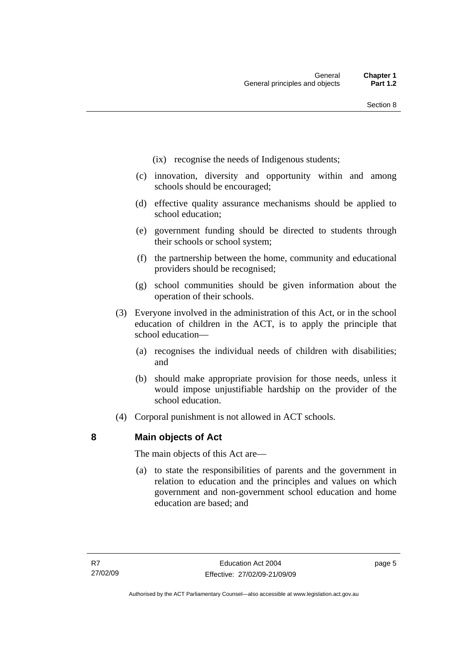- <span id="page-14-0"></span>(ix) recognise the needs of Indigenous students;
- (c) innovation, diversity and opportunity within and among schools should be encouraged;
- (d) effective quality assurance mechanisms should be applied to school education;
- (e) government funding should be directed to students through their schools or school system;
- (f) the partnership between the home, community and educational providers should be recognised;
- (g) school communities should be given information about the operation of their schools.
- (3) Everyone involved in the administration of this Act, or in the school education of children in the ACT, is to apply the principle that school education—
	- (a) recognises the individual needs of children with disabilities; and
	- (b) should make appropriate provision for those needs, unless it would impose unjustifiable hardship on the provider of the school education.
- (4) Corporal punishment is not allowed in ACT schools.

### **8 Main objects of Act**

The main objects of this Act are—

 (a) to state the responsibilities of parents and the government in relation to education and the principles and values on which government and non-government school education and home education are based; and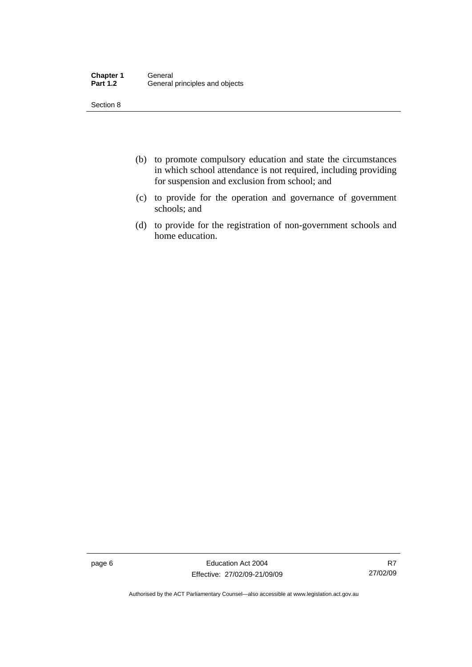| <b>Chapter 1</b> | General                        |
|------------------|--------------------------------|
| <b>Part 1.2</b>  | General principles and objects |

- (b) to promote compulsory education and state the circumstances in which school attendance is not required, including providing for suspension and exclusion from school; and
- (c) to provide for the operation and governance of government schools; and
- (d) to provide for the registration of non-government schools and home education.

page 6 **Education Act 2004** Effective: 27/02/09-21/09/09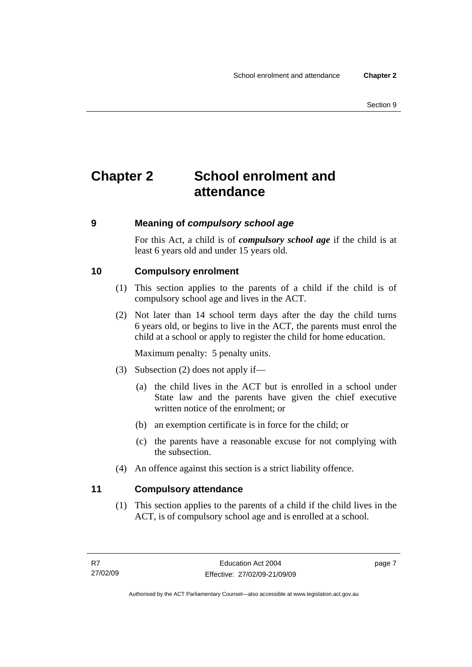# <span id="page-16-0"></span>**Chapter 2 School enrolment and attendance**

### **9 Meaning of** *compulsory school age*

For this Act, a child is of *compulsory school age* if the child is at least 6 years old and under 15 years old.

### **10 Compulsory enrolment**

- (1) This section applies to the parents of a child if the child is of compulsory school age and lives in the ACT.
- (2) Not later than 14 school term days after the day the child turns 6 years old, or begins to live in the ACT, the parents must enrol the child at a school or apply to register the child for home education.

Maximum penalty: 5 penalty units.

- (3) Subsection (2) does not apply if—
	- (a) the child lives in the ACT but is enrolled in a school under State law and the parents have given the chief executive written notice of the enrolment; or
	- (b) an exemption certificate is in force for the child; or
	- (c) the parents have a reasonable excuse for not complying with the subsection.
- (4) An offence against this section is a strict liability offence.

### **11 Compulsory attendance**

 (1) This section applies to the parents of a child if the child lives in the ACT, is of compulsory school age and is enrolled at a school.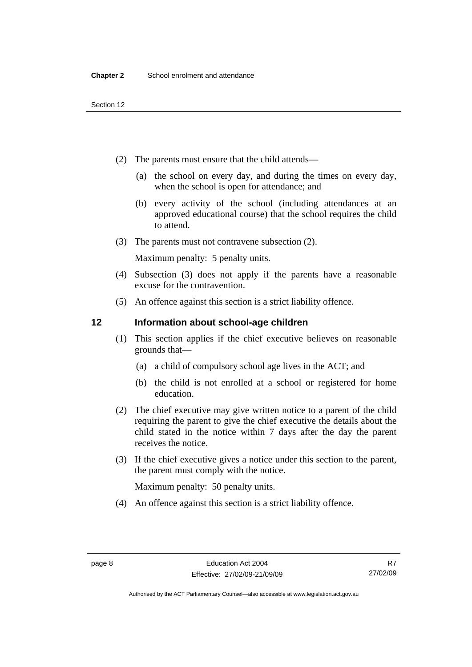- <span id="page-17-0"></span> (2) The parents must ensure that the child attends—
	- (a) the school on every day, and during the times on every day, when the school is open for attendance; and
	- (b) every activity of the school (including attendances at an approved educational course) that the school requires the child to attend.
- (3) The parents must not contravene subsection (2).

Maximum penalty: 5 penalty units.

- (4) Subsection (3) does not apply if the parents have a reasonable excuse for the contravention.
- (5) An offence against this section is a strict liability offence.

### **12 Information about school-age children**

- (1) This section applies if the chief executive believes on reasonable grounds that—
	- (a) a child of compulsory school age lives in the ACT; and
	- (b) the child is not enrolled at a school or registered for home education.
- (2) The chief executive may give written notice to a parent of the child requiring the parent to give the chief executive the details about the child stated in the notice within 7 days after the day the parent receives the notice.
- (3) If the chief executive gives a notice under this section to the parent, the parent must comply with the notice.

Maximum penalty: 50 penalty units.

(4) An offence against this section is a strict liability offence.

Authorised by the ACT Parliamentary Counsel—also accessible at www.legislation.act.gov.au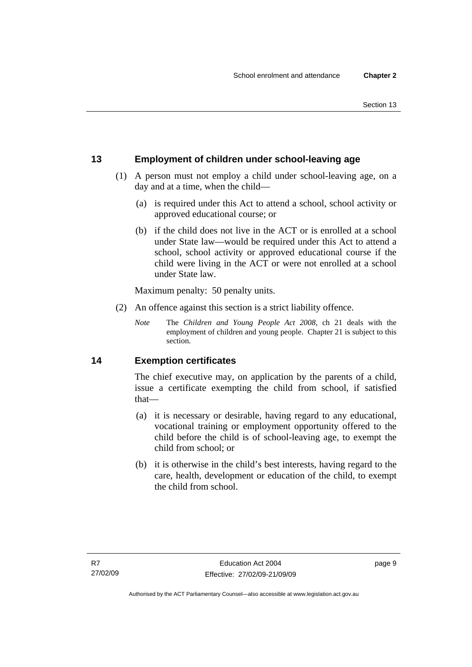### <span id="page-18-0"></span>**13 Employment of children under school-leaving age**

- (1) A person must not employ a child under school-leaving age, on a day and at a time, when the child—
	- (a) is required under this Act to attend a school, school activity or approved educational course; or
	- (b) if the child does not live in the ACT or is enrolled at a school under State law—would be required under this Act to attend a school, school activity or approved educational course if the child were living in the ACT or were not enrolled at a school under State law.

Maximum penalty: 50 penalty units.

- (2) An offence against this section is a strict liability offence.
	- *Note* The *Children and Young People Act 2008*, ch 21 deals with the employment of children and young people. Chapter 21 is subject to this section.

### **14 Exemption certificates**

The chief executive may, on application by the parents of a child, issue a certificate exempting the child from school, if satisfied that—

- (a) it is necessary or desirable, having regard to any educational, vocational training or employment opportunity offered to the child before the child is of school-leaving age, to exempt the child from school; or
- (b) it is otherwise in the child's best interests, having regard to the care, health, development or education of the child, to exempt the child from school.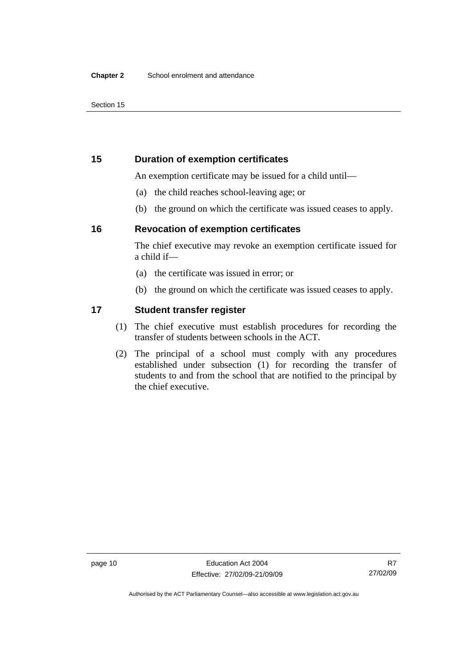### <span id="page-19-0"></span>**15 Duration of exemption certificates**

An exemption certificate may be issued for a child until—

- (a) the child reaches school-leaving age; or
- (b) the ground on which the certificate was issued ceases to apply.

### **16 Revocation of exemption certificates**

The chief executive may revoke an exemption certificate issued for a child if—

- (a) the certificate was issued in error; or
- (b) the ground on which the certificate was issued ceases to apply.

### **17 Student transfer register**

- (1) The chief executive must establish procedures for recording the transfer of students between schools in the ACT.
- (2) The principal of a school must comply with any procedures established under subsection (1) for recording the transfer of students to and from the school that are notified to the principal by the chief executive.

Authorised by the ACT Parliamentary Counsel—also accessible at www.legislation.act.gov.au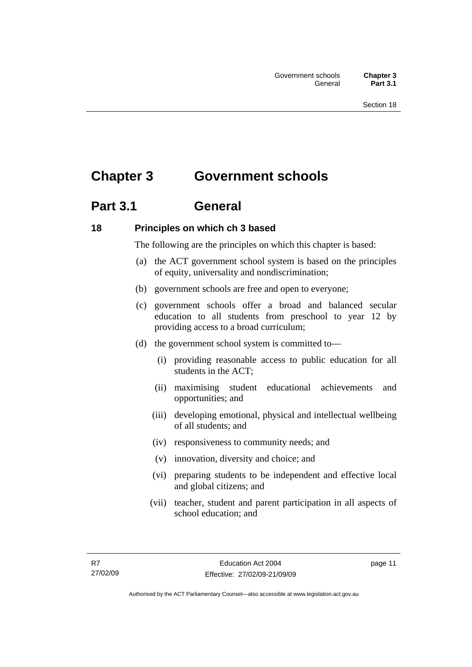# <span id="page-20-0"></span>**Chapter 3 Government schools**

# **Part 3.1 General**

### **18 Principles on which ch 3 based**

The following are the principles on which this chapter is based:

- (a) the ACT government school system is based on the principles of equity, universality and nondiscrimination;
- (b) government schools are free and open to everyone;
- (c) government schools offer a broad and balanced secular education to all students from preschool to year 12 by providing access to a broad curriculum;
- (d) the government school system is committed to—
	- (i) providing reasonable access to public education for all students in the ACT;
	- (ii) maximising student educational achievements and opportunities; and
	- (iii) developing emotional, physical and intellectual wellbeing of all students; and
	- (iv) responsiveness to community needs; and
	- (v) innovation, diversity and choice; and
	- (vi) preparing students to be independent and effective local and global citizens; and
	- (vii) teacher, student and parent participation in all aspects of school education; and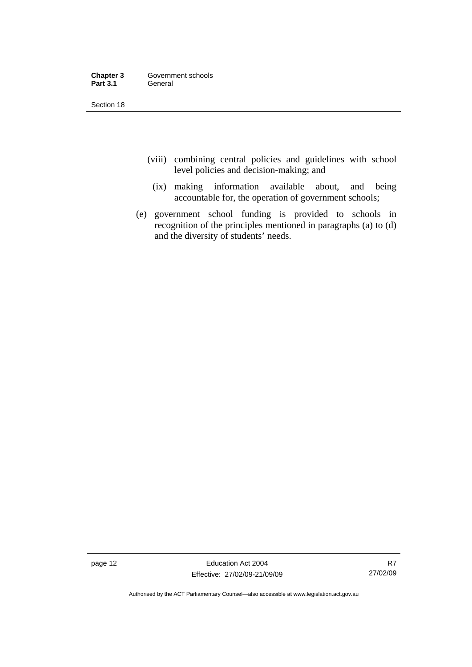| Chapter 3       | Government schools |
|-----------------|--------------------|
| <b>Part 3.1</b> | General            |

- (viii) combining central policies and guidelines with school level policies and decision-making; and
	- (ix) making information available about, and being accountable for, the operation of government schools;
- (e) government school funding is provided to schools in recognition of the principles mentioned in paragraphs (a) to (d) and the diversity of students' needs.

page 12 **Education Act 2004** Effective: 27/02/09-21/09/09

R7 27/02/09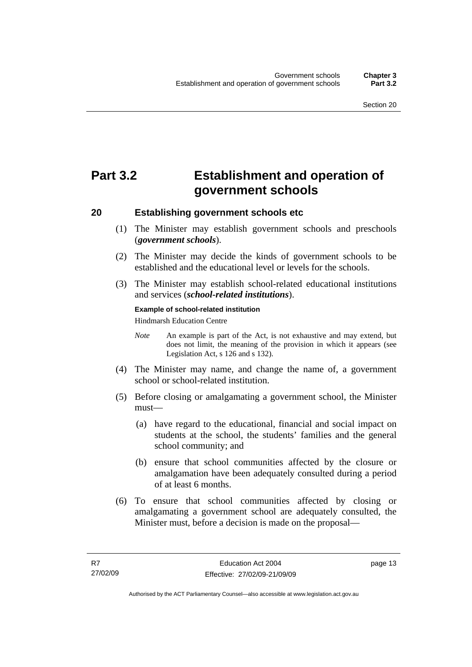# <span id="page-22-0"></span>**Part 3.2 Establishment and operation of government schools**

### **20 Establishing government schools etc**

- (1) The Minister may establish government schools and preschools (*government schools*).
- (2) The Minister may decide the kinds of government schools to be established and the educational level or levels for the schools.
- (3) The Minister may establish school-related educational institutions and services (*school-related institutions*).

#### **Example of school-related institution**

Hindmarsh Education Centre

- *Note* An example is part of the Act, is not exhaustive and may extend, but does not limit, the meaning of the provision in which it appears (see Legislation Act, s 126 and s 132).
- (4) The Minister may name, and change the name of, a government school or school-related institution.
- (5) Before closing or amalgamating a government school, the Minister must—
	- (a) have regard to the educational, financial and social impact on students at the school, the students' families and the general school community; and
	- (b) ensure that school communities affected by the closure or amalgamation have been adequately consulted during a period of at least 6 months.
- (6) To ensure that school communities affected by closing or amalgamating a government school are adequately consulted, the Minister must, before a decision is made on the proposal—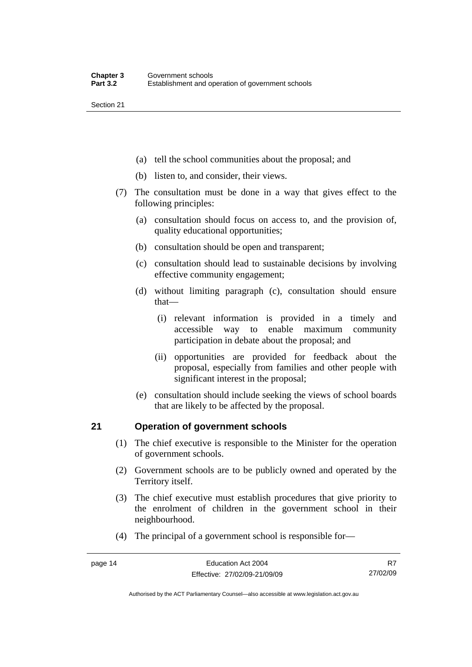- <span id="page-23-0"></span>(a) tell the school communities about the proposal; and
- (b) listen to, and consider, their views.
- (7) The consultation must be done in a way that gives effect to the following principles:
	- (a) consultation should focus on access to, and the provision of, quality educational opportunities;
	- (b) consultation should be open and transparent;
	- (c) consultation should lead to sustainable decisions by involving effective community engagement;
	- (d) without limiting paragraph (c), consultation should ensure that—
		- (i) relevant information is provided in a timely and accessible way to enable maximum community participation in debate about the proposal; and
		- (ii) opportunities are provided for feedback about the proposal, especially from families and other people with significant interest in the proposal;
	- (e) consultation should include seeking the views of school boards that are likely to be affected by the proposal.

### **21 Operation of government schools**

- (1) The chief executive is responsible to the Minister for the operation of government schools.
- (2) Government schools are to be publicly owned and operated by the Territory itself.
- (3) The chief executive must establish procedures that give priority to the enrolment of children in the government school in their neighbourhood.
- (4) The principal of a government school is responsible for—

Authorised by the ACT Parliamentary Counsel—also accessible at www.legislation.act.gov.au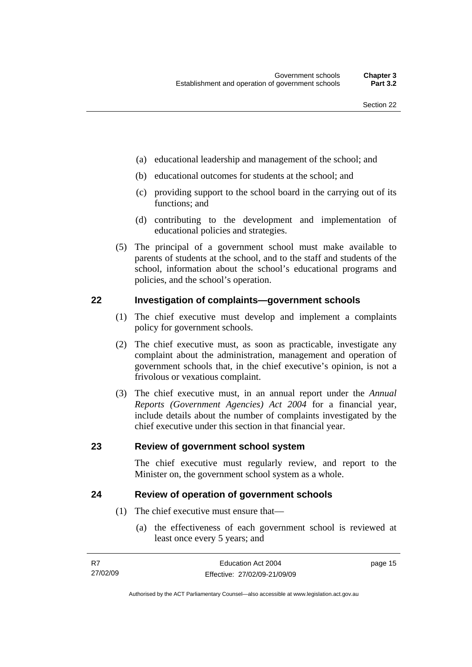- <span id="page-24-0"></span>(a) educational leadership and management of the school; and
- (b) educational outcomes for students at the school; and
- (c) providing support to the school board in the carrying out of its functions; and
- (d) contributing to the development and implementation of educational policies and strategies.
- (5) The principal of a government school must make available to parents of students at the school, and to the staff and students of the school, information about the school's educational programs and policies, and the school's operation.

### **22 Investigation of complaints—government schools**

- (1) The chief executive must develop and implement a complaints policy for government schools.
- (2) The chief executive must, as soon as practicable, investigate any complaint about the administration, management and operation of government schools that, in the chief executive's opinion, is not a frivolous or vexatious complaint.
- (3) The chief executive must, in an annual report under the *Annual Reports (Government Agencies) Act 2004* for a financial year, include details about the number of complaints investigated by the chief executive under this section in that financial year.

### **23 Review of government school system**

The chief executive must regularly review, and report to the Minister on, the government school system as a whole.

### **24 Review of operation of government schools**

- (1) The chief executive must ensure that—
	- (a) the effectiveness of each government school is reviewed at least once every 5 years; and

| - R7     | Education Act 2004           | page 15 |
|----------|------------------------------|---------|
| 27/02/09 | Effective: 27/02/09-21/09/09 |         |

Authorised by the ACT Parliamentary Counsel—also accessible at www.legislation.act.gov.au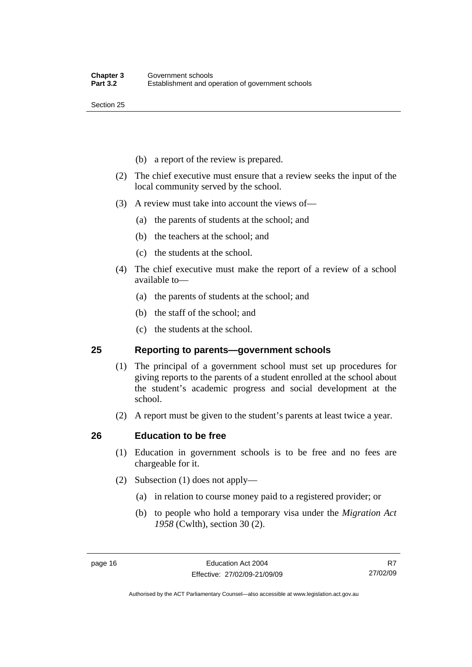- <span id="page-25-0"></span>(b) a report of the review is prepared.
- (2) The chief executive must ensure that a review seeks the input of the local community served by the school.
- (3) A review must take into account the views of—
	- (a) the parents of students at the school; and
	- (b) the teachers at the school; and
	- (c) the students at the school.
- (4) The chief executive must make the report of a review of a school available to—
	- (a) the parents of students at the school; and
	- (b) the staff of the school; and
	- (c) the students at the school.

### **25 Reporting to parents—government schools**

- (1) The principal of a government school must set up procedures for giving reports to the parents of a student enrolled at the school about the student's academic progress and social development at the school.
- (2) A report must be given to the student's parents at least twice a year.

### **26 Education to be free**

- (1) Education in government schools is to be free and no fees are chargeable for it.
- (2) Subsection (1) does not apply—
	- (a) in relation to course money paid to a registered provider; or
	- (b) to people who hold a temporary visa under the *Migration Act 1958* (Cwlth), section 30 (2).

R7 27/02/09

Authorised by the ACT Parliamentary Counsel—also accessible at www.legislation.act.gov.au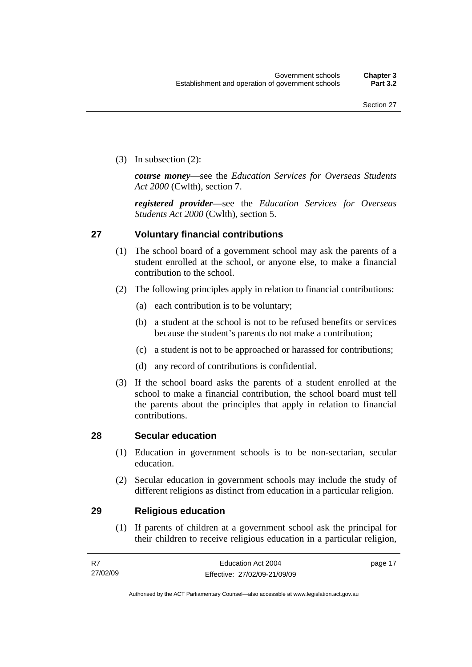<span id="page-26-0"></span>(3) In subsection (2):

*course money*—see the *Education Services for Overseas Students Act 2000* (Cwlth), section 7.

*registered provider*—see the *Education Services for Overseas Students Act 2000* (Cwlth), section 5.

### **27 Voluntary financial contributions**

- (1) The school board of a government school may ask the parents of a student enrolled at the school, or anyone else, to make a financial contribution to the school.
- (2) The following principles apply in relation to financial contributions:
	- (a) each contribution is to be voluntary;
	- (b) a student at the school is not to be refused benefits or services because the student's parents do not make a contribution;
	- (c) a student is not to be approached or harassed for contributions;
	- (d) any record of contributions is confidential.
- (3) If the school board asks the parents of a student enrolled at the school to make a financial contribution, the school board must tell the parents about the principles that apply in relation to financial contributions.

### **28 Secular education**

- (1) Education in government schools is to be non-sectarian, secular education.
- (2) Secular education in government schools may include the study of different religions as distinct from education in a particular religion.

### **29 Religious education**

 (1) If parents of children at a government school ask the principal for their children to receive religious education in a particular religion,

| R7       | Education Act 2004           | page 17 |
|----------|------------------------------|---------|
| 27/02/09 | Effective: 27/02/09-21/09/09 |         |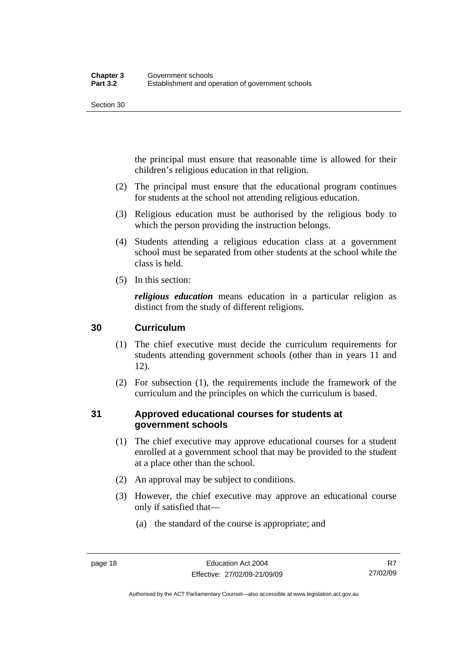<span id="page-27-0"></span>the principal must ensure that reasonable time is allowed for their children's religious education in that religion.

- (2) The principal must ensure that the educational program continues for students at the school not attending religious education.
- (3) Religious education must be authorised by the religious body to which the person providing the instruction belongs.
- (4) Students attending a religious education class at a government school must be separated from other students at the school while the class is held.
- (5) In this section:

*religious education* means education in a particular religion as distinct from the study of different religions.

### **30 Curriculum**

- (1) The chief executive must decide the curriculum requirements for students attending government schools (other than in years 11 and 12).
- (2) For subsection (1), the requirements include the framework of the curriculum and the principles on which the curriculum is based.

### **31 Approved educational courses for students at government schools**

- (1) The chief executive may approve educational courses for a student enrolled at a government school that may be provided to the student at a place other than the school.
- (2) An approval may be subject to conditions.
- (3) However, the chief executive may approve an educational course only if satisfied that—
	- (a) the standard of the course is appropriate; and

Authorised by the ACT Parliamentary Counsel—also accessible at www.legislation.act.gov.au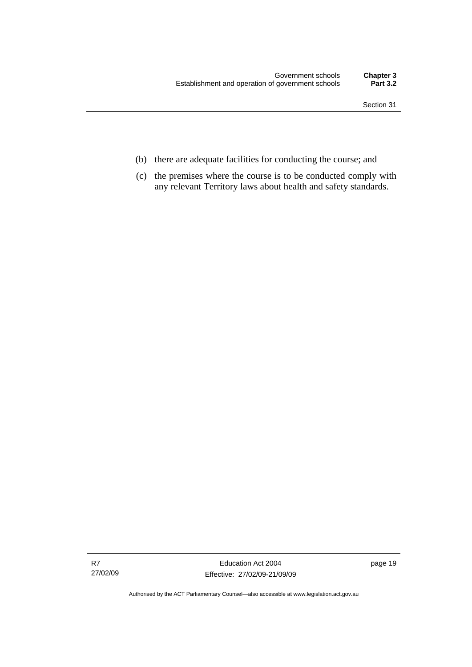- (b) there are adequate facilities for conducting the course; and
- (c) the premises where the course is to be conducted comply with any relevant Territory laws about health and safety standards.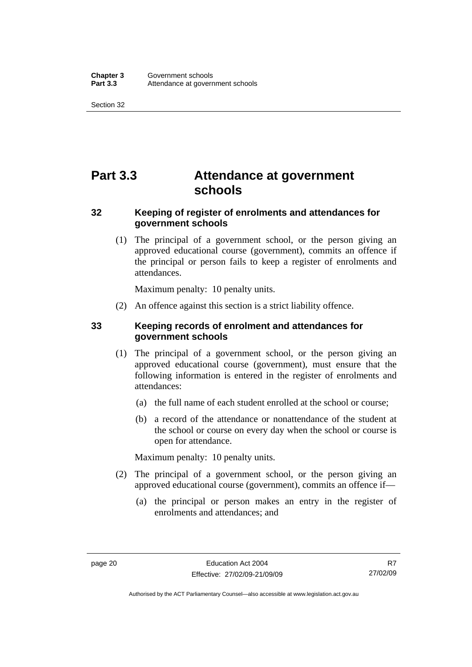# <span id="page-29-0"></span>**Part 3.3 Attendance at government schools**

### **32 Keeping of register of enrolments and attendances for government schools**

 (1) The principal of a government school, or the person giving an approved educational course (government), commits an offence if the principal or person fails to keep a register of enrolments and attendances.

Maximum penalty: 10 penalty units.

(2) An offence against this section is a strict liability offence.

### **33 Keeping records of enrolment and attendances for government schools**

- (1) The principal of a government school, or the person giving an approved educational course (government), must ensure that the following information is entered in the register of enrolments and attendances:
	- (a) the full name of each student enrolled at the school or course;
	- (b) a record of the attendance or nonattendance of the student at the school or course on every day when the school or course is open for attendance.

Maximum penalty: 10 penalty units.

- (2) The principal of a government school, or the person giving an approved educational course (government), commits an offence if—
	- (a) the principal or person makes an entry in the register of enrolments and attendances; and

R7 27/02/09

Authorised by the ACT Parliamentary Counsel—also accessible at www.legislation.act.gov.au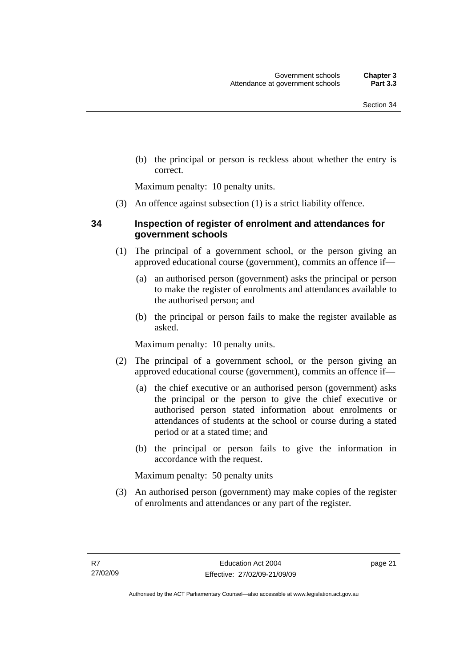<span id="page-30-0"></span> (b) the principal or person is reckless about whether the entry is correct.

Maximum penalty: 10 penalty units.

(3) An offence against subsection (1) is a strict liability offence.

### **34 Inspection of register of enrolment and attendances for government schools**

- (1) The principal of a government school, or the person giving an approved educational course (government), commits an offence if—
	- (a) an authorised person (government) asks the principal or person to make the register of enrolments and attendances available to the authorised person; and
	- (b) the principal or person fails to make the register available as asked.

Maximum penalty: 10 penalty units.

- (2) The principal of a government school, or the person giving an approved educational course (government), commits an offence if—
	- (a) the chief executive or an authorised person (government) asks the principal or the person to give the chief executive or authorised person stated information about enrolments or attendances of students at the school or course during a stated period or at a stated time; and
	- (b) the principal or person fails to give the information in accordance with the request.

Maximum penalty: 50 penalty units

 (3) An authorised person (government) may make copies of the register of enrolments and attendances or any part of the register.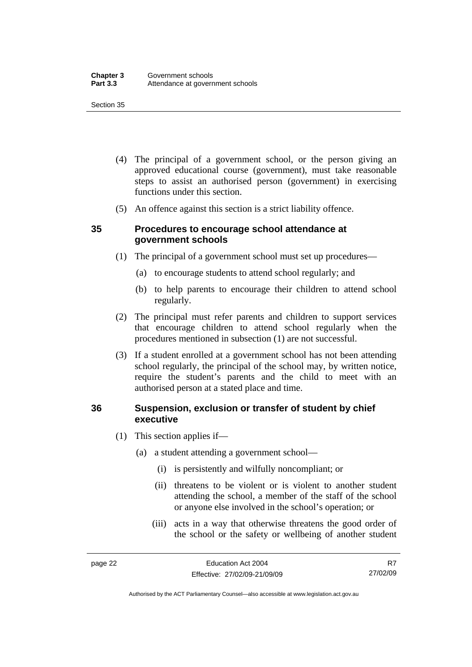- <span id="page-31-0"></span> (4) The principal of a government school, or the person giving an approved educational course (government), must take reasonable steps to assist an authorised person (government) in exercising functions under this section.
- (5) An offence against this section is a strict liability offence.

### **35 Procedures to encourage school attendance at government schools**

- (1) The principal of a government school must set up procedures—
	- (a) to encourage students to attend school regularly; and
	- (b) to help parents to encourage their children to attend school regularly.
- (2) The principal must refer parents and children to support services that encourage children to attend school regularly when the procedures mentioned in subsection (1) are not successful.
- (3) If a student enrolled at a government school has not been attending school regularly, the principal of the school may, by written notice, require the student's parents and the child to meet with an authorised person at a stated place and time.

### **36 Suspension, exclusion or transfer of student by chief executive**

- (1) This section applies if—
	- (a) a student attending a government school—
		- (i) is persistently and wilfully noncompliant; or
		- (ii) threatens to be violent or is violent to another student attending the school, a member of the staff of the school or anyone else involved in the school's operation; or
		- (iii) acts in a way that otherwise threatens the good order of the school or the safety or wellbeing of another student

Authorised by the ACT Parliamentary Counsel—also accessible at www.legislation.act.gov.au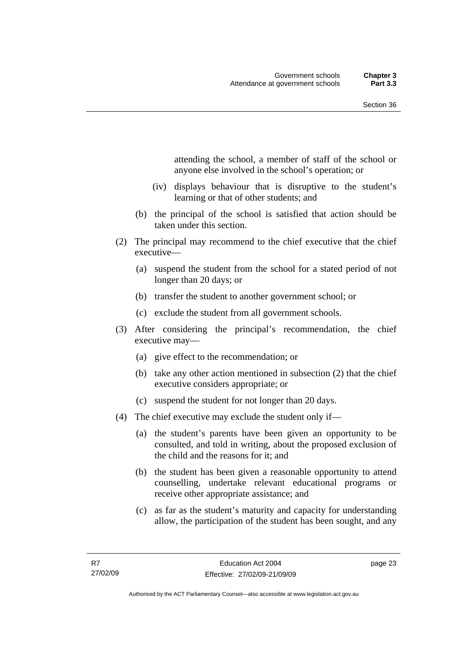attending the school, a member of staff of the school or anyone else involved in the school's operation; or

- (iv) displays behaviour that is disruptive to the student's learning or that of other students; and
- (b) the principal of the school is satisfied that action should be taken under this section.
- (2) The principal may recommend to the chief executive that the chief executive—
	- (a) suspend the student from the school for a stated period of not longer than 20 days; or
	- (b) transfer the student to another government school; or
	- (c) exclude the student from all government schools.
- (3) After considering the principal's recommendation, the chief executive may—
	- (a) give effect to the recommendation; or
	- (b) take any other action mentioned in subsection (2) that the chief executive considers appropriate; or
	- (c) suspend the student for not longer than 20 days.
- (4) The chief executive may exclude the student only if—
	- (a) the student's parents have been given an opportunity to be consulted, and told in writing, about the proposed exclusion of the child and the reasons for it; and
	- (b) the student has been given a reasonable opportunity to attend counselling, undertake relevant educational programs or receive other appropriate assistance; and
	- (c) as far as the student's maturity and capacity for understanding allow, the participation of the student has been sought, and any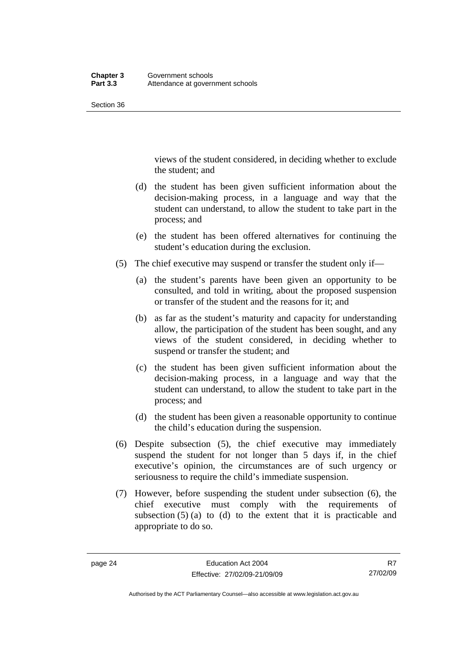views of the student considered, in deciding whether to exclude the student; and

- (d) the student has been given sufficient information about the decision-making process, in a language and way that the student can understand, to allow the student to take part in the process; and
- (e) the student has been offered alternatives for continuing the student's education during the exclusion.
- (5) The chief executive may suspend or transfer the student only if—
	- (a) the student's parents have been given an opportunity to be consulted, and told in writing, about the proposed suspension or transfer of the student and the reasons for it; and
	- (b) as far as the student's maturity and capacity for understanding allow, the participation of the student has been sought, and any views of the student considered, in deciding whether to suspend or transfer the student; and
	- (c) the student has been given sufficient information about the decision-making process, in a language and way that the student can understand, to allow the student to take part in the process; and
	- (d) the student has been given a reasonable opportunity to continue the child's education during the suspension.
- (6) Despite subsection (5), the chief executive may immediately suspend the student for not longer than 5 days if, in the chief executive's opinion, the circumstances are of such urgency or seriousness to require the child's immediate suspension.
- (7) However, before suspending the student under subsection (6), the chief executive must comply with the requirements of subsection  $(5)$  (a) to (d) to the extent that it is practicable and appropriate to do so.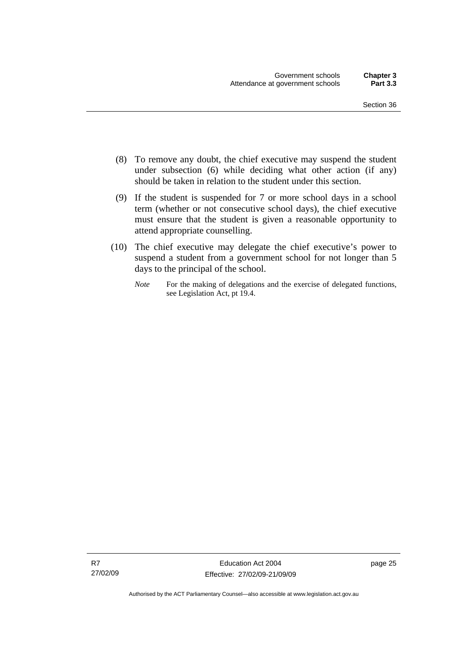- (8) To remove any doubt, the chief executive may suspend the student under subsection (6) while deciding what other action (if any) should be taken in relation to the student under this section.
- (9) If the student is suspended for 7 or more school days in a school term (whether or not consecutive school days), the chief executive must ensure that the student is given a reasonable opportunity to attend appropriate counselling.
- (10) The chief executive may delegate the chief executive's power to suspend a student from a government school for not longer than 5 days to the principal of the school.
	- *Note* For the making of delegations and the exercise of delegated functions, see Legislation Act, pt 19.4.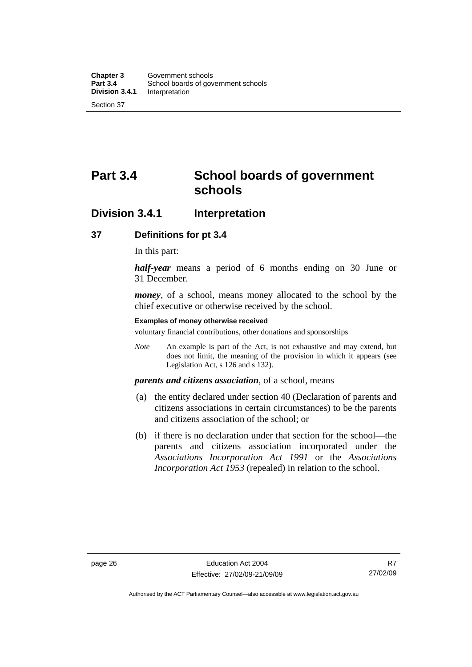# <span id="page-35-0"></span>**Part 3.4 School boards of government schools**

### **Division 3.4.1 Interpretation**

### **37 Definitions for pt 3.4**

In this part:

*half-year* means a period of 6 months ending on 30 June or 31 December.

*money*, of a school, means money allocated to the school by the chief executive or otherwise received by the school.

#### **Examples of money otherwise received**

voluntary financial contributions, other donations and sponsorships

*Note* An example is part of the Act, is not exhaustive and may extend, but does not limit, the meaning of the provision in which it appears (see Legislation Act, s 126 and s 132).

### *parents and citizens association*, of a school, means

- (a) the entity declared under section 40 (Declaration of parents and citizens associations in certain circumstances) to be the parents and citizens association of the school; or
- (b) if there is no declaration under that section for the school—the parents and citizens association incorporated under the *Associations Incorporation Act 1991* or the *Associations Incorporation Act 1953* (repealed) in relation to the school.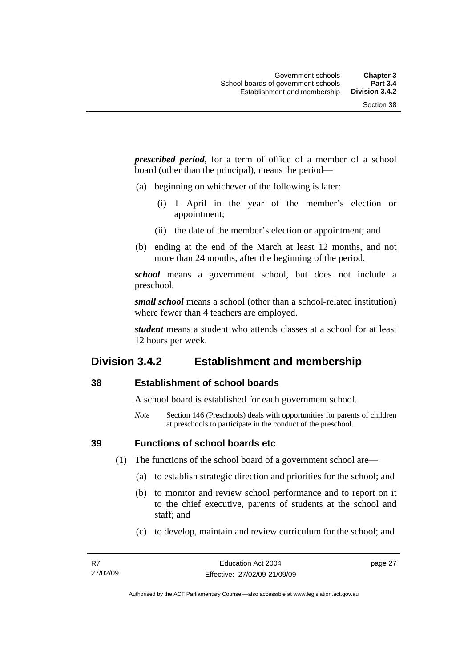*prescribed period*, for a term of office of a member of a school board (other than the principal), means the period—

- (a) beginning on whichever of the following is later:
	- (i) 1 April in the year of the member's election or appointment;
	- (ii) the date of the member's election or appointment; and
- (b) ending at the end of the March at least 12 months, and not more than 24 months, after the beginning of the period.

*school* means a government school, but does not include a preschool.

*small school* means a school (other than a school-related institution) where fewer than 4 teachers are employed.

*student* means a student who attends classes at a school for at least 12 hours per week.

#### **Division 3.4.2 Establishment and membership**

#### **38 Establishment of school boards**

A school board is established for each government school.

*Note* Section 146 (Preschools) deals with opportunities for parents of children at preschools to participate in the conduct of the preschool.

**39 Functions of school boards etc** 

(1) The functions of the school board of a government school are—

- (a) to establish strategic direction and priorities for the school; and
- (b) to monitor and review school performance and to report on it to the chief executive, parents of students at the school and staff; and
- (c) to develop, maintain and review curriculum for the school; and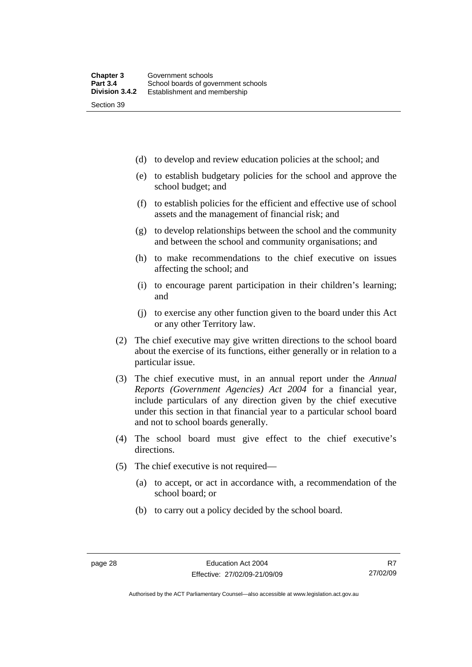(d) to develop and review education policies at the school; and

- (e) to establish budgetary policies for the school and approve the school budget; and
- (f) to establish policies for the efficient and effective use of school assets and the management of financial risk; and
- (g) to develop relationships between the school and the community and between the school and community organisations; and
- (h) to make recommendations to the chief executive on issues affecting the school; and
- (i) to encourage parent participation in their children's learning; and
- (j) to exercise any other function given to the board under this Act or any other Territory law.
- (2) The chief executive may give written directions to the school board about the exercise of its functions, either generally or in relation to a particular issue.
- (3) The chief executive must, in an annual report under the *Annual Reports (Government Agencies) Act 2004* for a financial year, include particulars of any direction given by the chief executive under this section in that financial year to a particular school board and not to school boards generally.
- (4) The school board must give effect to the chief executive's directions.
- (5) The chief executive is not required—
	- (a) to accept, or act in accordance with, a recommendation of the school board; or
	- (b) to carry out a policy decided by the school board.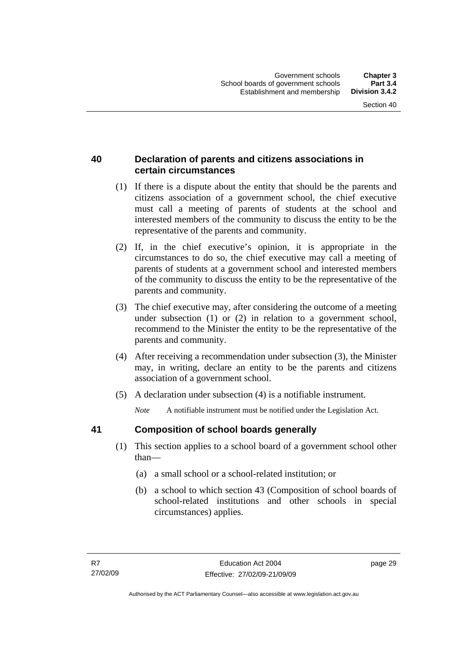#### **40 Declaration of parents and citizens associations in certain circumstances**

- (1) If there is a dispute about the entity that should be the parents and citizens association of a government school, the chief executive must call a meeting of parents of students at the school and interested members of the community to discuss the entity to be the representative of the parents and community.
- (2) If, in the chief executive's opinion, it is appropriate in the circumstances to do so, the chief executive may call a meeting of parents of students at a government school and interested members of the community to discuss the entity to be the representative of the parents and community.
- (3) The chief executive may, after considering the outcome of a meeting under subsection (1) or (2) in relation to a government school, recommend to the Minister the entity to be the representative of the parents and community.
- (4) After receiving a recommendation under subsection (3), the Minister may, in writing, declare an entity to be the parents and citizens association of a government school.
- (5) A declaration under subsection (4) is a notifiable instrument.

*Note* A notifiable instrument must be notified under the Legislation Act.

#### **41 Composition of school boards generally**

- (1) This section applies to a school board of a government school other than—
	- (a) a small school or a school-related institution; or
	- (b) a school to which section 43 (Composition of school boards of school-related institutions and other schools in special circumstances) applies.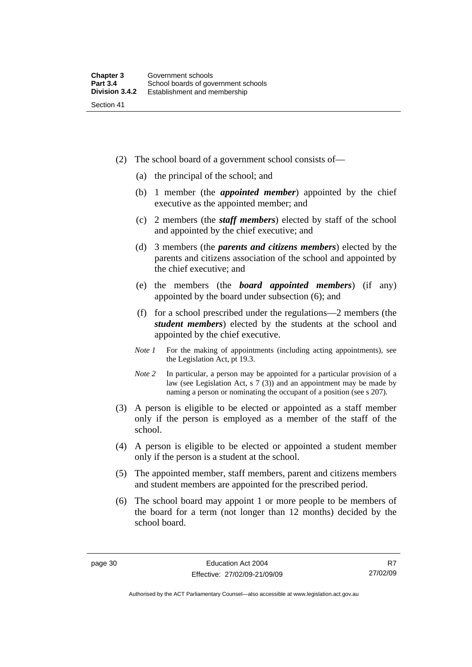- (2) The school board of a government school consists of—
	- (a) the principal of the school; and
	- (b) 1 member (the *appointed member*) appointed by the chief executive as the appointed member; and
	- (c) 2 members (the *staff members*) elected by staff of the school and appointed by the chief executive; and
	- (d) 3 members (the *parents and citizens members*) elected by the parents and citizens association of the school and appointed by the chief executive; and
	- (e) the members (the *board appointed members*) (if any) appointed by the board under subsection (6); and
	- (f) for a school prescribed under the regulations—2 members (the *student members*) elected by the students at the school and appointed by the chief executive.
	- *Note 1* For the making of appointments (including acting appointments), see the Legislation Act, pt 19.3.
	- *Note* 2 In particular, a person may be appointed for a particular provision of a law (see Legislation Act, s 7 (3)) and an appointment may be made by naming a person or nominating the occupant of a position (see s 207).
- (3) A person is eligible to be elected or appointed as a staff member only if the person is employed as a member of the staff of the school.
- (4) A person is eligible to be elected or appointed a student member only if the person is a student at the school.
- (5) The appointed member, staff members, parent and citizens members and student members are appointed for the prescribed period.
- (6) The school board may appoint 1 or more people to be members of the board for a term (not longer than 12 months) decided by the school board.

Authorised by the ACT Parliamentary Counsel—also accessible at www.legislation.act.gov.au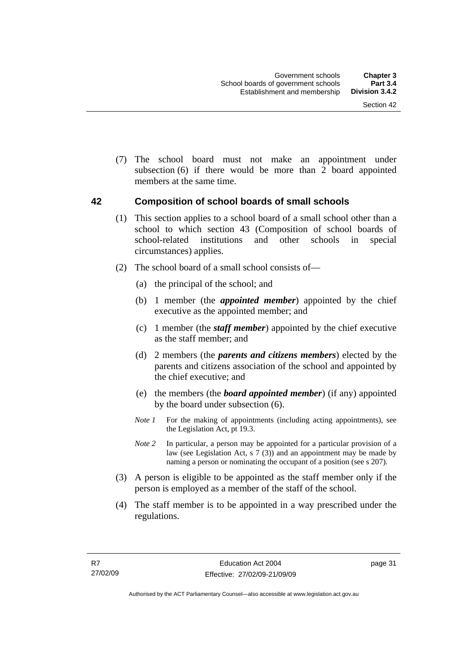(7) The school board must not make an appointment under subsection (6) if there would be more than 2 board appointed members at the same time.

#### **42 Composition of school boards of small schools**

- (1) This section applies to a school board of a small school other than a school to which section 43 (Composition of school boards of school-related institutions and other schools in special circumstances) applies.
- (2) The school board of a small school consists of—
	- (a) the principal of the school; and
	- (b) 1 member (the *appointed member*) appointed by the chief executive as the appointed member; and
	- (c) 1 member (the *staff member*) appointed by the chief executive as the staff member; and
	- (d) 2 members (the *parents and citizens members*) elected by the parents and citizens association of the school and appointed by the chief executive; and
	- (e) the members (the *board appointed member*) (if any) appointed by the board under subsection (6).
	- *Note 1* For the making of appointments (including acting appointments), see the Legislation Act, pt 19.3.
	- *Note* 2 In particular, a person may be appointed for a particular provision of a law (see Legislation Act, s 7 (3)) and an appointment may be made by naming a person or nominating the occupant of a position (see s 207).
- (3) A person is eligible to be appointed as the staff member only if the person is employed as a member of the staff of the school.
- (4) The staff member is to be appointed in a way prescribed under the regulations.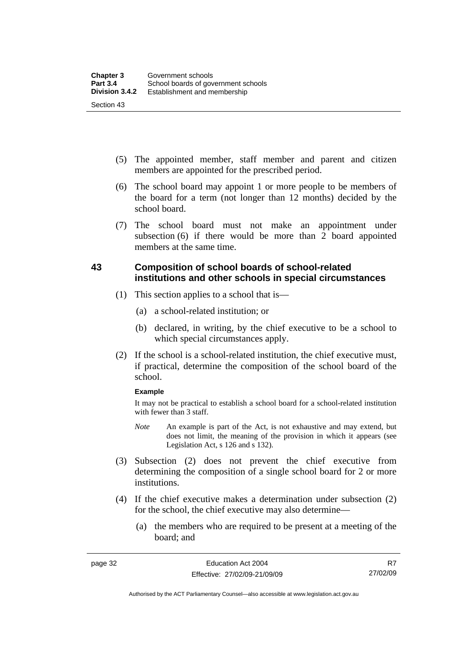- (5) The appointed member, staff member and parent and citizen members are appointed for the prescribed period.
- (6) The school board may appoint 1 or more people to be members of the board for a term (not longer than 12 months) decided by the school board.
- (7) The school board must not make an appointment under subsection (6) if there would be more than 2 board appointed members at the same time.

#### **43 Composition of school boards of school-related institutions and other schools in special circumstances**

- (1) This section applies to a school that is—
	- (a) a school-related institution; or
	- (b) declared, in writing, by the chief executive to be a school to which special circumstances apply.
- (2) If the school is a school-related institution, the chief executive must, if practical, determine the composition of the school board of the school.

#### **Example**

It may not be practical to establish a school board for a school-related institution with fewer than 3 staff.

- *Note* An example is part of the Act, is not exhaustive and may extend, but does not limit, the meaning of the provision in which it appears (see Legislation Act, s 126 and s 132).
- (3) Subsection (2) does not prevent the chief executive from determining the composition of a single school board for 2 or more institutions.
- (4) If the chief executive makes a determination under subsection (2) for the school, the chief executive may also determine—
	- (a) the members who are required to be present at a meeting of the board; and

Authorised by the ACT Parliamentary Counsel—also accessible at www.legislation.act.gov.au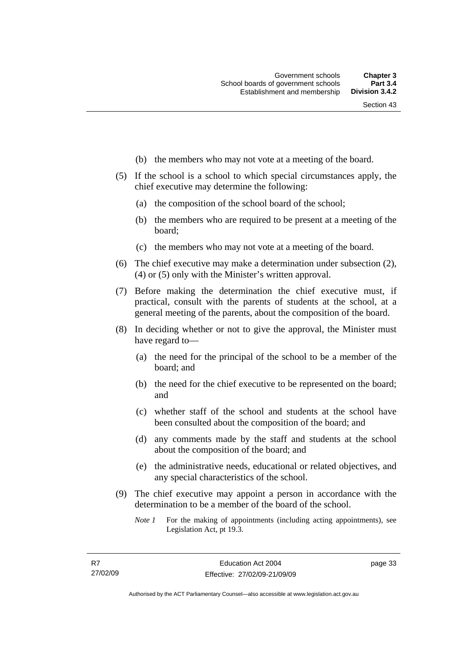- (b) the members who may not vote at a meeting of the board.
- (5) If the school is a school to which special circumstances apply, the chief executive may determine the following:
	- (a) the composition of the school board of the school;
	- (b) the members who are required to be present at a meeting of the board;
	- (c) the members who may not vote at a meeting of the board.
- (6) The chief executive may make a determination under subsection (2), (4) or (5) only with the Minister's written approval.
- (7) Before making the determination the chief executive must, if practical, consult with the parents of students at the school, at a general meeting of the parents, about the composition of the board.
- (8) In deciding whether or not to give the approval, the Minister must have regard to—
	- (a) the need for the principal of the school to be a member of the board; and
	- (b) the need for the chief executive to be represented on the board; and
	- (c) whether staff of the school and students at the school have been consulted about the composition of the board; and
	- (d) any comments made by the staff and students at the school about the composition of the board; and
	- (e) the administrative needs, educational or related objectives, and any special characteristics of the school.
- (9) The chief executive may appoint a person in accordance with the determination to be a member of the board of the school.
	- *Note 1* For the making of appointments (including acting appointments), see Legislation Act, pt 19.3.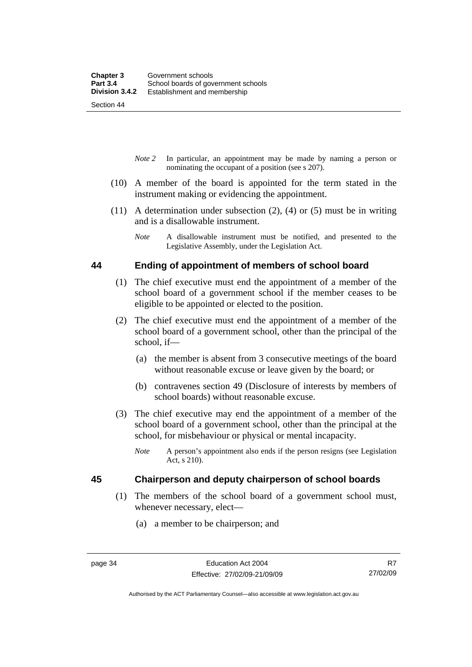Section 44

- *Note 2* In particular, an appointment may be made by naming a person or nominating the occupant of a position (see s 207).
- (10) A member of the board is appointed for the term stated in the instrument making or evidencing the appointment.
- (11) A determination under subsection (2), (4) or (5) must be in writing and is a disallowable instrument.
	- *Note* A disallowable instrument must be notified, and presented to the Legislative Assembly, under the Legislation Act.

#### **44 Ending of appointment of members of school board**

- (1) The chief executive must end the appointment of a member of the school board of a government school if the member ceases to be eligible to be appointed or elected to the position.
- (2) The chief executive must end the appointment of a member of the school board of a government school, other than the principal of the school, if—
	- (a) the member is absent from 3 consecutive meetings of the board without reasonable excuse or leave given by the board; or
	- (b) contravenes section 49 (Disclosure of interests by members of school boards) without reasonable excuse.
- (3) The chief executive may end the appointment of a member of the school board of a government school, other than the principal at the school, for misbehaviour or physical or mental incapacity.
	- *Note* A person's appointment also ends if the person resigns (see Legislation Act, s 210).

#### **45 Chairperson and deputy chairperson of school boards**

- (1) The members of the school board of a government school must, whenever necessary, elect—
	- (a) a member to be chairperson; and

R7 27/02/09

Authorised by the ACT Parliamentary Counsel—also accessible at www.legislation.act.gov.au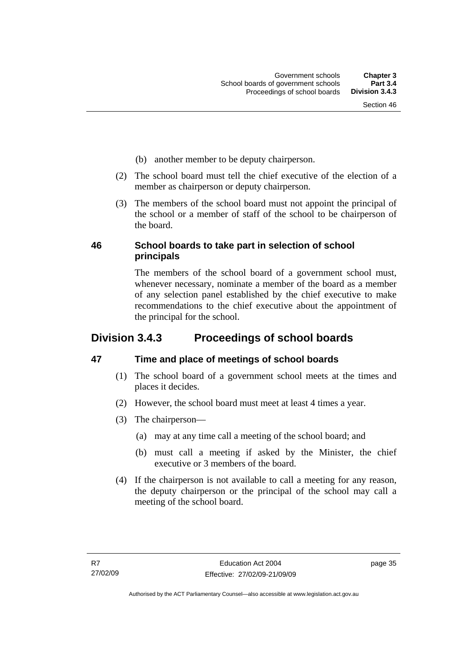- (b) another member to be deputy chairperson.
- (2) The school board must tell the chief executive of the election of a member as chairperson or deputy chairperson.
- (3) The members of the school board must not appoint the principal of the school or a member of staff of the school to be chairperson of the board.

#### **46 School boards to take part in selection of school principals**

The members of the school board of a government school must, whenever necessary, nominate a member of the board as a member of any selection panel established by the chief executive to make recommendations to the chief executive about the appointment of the principal for the school.

# **Division 3.4.3 Proceedings of school boards**

#### **47 Time and place of meetings of school boards**

- (1) The school board of a government school meets at the times and places it decides.
- (2) However, the school board must meet at least 4 times a year.
- (3) The chairperson—
	- (a) may at any time call a meeting of the school board; and
	- (b) must call a meeting if asked by the Minister, the chief executive or 3 members of the board.
- (4) If the chairperson is not available to call a meeting for any reason, the deputy chairperson or the principal of the school may call a meeting of the school board.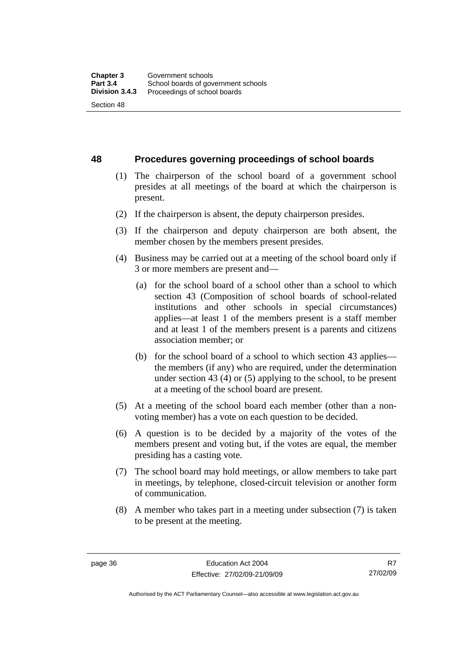**48 Procedures governing proceedings of school boards** 

- (1) The chairperson of the school board of a government school presides at all meetings of the board at which the chairperson is present.
- (2) If the chairperson is absent, the deputy chairperson presides.
- (3) If the chairperson and deputy chairperson are both absent, the member chosen by the members present presides.
- (4) Business may be carried out at a meeting of the school board only if 3 or more members are present and—
	- (a) for the school board of a school other than a school to which section 43 (Composition of school boards of school-related institutions and other schools in special circumstances) applies—at least 1 of the members present is a staff member and at least 1 of the members present is a parents and citizens association member; or
	- (b) for the school board of a school to which section 43 applies the members (if any) who are required, under the determination under section 43 (4) or (5) applying to the school, to be present at a meeting of the school board are present.
- (5) At a meeting of the school board each member (other than a nonvoting member) has a vote on each question to be decided.
- (6) A question is to be decided by a majority of the votes of the members present and voting but, if the votes are equal, the member presiding has a casting vote.
- (7) The school board may hold meetings, or allow members to take part in meetings, by telephone, closed-circuit television or another form of communication.
- (8) A member who takes part in a meeting under subsection (7) is taken to be present at the meeting.

R7 27/02/09

Authorised by the ACT Parliamentary Counsel—also accessible at www.legislation.act.gov.au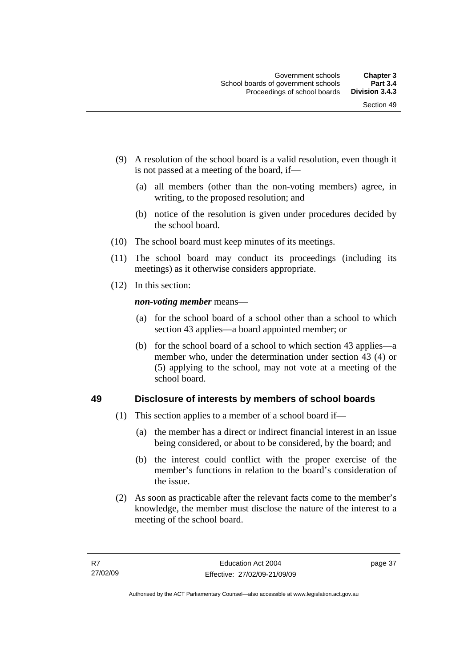- (9) A resolution of the school board is a valid resolution, even though it is not passed at a meeting of the board, if—
	- (a) all members (other than the non-voting members) agree, in writing, to the proposed resolution; and
	- (b) notice of the resolution is given under procedures decided by the school board.
- (10) The school board must keep minutes of its meetings.
- (11) The school board may conduct its proceedings (including its meetings) as it otherwise considers appropriate.
- (12) In this section:

*non-voting member* means—

- (a) for the school board of a school other than a school to which section 43 applies—a board appointed member; or
- (b) for the school board of a school to which section 43 applies—a member who, under the determination under section 43 (4) or (5) applying to the school, may not vote at a meeting of the school board.

#### **49 Disclosure of interests by members of school boards**

- (1) This section applies to a member of a school board if—
	- (a) the member has a direct or indirect financial interest in an issue being considered, or about to be considered, by the board; and
	- (b) the interest could conflict with the proper exercise of the member's functions in relation to the board's consideration of the issue.
- (2) As soon as practicable after the relevant facts come to the member's knowledge, the member must disclose the nature of the interest to a meeting of the school board.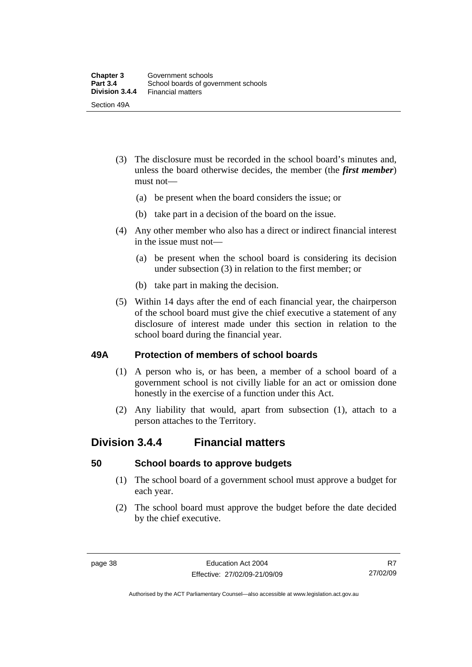- (3) The disclosure must be recorded in the school board's minutes and, unless the board otherwise decides, the member (the *first member*) must not—
	- (a) be present when the board considers the issue; or
	- (b) take part in a decision of the board on the issue.
- (4) Any other member who also has a direct or indirect financial interest in the issue must not—
	- (a) be present when the school board is considering its decision under subsection (3) in relation to the first member; or
	- (b) take part in making the decision.
- (5) Within 14 days after the end of each financial year, the chairperson of the school board must give the chief executive a statement of any disclosure of interest made under this section in relation to the school board during the financial year.

#### **49A Protection of members of school boards**

- (1) A person who is, or has been, a member of a school board of a government school is not civilly liable for an act or omission done honestly in the exercise of a function under this Act.
- (2) Any liability that would, apart from subsection (1), attach to a person attaches to the Territory.

## **Division 3.4.4 Financial matters**

#### **50 School boards to approve budgets**

- (1) The school board of a government school must approve a budget for each year.
- (2) The school board must approve the budget before the date decided by the chief executive.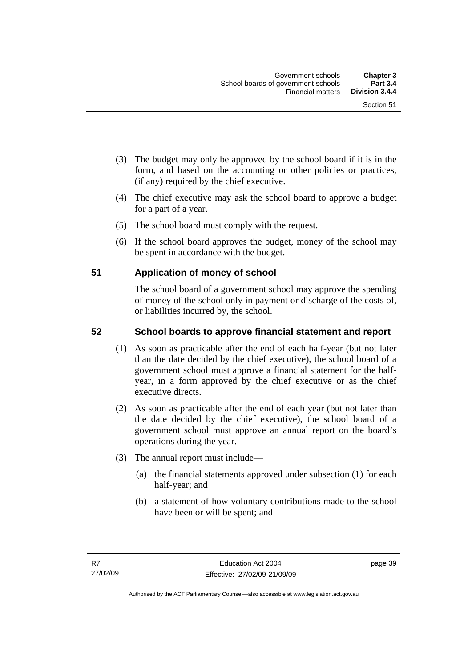- (3) The budget may only be approved by the school board if it is in the form, and based on the accounting or other policies or practices, (if any) required by the chief executive.
- (4) The chief executive may ask the school board to approve a budget for a part of a year.
- (5) The school board must comply with the request.
- (6) If the school board approves the budget, money of the school may be spent in accordance with the budget.

#### **51 Application of money of school**

The school board of a government school may approve the spending of money of the school only in payment or discharge of the costs of, or liabilities incurred by, the school.

#### **52 School boards to approve financial statement and report**

- (1) As soon as practicable after the end of each half-year (but not later than the date decided by the chief executive), the school board of a government school must approve a financial statement for the halfyear, in a form approved by the chief executive or as the chief executive directs.
- (2) As soon as practicable after the end of each year (but not later than the date decided by the chief executive), the school board of a government school must approve an annual report on the board's operations during the year.
- (3) The annual report must include—
	- (a) the financial statements approved under subsection (1) for each half-year; and
	- (b) a statement of how voluntary contributions made to the school have been or will be spent; and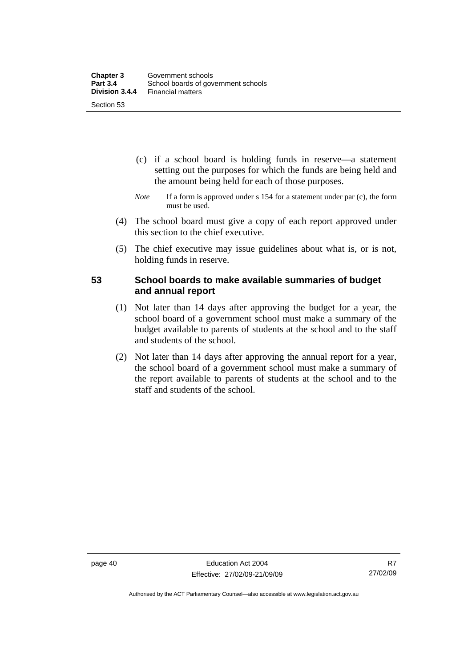- (c) if a school board is holding funds in reserve—a statement setting out the purposes for which the funds are being held and the amount being held for each of those purposes.
- *Note* If a form is approved under s 154 for a statement under par (c), the form must be used.
- (4) The school board must give a copy of each report approved under this section to the chief executive.
- (5) The chief executive may issue guidelines about what is, or is not, holding funds in reserve.

#### **53 School boards to make available summaries of budget and annual report**

- (1) Not later than 14 days after approving the budget for a year, the school board of a government school must make a summary of the budget available to parents of students at the school and to the staff and students of the school.
- (2) Not later than 14 days after approving the annual report for a year, the school board of a government school must make a summary of the report available to parents of students at the school and to the staff and students of the school.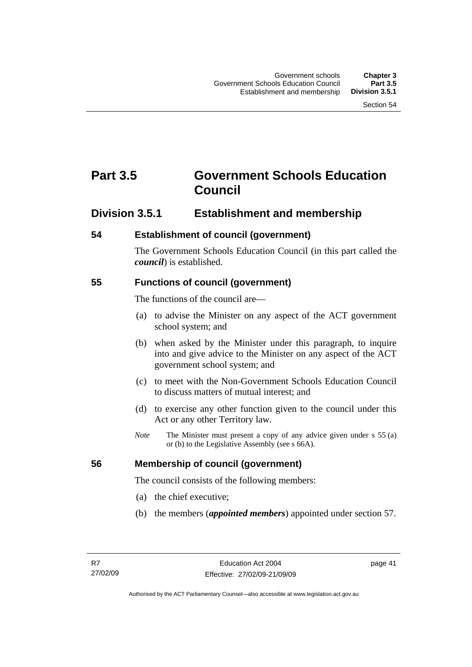# **Part 3.5 Government Schools Education Council**

### **Division 3.5.1 Establishment and membership**

#### **54 Establishment of council (government)**

The Government Schools Education Council (in this part called the *council*) is established.

#### **55 Functions of council (government)**

The functions of the council are—

- (a) to advise the Minister on any aspect of the ACT government school system; and
- (b) when asked by the Minister under this paragraph, to inquire into and give advice to the Minister on any aspect of the ACT government school system; and
- (c) to meet with the Non-Government Schools Education Council to discuss matters of mutual interest; and
- (d) to exercise any other function given to the council under this Act or any other Territory law.
- *Note* The Minister must present a copy of any advice given under s 55 (a) or (b) to the Legislative Assembly (see s 66A).

#### **56 Membership of council (government)**

The council consists of the following members:

- (a) the chief executive;
- (b) the members (*appointed members*) appointed under section 57.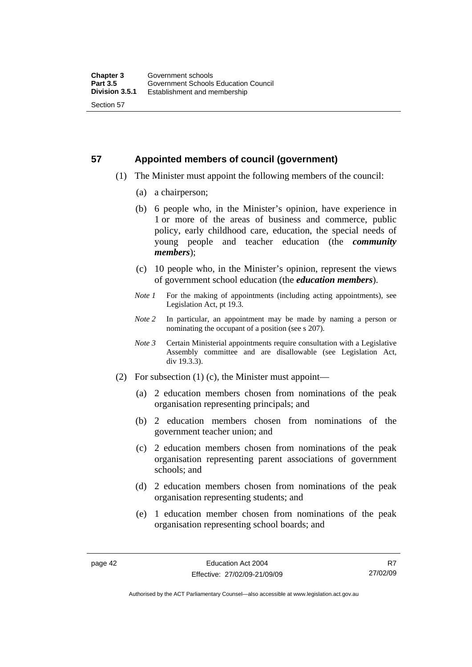# **57 Appointed members of council (government)**

- (1) The Minister must appoint the following members of the council:
	- (a) a chairperson;
	- (b) 6 people who, in the Minister's opinion, have experience in 1 or more of the areas of business and commerce, public policy, early childhood care, education, the special needs of young people and teacher education (the *community members*);
	- (c) 10 people who, in the Minister's opinion, represent the views of government school education (the *education members*).
	- *Note 1* For the making of appointments (including acting appointments), see Legislation Act, pt 19.3.
	- *Note 2* In particular, an appointment may be made by naming a person or nominating the occupant of a position (see s 207).
	- *Note 3* Certain Ministerial appointments require consultation with a Legislative Assembly committee and are disallowable (see Legislation Act, div 19.3.3).
- (2) For subsection (1) (c), the Minister must appoint—
	- (a) 2 education members chosen from nominations of the peak organisation representing principals; and
	- (b) 2 education members chosen from nominations of the government teacher union; and
	- (c) 2 education members chosen from nominations of the peak organisation representing parent associations of government schools; and
	- (d) 2 education members chosen from nominations of the peak organisation representing students; and
	- (e) 1 education member chosen from nominations of the peak organisation representing school boards; and

R7 27/02/09

Authorised by the ACT Parliamentary Counsel—also accessible at www.legislation.act.gov.au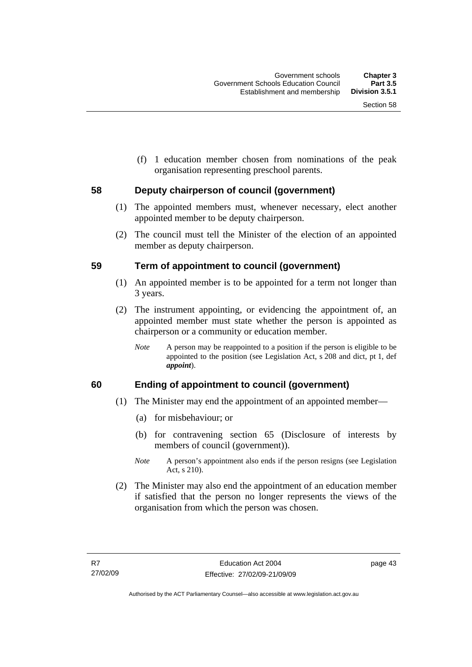(f) 1 education member chosen from nominations of the peak organisation representing preschool parents.

#### **58 Deputy chairperson of council (government)**

- (1) The appointed members must, whenever necessary, elect another appointed member to be deputy chairperson.
- (2) The council must tell the Minister of the election of an appointed member as deputy chairperson.

#### **59 Term of appointment to council (government)**

- (1) An appointed member is to be appointed for a term not longer than 3 years.
- (2) The instrument appointing, or evidencing the appointment of, an appointed member must state whether the person is appointed as chairperson or a community or education member.
	- *Note* A person may be reappointed to a position if the person is eligible to be appointed to the position (see Legislation Act, s 208 and dict, pt 1, def *appoint*).

#### **60 Ending of appointment to council (government)**

- (1) The Minister may end the appointment of an appointed member—
	- (a) for misbehaviour; or
	- (b) for contravening section 65 (Disclosure of interests by members of council (government)).
	- *Note* A person's appointment also ends if the person resigns (see Legislation Act, s 210).
- (2) The Minister may also end the appointment of an education member if satisfied that the person no longer represents the views of the organisation from which the person was chosen.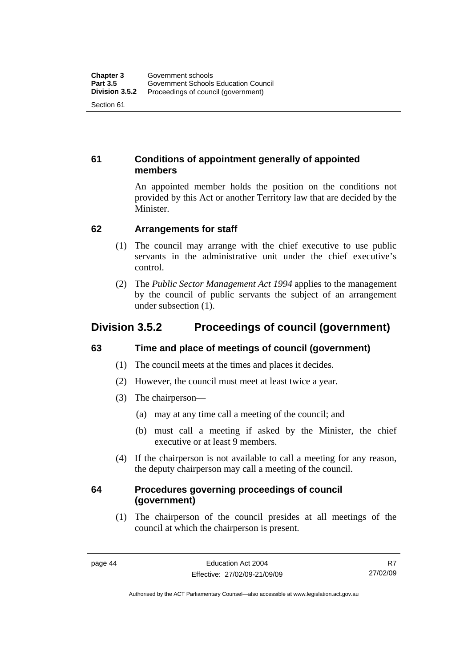#### **61 Conditions of appointment generally of appointed members**

An appointed member holds the position on the conditions not provided by this Act or another Territory law that are decided by the Minister.

#### **62 Arrangements for staff**

- (1) The council may arrange with the chief executive to use public servants in the administrative unit under the chief executive's control.
- (2) The *Public Sector Management Act 1994* applies to the management by the council of public servants the subject of an arrangement under subsection (1).

# **Division 3.5.2 Proceedings of council (government)**

#### **63 Time and place of meetings of council (government)**

- (1) The council meets at the times and places it decides.
- (2) However, the council must meet at least twice a year.
- (3) The chairperson—
	- (a) may at any time call a meeting of the council; and
	- (b) must call a meeting if asked by the Minister, the chief executive or at least 9 members.
- (4) If the chairperson is not available to call a meeting for any reason, the deputy chairperson may call a meeting of the council.

#### **64 Procedures governing proceedings of council (government)**

 (1) The chairperson of the council presides at all meetings of the council at which the chairperson is present.

R7 27/02/09

Authorised by the ACT Parliamentary Counsel—also accessible at www.legislation.act.gov.au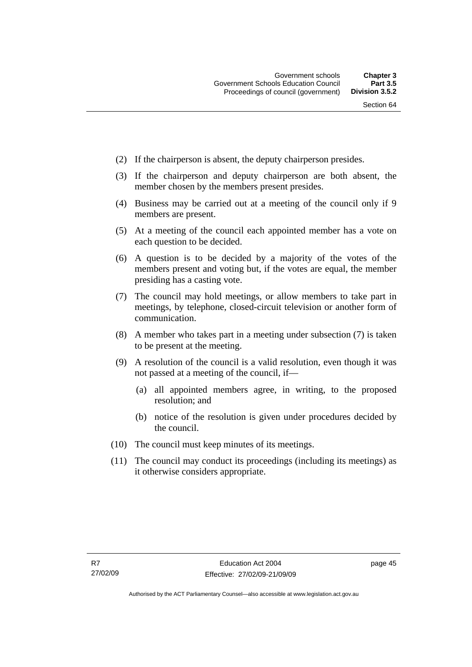- (2) If the chairperson is absent, the deputy chairperson presides.
- (3) If the chairperson and deputy chairperson are both absent, the member chosen by the members present presides.
- (4) Business may be carried out at a meeting of the council only if 9 members are present.
- (5) At a meeting of the council each appointed member has a vote on each question to be decided.
- (6) A question is to be decided by a majority of the votes of the members present and voting but, if the votes are equal, the member presiding has a casting vote.
- (7) The council may hold meetings, or allow members to take part in meetings, by telephone, closed-circuit television or another form of communication.
- (8) A member who takes part in a meeting under subsection (7) is taken to be present at the meeting.
- (9) A resolution of the council is a valid resolution, even though it was not passed at a meeting of the council, if—
	- (a) all appointed members agree, in writing, to the proposed resolution; and
	- (b) notice of the resolution is given under procedures decided by the council.
- (10) The council must keep minutes of its meetings.
- (11) The council may conduct its proceedings (including its meetings) as it otherwise considers appropriate.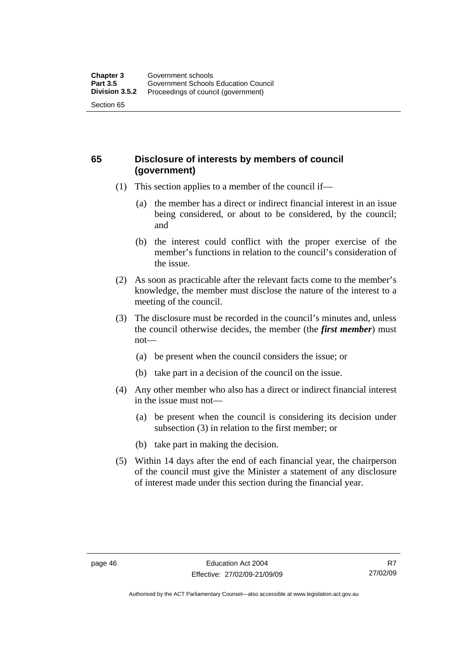#### **65 Disclosure of interests by members of council (government)**

- (1) This section applies to a member of the council if—
	- (a) the member has a direct or indirect financial interest in an issue being considered, or about to be considered, by the council; and
	- (b) the interest could conflict with the proper exercise of the member's functions in relation to the council's consideration of the issue.
- (2) As soon as practicable after the relevant facts come to the member's knowledge, the member must disclose the nature of the interest to a meeting of the council.
- (3) The disclosure must be recorded in the council's minutes and, unless the council otherwise decides, the member (the *first member*) must not—
	- (a) be present when the council considers the issue; or
	- (b) take part in a decision of the council on the issue.
- (4) Any other member who also has a direct or indirect financial interest in the issue must not—
	- (a) be present when the council is considering its decision under subsection (3) in relation to the first member; or
	- (b) take part in making the decision.
- (5) Within 14 days after the end of each financial year, the chairperson of the council must give the Minister a statement of any disclosure of interest made under this section during the financial year.

Authorised by the ACT Parliamentary Counsel—also accessible at www.legislation.act.gov.au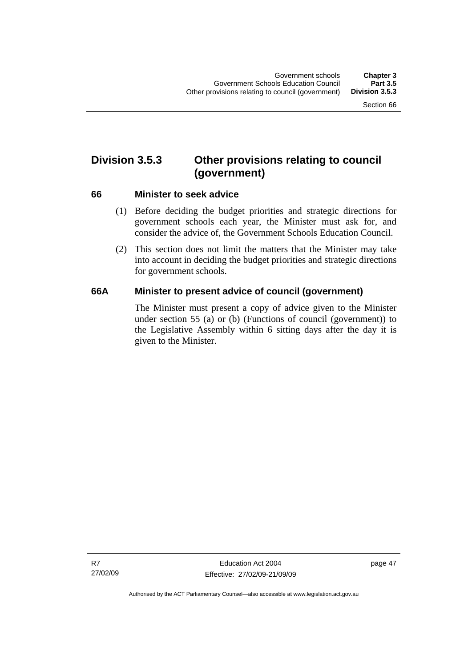# **Division 3.5.3 Other provisions relating to council (government)**

#### **66 Minister to seek advice**

- (1) Before deciding the budget priorities and strategic directions for government schools each year, the Minister must ask for, and consider the advice of, the Government Schools Education Council.
- (2) This section does not limit the matters that the Minister may take into account in deciding the budget priorities and strategic directions for government schools.

#### **66A Minister to present advice of council (government)**

The Minister must present a copy of advice given to the Minister under section 55 (a) or (b) (Functions of council (government)) to the Legislative Assembly within 6 sitting days after the day it is given to the Minister.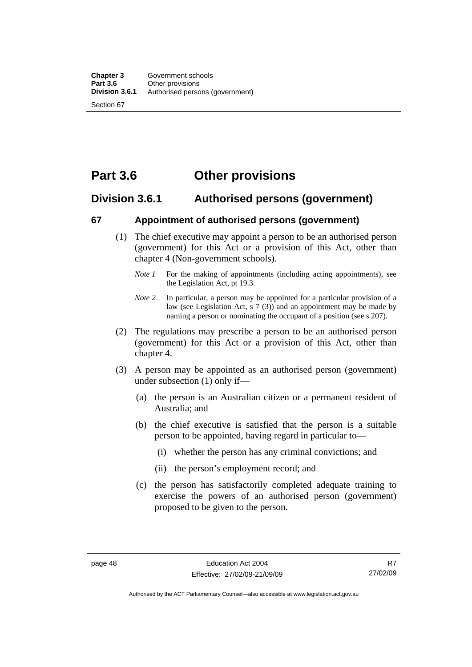# **Part 3.6 Other provisions**

#### **Division 3.6.1 Authorised persons (government)**

#### **67 Appointment of authorised persons (government)**

- (1) The chief executive may appoint a person to be an authorised person (government) for this Act or a provision of this Act, other than chapter 4 (Non-government schools).
	- *Note 1* For the making of appointments (including acting appointments), see the Legislation Act, pt 19.3.
	- *Note 2* In particular, a person may be appointed for a particular provision of a law (see Legislation Act, s 7 (3)) and an appointment may be made by naming a person or nominating the occupant of a position (see s 207).
- (2) The regulations may prescribe a person to be an authorised person (government) for this Act or a provision of this Act, other than chapter 4.
- (3) A person may be appointed as an authorised person (government) under subsection (1) only if—
	- (a) the person is an Australian citizen or a permanent resident of Australia; and
	- (b) the chief executive is satisfied that the person is a suitable person to be appointed, having regard in particular to—
		- (i) whether the person has any criminal convictions; and
		- (ii) the person's employment record; and
	- (c) the person has satisfactorily completed adequate training to exercise the powers of an authorised person (government) proposed to be given to the person.

R7 27/02/09

Authorised by the ACT Parliamentary Counsel—also accessible at www.legislation.act.gov.au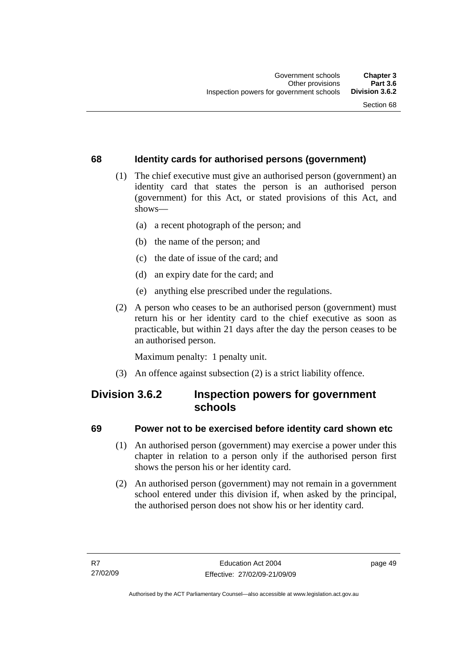#### **68 Identity cards for authorised persons (government)**

- (1) The chief executive must give an authorised person (government) an identity card that states the person is an authorised person (government) for this Act, or stated provisions of this Act, and shows—
	- (a) a recent photograph of the person; and
	- (b) the name of the person; and
	- (c) the date of issue of the card; and
	- (d) an expiry date for the card; and
	- (e) anything else prescribed under the regulations.
- (2) A person who ceases to be an authorised person (government) must return his or her identity card to the chief executive as soon as practicable, but within 21 days after the day the person ceases to be an authorised person.

Maximum penalty: 1 penalty unit.

(3) An offence against subsection (2) is a strict liability offence.

# **Division 3.6.2 Inspection powers for government schools**

#### **69 Power not to be exercised before identity card shown etc**

- (1) An authorised person (government) may exercise a power under this chapter in relation to a person only if the authorised person first shows the person his or her identity card.
- (2) An authorised person (government) may not remain in a government school entered under this division if, when asked by the principal, the authorised person does not show his or her identity card.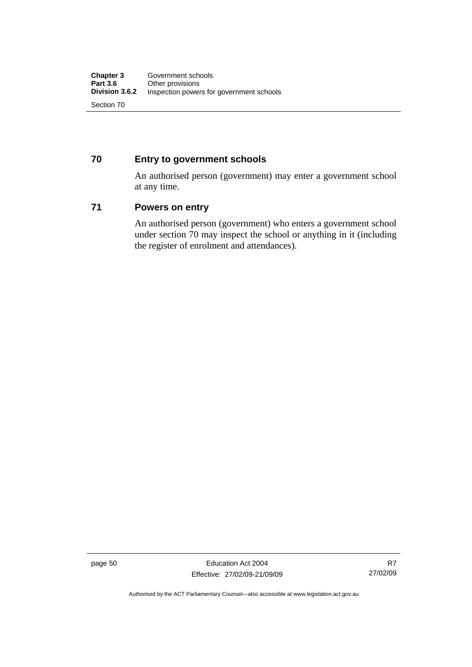#### **70 Entry to government schools**

An authorised person (government) may enter a government school at any time.

#### **71 Powers on entry**

An authorised person (government) who enters a government school under section 70 may inspect the school or anything in it (including the register of enrolment and attendances).

page 50 Education Act 2004 Effective: 27/02/09-21/09/09

R7 27/02/09

Authorised by the ACT Parliamentary Counsel—also accessible at www.legislation.act.gov.au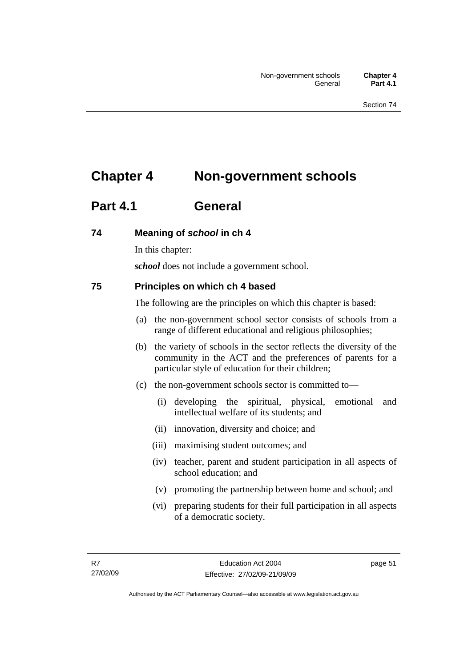# **Chapter 4 Non-government schools**

# **Part 4.1 General**

#### **74 Meaning of** *school* **in ch 4**

In this chapter:

*school* does not include a government school.

#### **75 Principles on which ch 4 based**

The following are the principles on which this chapter is based:

- (a) the non-government school sector consists of schools from a range of different educational and religious philosophies;
- (b) the variety of schools in the sector reflects the diversity of the community in the ACT and the preferences of parents for a particular style of education for their children;
- (c) the non-government schools sector is committed to—
	- (i) developing the spiritual, physical, emotional and intellectual welfare of its students; and
	- (ii) innovation, diversity and choice; and
	- (iii) maximising student outcomes; and
	- (iv) teacher, parent and student participation in all aspects of school education; and
	- (v) promoting the partnership between home and school; and
	- (vi) preparing students for their full participation in all aspects of a democratic society.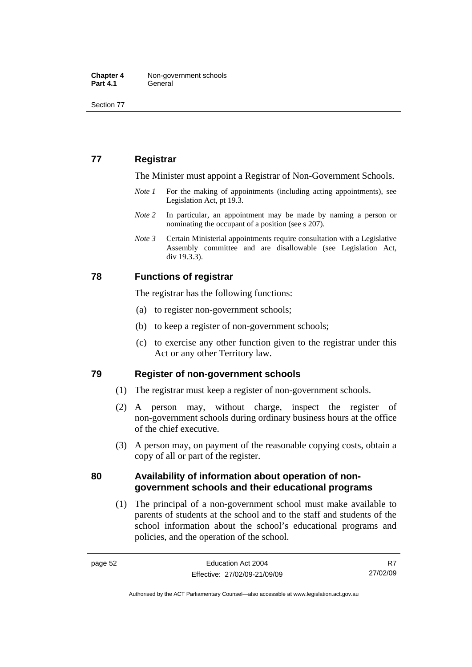Section 77

### **77 Registrar**

The Minister must appoint a Registrar of Non-Government Schools.

- *Note 1* For the making of appointments (including acting appointments), see Legislation Act, pt 19.3.
- *Note* 2 In particular, an appointment may be made by naming a person or nominating the occupant of a position (see s 207).
- *Note 3* Certain Ministerial appointments require consultation with a Legislative Assembly committee and are disallowable (see Legislation Act, div 19.3.3).

#### **78 Functions of registrar**

The registrar has the following functions:

- (a) to register non-government schools;
- (b) to keep a register of non-government schools;
- (c) to exercise any other function given to the registrar under this Act or any other Territory law.

#### **79 Register of non-government schools**

- (1) The registrar must keep a register of non-government schools.
- (2) A person may, without charge, inspect the register of non-government schools during ordinary business hours at the office of the chief executive.
- (3) A person may, on payment of the reasonable copying costs, obtain a copy of all or part of the register.

#### **80 Availability of information about operation of nongovernment schools and their educational programs**

 (1) The principal of a non-government school must make available to parents of students at the school and to the staff and students of the school information about the school's educational programs and policies, and the operation of the school.

R7 27/02/09

Authorised by the ACT Parliamentary Counsel—also accessible at www.legislation.act.gov.au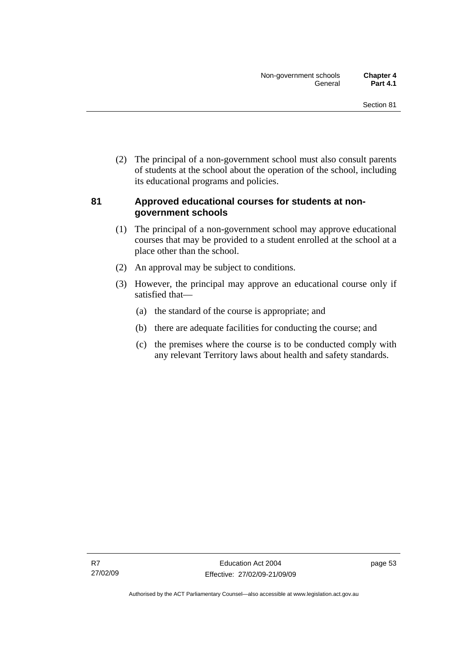(2) The principal of a non-government school must also consult parents of students at the school about the operation of the school, including its educational programs and policies.

#### **81 Approved educational courses for students at nongovernment schools**

- (1) The principal of a non-government school may approve educational courses that may be provided to a student enrolled at the school at a place other than the school.
- (2) An approval may be subject to conditions.
- (3) However, the principal may approve an educational course only if satisfied that—
	- (a) the standard of the course is appropriate; and
	- (b) there are adequate facilities for conducting the course; and
	- (c) the premises where the course is to be conducted comply with any relevant Territory laws about health and safety standards.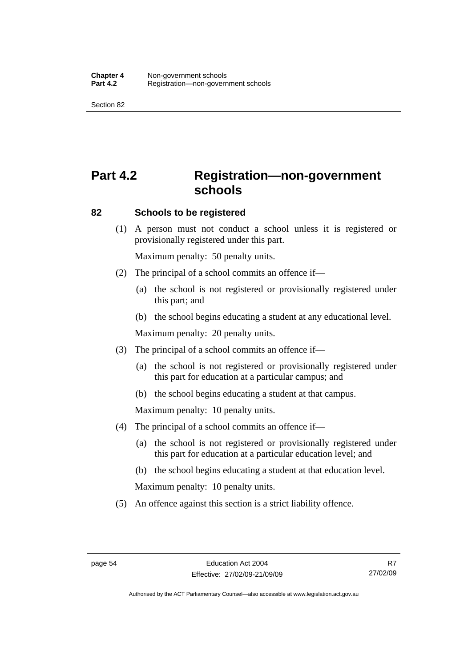Section 82

# **Part 4.2 Registration—non-government schools**

#### **82 Schools to be registered**

 (1) A person must not conduct a school unless it is registered or provisionally registered under this part.

Maximum penalty: 50 penalty units.

- (2) The principal of a school commits an offence if—
	- (a) the school is not registered or provisionally registered under this part; and
	- (b) the school begins educating a student at any educational level.

Maximum penalty: 20 penalty units.

- (3) The principal of a school commits an offence if—
	- (a) the school is not registered or provisionally registered under this part for education at a particular campus; and
	- (b) the school begins educating a student at that campus.

Maximum penalty: 10 penalty units.

- (4) The principal of a school commits an offence if—
	- (a) the school is not registered or provisionally registered under this part for education at a particular education level; and
	- (b) the school begins educating a student at that education level.

Maximum penalty: 10 penalty units.

(5) An offence against this section is a strict liability offence.

R7 27/02/09

Authorised by the ACT Parliamentary Counsel—also accessible at www.legislation.act.gov.au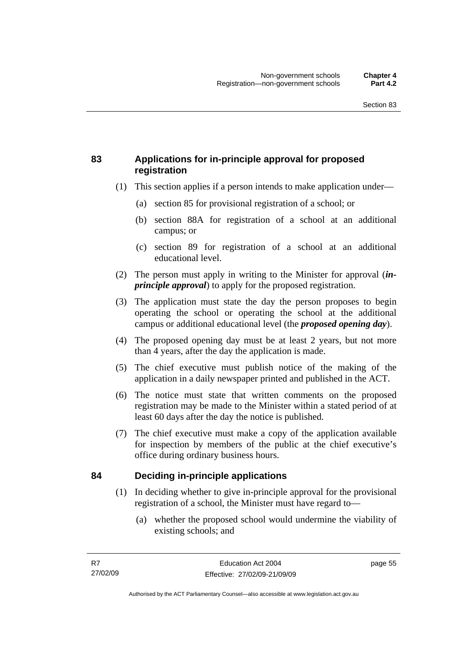#### **83 Applications for in-principle approval for proposed registration**

- (1) This section applies if a person intends to make application under—
	- (a) section 85 for provisional registration of a school; or
	- (b) section 88A for registration of a school at an additional campus; or
	- (c) section 89 for registration of a school at an additional educational level.
- (2) The person must apply in writing to the Minister for approval (*inprinciple approval*) to apply for the proposed registration.
- (3) The application must state the day the person proposes to begin operating the school or operating the school at the additional campus or additional educational level (the *proposed opening day*).
- (4) The proposed opening day must be at least 2 years, but not more than 4 years, after the day the application is made.
- (5) The chief executive must publish notice of the making of the application in a daily newspaper printed and published in the ACT.
- (6) The notice must state that written comments on the proposed registration may be made to the Minister within a stated period of at least 60 days after the day the notice is published.
- (7) The chief executive must make a copy of the application available for inspection by members of the public at the chief executive's office during ordinary business hours.

#### **84 Deciding in-principle applications**

- (1) In deciding whether to give in-principle approval for the provisional registration of a school, the Minister must have regard to—
	- (a) whether the proposed school would undermine the viability of existing schools; and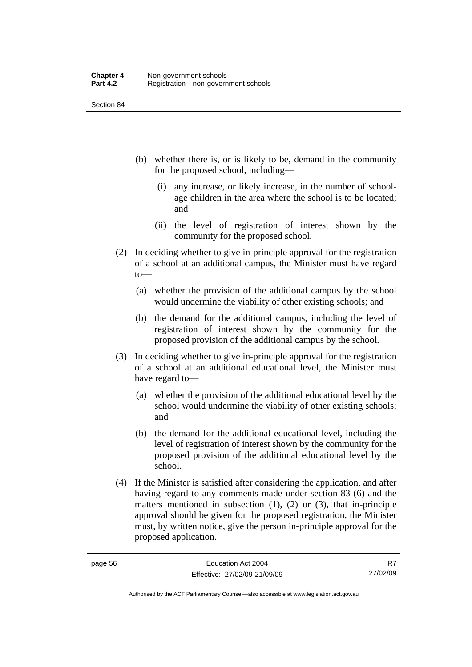Section 84

- (b) whether there is, or is likely to be, demand in the community for the proposed school, including—
	- (i) any increase, or likely increase, in the number of schoolage children in the area where the school is to be located; and
	- (ii) the level of registration of interest shown by the community for the proposed school.
- (2) In deciding whether to give in-principle approval for the registration of a school at an additional campus, the Minister must have regard to—
	- (a) whether the provision of the additional campus by the school would undermine the viability of other existing schools; and
	- (b) the demand for the additional campus, including the level of registration of interest shown by the community for the proposed provision of the additional campus by the school.
- (3) In deciding whether to give in-principle approval for the registration of a school at an additional educational level, the Minister must have regard to—
	- (a) whether the provision of the additional educational level by the school would undermine the viability of other existing schools; and
	- (b) the demand for the additional educational level, including the level of registration of interest shown by the community for the proposed provision of the additional educational level by the school.
- (4) If the Minister is satisfied after considering the application, and after having regard to any comments made under section 83 (6) and the matters mentioned in subsection  $(1)$ ,  $(2)$  or  $(3)$ , that in-principle approval should be given for the proposed registration, the Minister must, by written notice, give the person in-principle approval for the proposed application.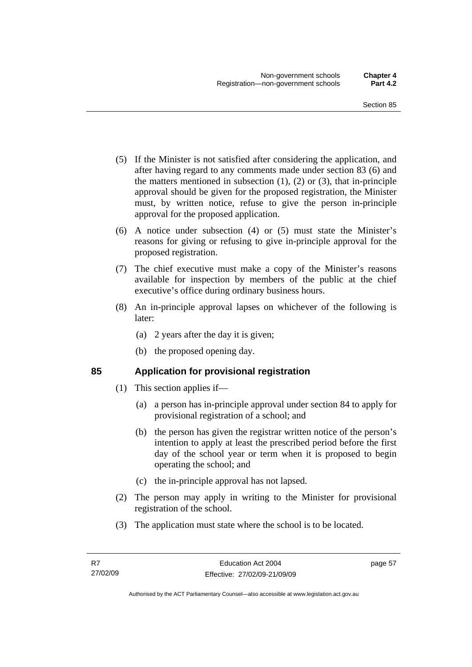- (5) If the Minister is not satisfied after considering the application, and after having regard to any comments made under section 83 (6) and the matters mentioned in subsection  $(1)$ ,  $(2)$  or  $(3)$ , that in-principle approval should be given for the proposed registration, the Minister must, by written notice, refuse to give the person in-principle approval for the proposed application.
- (6) A notice under subsection (4) or (5) must state the Minister's reasons for giving or refusing to give in-principle approval for the proposed registration.
- (7) The chief executive must make a copy of the Minister's reasons available for inspection by members of the public at the chief executive's office during ordinary business hours.
- (8) An in-principle approval lapses on whichever of the following is later:
	- (a) 2 years after the day it is given;
	- (b) the proposed opening day.

#### **85 Application for provisional registration**

- (1) This section applies if—
	- (a) a person has in-principle approval under section 84 to apply for provisional registration of a school; and
	- (b) the person has given the registrar written notice of the person's intention to apply at least the prescribed period before the first day of the school year or term when it is proposed to begin operating the school; and
	- (c) the in-principle approval has not lapsed.
- (2) The person may apply in writing to the Minister for provisional registration of the school.
- (3) The application must state where the school is to be located.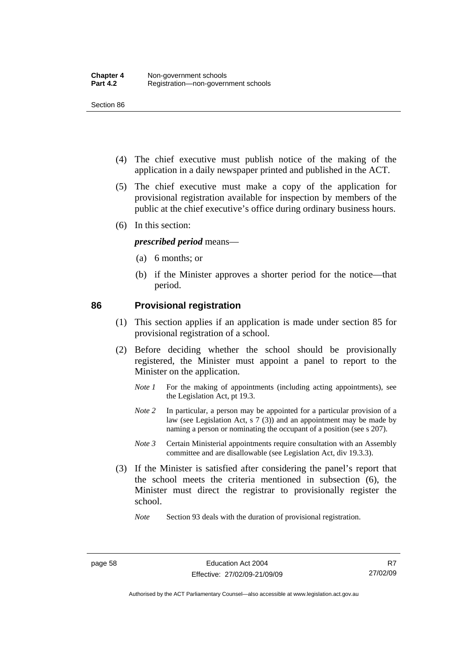Section 86

- (4) The chief executive must publish notice of the making of the application in a daily newspaper printed and published in the ACT.
- (5) The chief executive must make a copy of the application for provisional registration available for inspection by members of the public at the chief executive's office during ordinary business hours.
- (6) In this section:

#### *prescribed period* means—

- (a) 6 months; or
- (b) if the Minister approves a shorter period for the notice—that period.

#### **86 Provisional registration**

- (1) This section applies if an application is made under section 85 for provisional registration of a school.
- (2) Before deciding whether the school should be provisionally registered, the Minister must appoint a panel to report to the Minister on the application.
	- *Note 1* For the making of appointments (including acting appointments), see the Legislation Act, pt 19.3.
	- *Note 2* In particular, a person may be appointed for a particular provision of a law (see Legislation Act, s 7 (3)) and an appointment may be made by naming a person or nominating the occupant of a position (see s 207).
	- *Note 3* Certain Ministerial appointments require consultation with an Assembly committee and are disallowable (see Legislation Act, div 19.3.3).
- (3) If the Minister is satisfied after considering the panel's report that the school meets the criteria mentioned in subsection (6), the Minister must direct the registrar to provisionally register the school.

*Note* Section 93 deals with the duration of provisional registration.

R7 27/02/09

Authorised by the ACT Parliamentary Counsel—also accessible at www.legislation.act.gov.au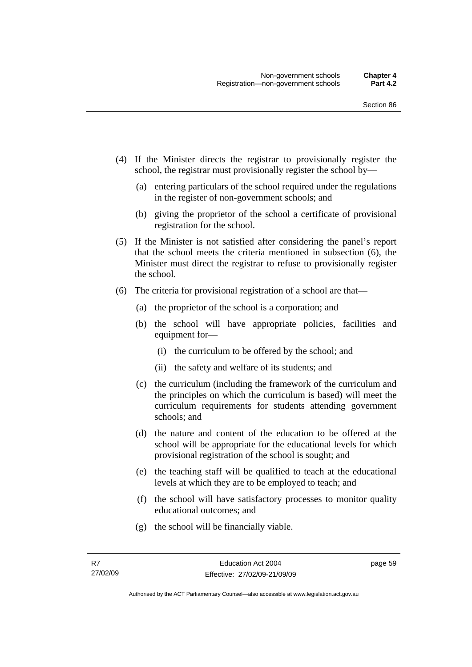- (4) If the Minister directs the registrar to provisionally register the school, the registrar must provisionally register the school by—
	- (a) entering particulars of the school required under the regulations in the register of non-government schools; and
	- (b) giving the proprietor of the school a certificate of provisional registration for the school.
- (5) If the Minister is not satisfied after considering the panel's report that the school meets the criteria mentioned in subsection (6), the Minister must direct the registrar to refuse to provisionally register the school.
- (6) The criteria for provisional registration of a school are that—
	- (a) the proprietor of the school is a corporation; and
	- (b) the school will have appropriate policies, facilities and equipment for—
		- (i) the curriculum to be offered by the school; and
		- (ii) the safety and welfare of its students; and
	- (c) the curriculum (including the framework of the curriculum and the principles on which the curriculum is based) will meet the curriculum requirements for students attending government schools; and
	- (d) the nature and content of the education to be offered at the school will be appropriate for the educational levels for which provisional registration of the school is sought; and
	- (e) the teaching staff will be qualified to teach at the educational levels at which they are to be employed to teach; and
	- (f) the school will have satisfactory processes to monitor quality educational outcomes; and
	- (g) the school will be financially viable.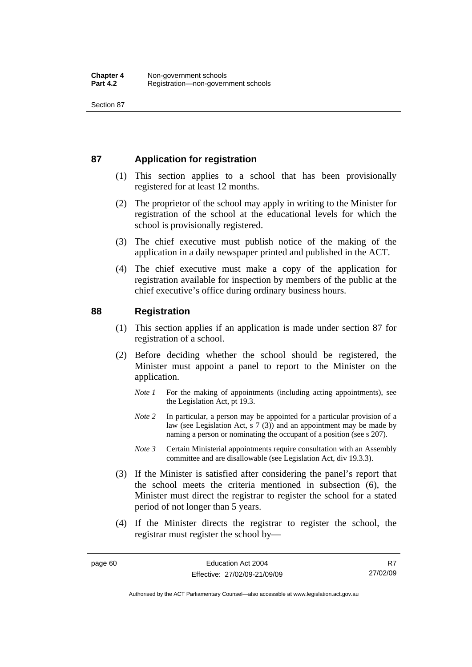#### **87 Application for registration**

- (1) This section applies to a school that has been provisionally registered for at least 12 months.
- (2) The proprietor of the school may apply in writing to the Minister for registration of the school at the educational levels for which the school is provisionally registered.
- (3) The chief executive must publish notice of the making of the application in a daily newspaper printed and published in the ACT.
- (4) The chief executive must make a copy of the application for registration available for inspection by members of the public at the chief executive's office during ordinary business hours.

#### **88 Registration**

- (1) This section applies if an application is made under section 87 for registration of a school.
- (2) Before deciding whether the school should be registered, the Minister must appoint a panel to report to the Minister on the application.
	- *Note 1* For the making of appointments (including acting appointments), see the Legislation Act, pt 19.3.
	- *Note* 2 In particular, a person may be appointed for a particular provision of a law (see Legislation Act, s 7 (3)) and an appointment may be made by naming a person or nominating the occupant of a position (see s 207).
	- *Note 3* Certain Ministerial appointments require consultation with an Assembly committee and are disallowable (see Legislation Act, div 19.3.3).
- (3) If the Minister is satisfied after considering the panel's report that the school meets the criteria mentioned in subsection (6), the Minister must direct the registrar to register the school for a stated period of not longer than 5 years.
- (4) If the Minister directs the registrar to register the school, the registrar must register the school by—

R7 27/02/09

Authorised by the ACT Parliamentary Counsel—also accessible at www.legislation.act.gov.au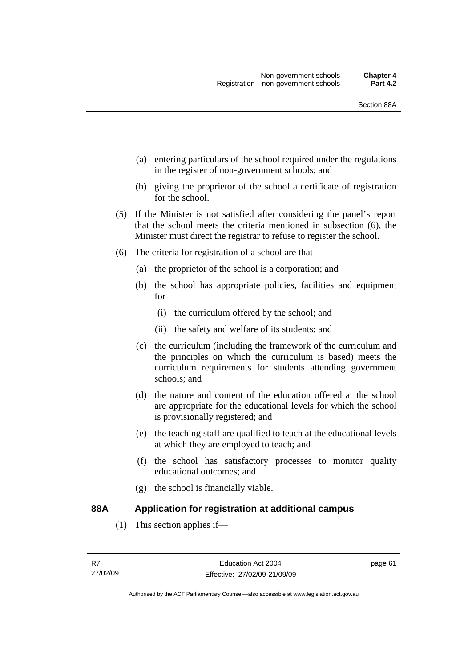- (a) entering particulars of the school required under the regulations in the register of non-government schools; and
- (b) giving the proprietor of the school a certificate of registration for the school.
- (5) If the Minister is not satisfied after considering the panel's report that the school meets the criteria mentioned in subsection (6), the Minister must direct the registrar to refuse to register the school.
- (6) The criteria for registration of a school are that—
	- (a) the proprietor of the school is a corporation; and
	- (b) the school has appropriate policies, facilities and equipment for—
		- (i) the curriculum offered by the school; and
		- (ii) the safety and welfare of its students; and
	- (c) the curriculum (including the framework of the curriculum and the principles on which the curriculum is based) meets the curriculum requirements for students attending government schools; and
	- (d) the nature and content of the education offered at the school are appropriate for the educational levels for which the school is provisionally registered; and
	- (e) the teaching staff are qualified to teach at the educational levels at which they are employed to teach; and
	- (f) the school has satisfactory processes to monitor quality educational outcomes; and
	- (g) the school is financially viable.

#### **88A Application for registration at additional campus**

(1) This section applies if—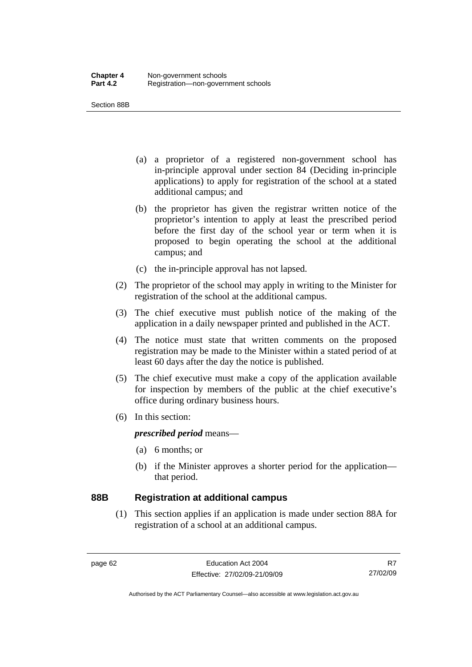Section 88B

- (a) a proprietor of a registered non-government school has in-principle approval under section 84 (Deciding in-principle applications) to apply for registration of the school at a stated additional campus; and
- (b) the proprietor has given the registrar written notice of the proprietor's intention to apply at least the prescribed period before the first day of the school year or term when it is proposed to begin operating the school at the additional campus; and
- (c) the in-principle approval has not lapsed.
- (2) The proprietor of the school may apply in writing to the Minister for registration of the school at the additional campus.
- (3) The chief executive must publish notice of the making of the application in a daily newspaper printed and published in the ACT.
- (4) The notice must state that written comments on the proposed registration may be made to the Minister within a stated period of at least 60 days after the day the notice is published.
- (5) The chief executive must make a copy of the application available for inspection by members of the public at the chief executive's office during ordinary business hours.
- (6) In this section:

*prescribed period* means—

- (a) 6 months; or
- (b) if the Minister approves a shorter period for the application that period.

#### **88B Registration at additional campus**

 (1) This section applies if an application is made under section 88A for registration of a school at an additional campus.

R7 27/02/09

Authorised by the ACT Parliamentary Counsel—also accessible at www.legislation.act.gov.au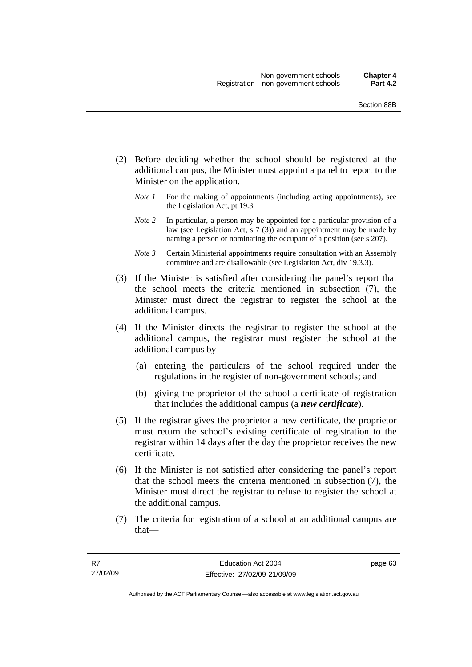- (2) Before deciding whether the school should be registered at the additional campus, the Minister must appoint a panel to report to the Minister on the application.
	- *Note 1* For the making of appointments (including acting appointments), see the Legislation Act, pt 19.3.
	- *Note 2* In particular, a person may be appointed for a particular provision of a law (see Legislation Act, s 7 (3)) and an appointment may be made by naming a person or nominating the occupant of a position (see s 207).
	- *Note 3* Certain Ministerial appointments require consultation with an Assembly committee and are disallowable (see Legislation Act, div 19.3.3).
- (3) If the Minister is satisfied after considering the panel's report that the school meets the criteria mentioned in subsection (7), the Minister must direct the registrar to register the school at the additional campus.
- (4) If the Minister directs the registrar to register the school at the additional campus, the registrar must register the school at the additional campus by—
	- (a) entering the particulars of the school required under the regulations in the register of non-government schools; and
	- (b) giving the proprietor of the school a certificate of registration that includes the additional campus (a *new certificate*).
- (5) If the registrar gives the proprietor a new certificate, the proprietor must return the school's existing certificate of registration to the registrar within 14 days after the day the proprietor receives the new certificate.
- (6) If the Minister is not satisfied after considering the panel's report that the school meets the criteria mentioned in subsection (7), the Minister must direct the registrar to refuse to register the school at the additional campus.
- (7) The criteria for registration of a school at an additional campus are that—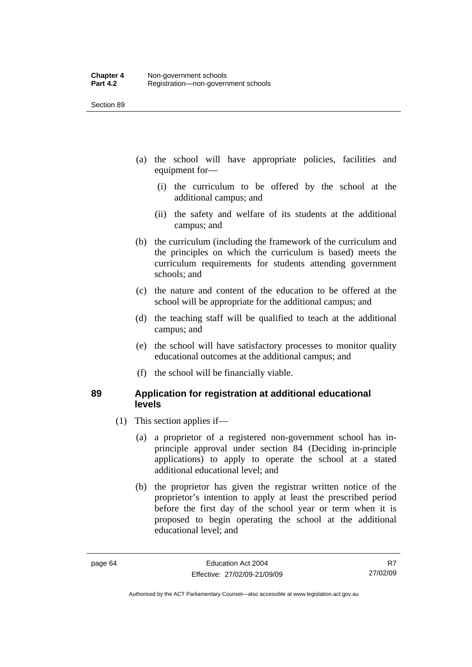- (a) the school will have appropriate policies, facilities and equipment for—
	- (i) the curriculum to be offered by the school at the additional campus; and
	- (ii) the safety and welfare of its students at the additional campus; and
- (b) the curriculum (including the framework of the curriculum and the principles on which the curriculum is based) meets the curriculum requirements for students attending government schools; and
- (c) the nature and content of the education to be offered at the school will be appropriate for the additional campus; and
- (d) the teaching staff will be qualified to teach at the additional campus; and
- (e) the school will have satisfactory processes to monitor quality educational outcomes at the additional campus; and
- (f) the school will be financially viable.

#### **89 Application for registration at additional educational levels**

- (1) This section applies if—
	- (a) a proprietor of a registered non-government school has inprinciple approval under section 84 (Deciding in-principle applications) to apply to operate the school at a stated additional educational level; and
	- (b) the proprietor has given the registrar written notice of the proprietor's intention to apply at least the prescribed period before the first day of the school year or term when it is proposed to begin operating the school at the additional educational level; and

R7 27/02/09

Authorised by the ACT Parliamentary Counsel—also accessible at www.legislation.act.gov.au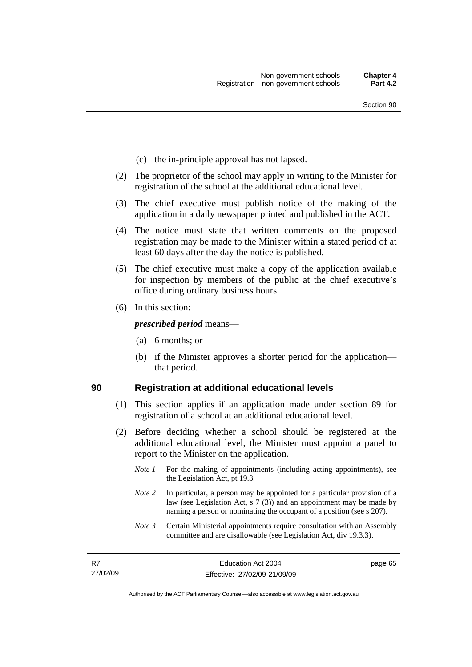- (c) the in-principle approval has not lapsed.
- (2) The proprietor of the school may apply in writing to the Minister for registration of the school at the additional educational level.
- (3) The chief executive must publish notice of the making of the application in a daily newspaper printed and published in the ACT.
- (4) The notice must state that written comments on the proposed registration may be made to the Minister within a stated period of at least 60 days after the day the notice is published.
- (5) The chief executive must make a copy of the application available for inspection by members of the public at the chief executive's office during ordinary business hours.
- (6) In this section:

*prescribed period* means—

- (a) 6 months; or
- (b) if the Minister approves a shorter period for the application that period.

#### **90 Registration at additional educational levels**

- (1) This section applies if an application made under section 89 for registration of a school at an additional educational level.
- (2) Before deciding whether a school should be registered at the additional educational level, the Minister must appoint a panel to report to the Minister on the application.
	- *Note 1* For the making of appointments (including acting appointments), see the Legislation Act, pt 19.3.
	- *Note* 2 In particular, a person may be appointed for a particular provision of a law (see Legislation Act, s 7 (3)) and an appointment may be made by naming a person or nominating the occupant of a position (see s 207).
	- *Note 3* Certain Ministerial appointments require consultation with an Assembly committee and are disallowable (see Legislation Act, div 19.3.3).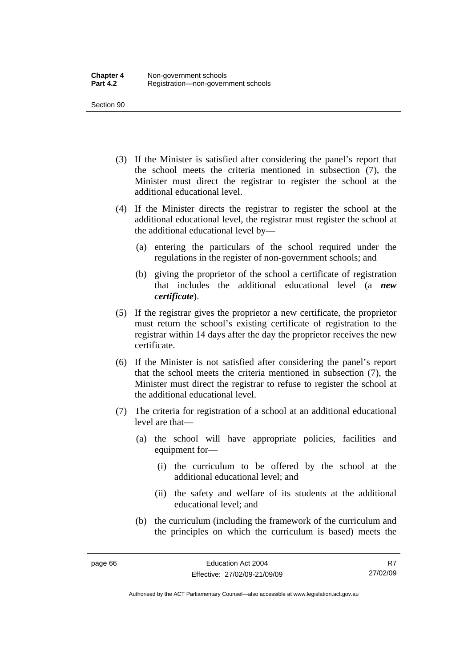- (3) If the Minister is satisfied after considering the panel's report that the school meets the criteria mentioned in subsection (7), the Minister must direct the registrar to register the school at the additional educational level.
- (4) If the Minister directs the registrar to register the school at the additional educational level, the registrar must register the school at the additional educational level by—
	- (a) entering the particulars of the school required under the regulations in the register of non-government schools; and
	- (b) giving the proprietor of the school a certificate of registration that includes the additional educational level (a *new certificate*).
- (5) If the registrar gives the proprietor a new certificate, the proprietor must return the school's existing certificate of registration to the registrar within 14 days after the day the proprietor receives the new certificate.
- (6) If the Minister is not satisfied after considering the panel's report that the school meets the criteria mentioned in subsection (7), the Minister must direct the registrar to refuse to register the school at the additional educational level.
- (7) The criteria for registration of a school at an additional educational level are that—
	- (a) the school will have appropriate policies, facilities and equipment for—
		- (i) the curriculum to be offered by the school at the additional educational level; and
		- (ii) the safety and welfare of its students at the additional educational level; and
	- (b) the curriculum (including the framework of the curriculum and the principles on which the curriculum is based) meets the

Authorised by the ACT Parliamentary Counsel—also accessible at www.legislation.act.gov.au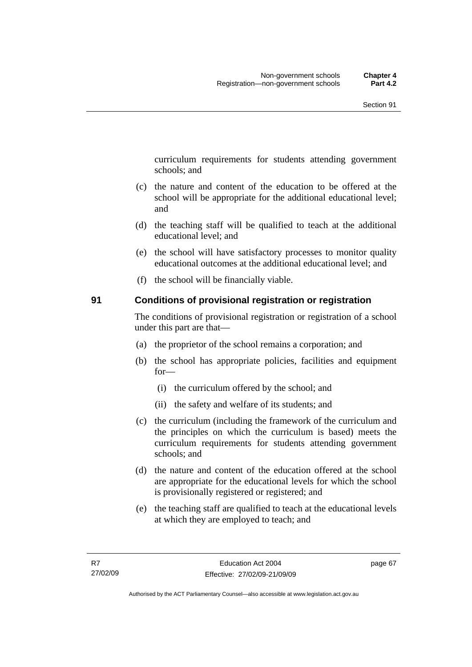curriculum requirements for students attending government schools; and

- (c) the nature and content of the education to be offered at the school will be appropriate for the additional educational level; and
- (d) the teaching staff will be qualified to teach at the additional educational level; and
- (e) the school will have satisfactory processes to monitor quality educational outcomes at the additional educational level; and
- (f) the school will be financially viable.

#### **91 Conditions of provisional registration or registration**

The conditions of provisional registration or registration of a school under this part are that—

- (a) the proprietor of the school remains a corporation; and
- (b) the school has appropriate policies, facilities and equipment for—
	- (i) the curriculum offered by the school; and
	- (ii) the safety and welfare of its students; and
- (c) the curriculum (including the framework of the curriculum and the principles on which the curriculum is based) meets the curriculum requirements for students attending government schools; and
- (d) the nature and content of the education offered at the school are appropriate for the educational levels for which the school is provisionally registered or registered; and
- (e) the teaching staff are qualified to teach at the educational levels at which they are employed to teach; and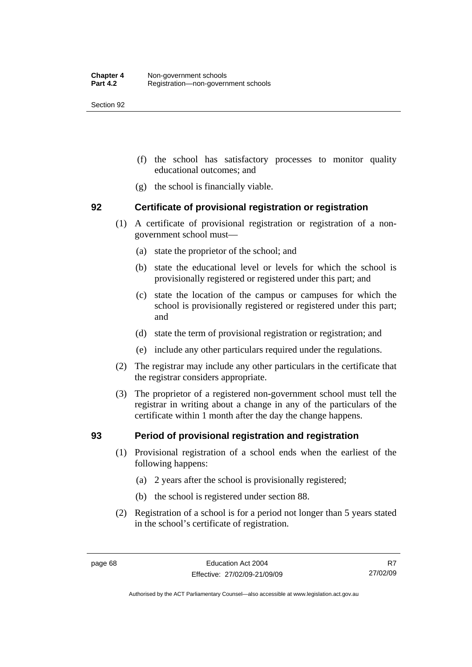- (f) the school has satisfactory processes to monitor quality educational outcomes; and
- (g) the school is financially viable.

#### **92 Certificate of provisional registration or registration**

- (1) A certificate of provisional registration or registration of a nongovernment school must—
	- (a) state the proprietor of the school; and
	- (b) state the educational level or levels for which the school is provisionally registered or registered under this part; and
	- (c) state the location of the campus or campuses for which the school is provisionally registered or registered under this part; and
	- (d) state the term of provisional registration or registration; and
	- (e) include any other particulars required under the regulations.
- (2) The registrar may include any other particulars in the certificate that the registrar considers appropriate.
- (3) The proprietor of a registered non-government school must tell the registrar in writing about a change in any of the particulars of the certificate within 1 month after the day the change happens.

#### **93 Period of provisional registration and registration**

- (1) Provisional registration of a school ends when the earliest of the following happens:
	- (a) 2 years after the school is provisionally registered;
	- (b) the school is registered under section 88.
- (2) Registration of a school is for a period not longer than 5 years stated in the school's certificate of registration.

R7 27/02/09

Authorised by the ACT Parliamentary Counsel—also accessible at www.legislation.act.gov.au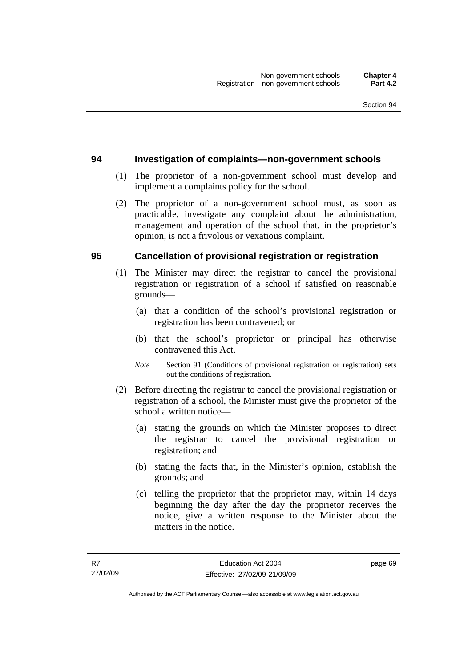#### **94 Investigation of complaints—non-government schools**

- (1) The proprietor of a non-government school must develop and implement a complaints policy for the school.
- (2) The proprietor of a non-government school must, as soon as practicable, investigate any complaint about the administration, management and operation of the school that, in the proprietor's opinion, is not a frivolous or vexatious complaint.

#### **95 Cancellation of provisional registration or registration**

- (1) The Minister may direct the registrar to cancel the provisional registration or registration of a school if satisfied on reasonable grounds—
	- (a) that a condition of the school's provisional registration or registration has been contravened; or
	- (b) that the school's proprietor or principal has otherwise contravened this Act.
	- *Note* Section 91 (Conditions of provisional registration or registration) sets out the conditions of registration.
- (2) Before directing the registrar to cancel the provisional registration or registration of a school, the Minister must give the proprietor of the school a written notice—
	- (a) stating the grounds on which the Minister proposes to direct the registrar to cancel the provisional registration or registration; and
	- (b) stating the facts that, in the Minister's opinion, establish the grounds; and
	- (c) telling the proprietor that the proprietor may, within 14 days beginning the day after the day the proprietor receives the notice, give a written response to the Minister about the matters in the notice.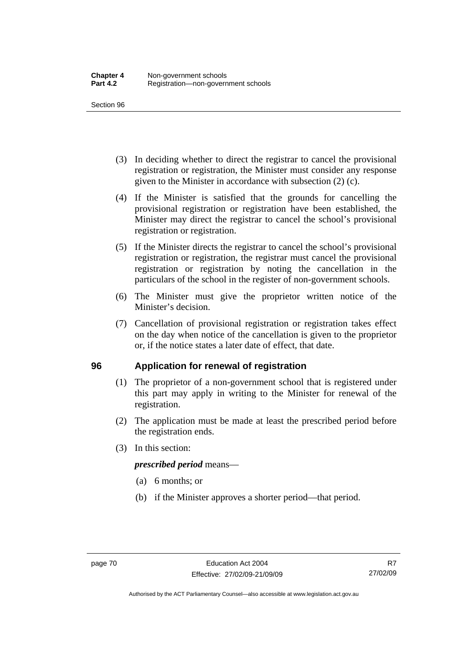- (3) In deciding whether to direct the registrar to cancel the provisional registration or registration, the Minister must consider any response given to the Minister in accordance with subsection (2) (c).
- (4) If the Minister is satisfied that the grounds for cancelling the provisional registration or registration have been established, the Minister may direct the registrar to cancel the school's provisional registration or registration.
- (5) If the Minister directs the registrar to cancel the school's provisional registration or registration, the registrar must cancel the provisional registration or registration by noting the cancellation in the particulars of the school in the register of non-government schools.
- (6) The Minister must give the proprietor written notice of the Minister's decision.
- (7) Cancellation of provisional registration or registration takes effect on the day when notice of the cancellation is given to the proprietor or, if the notice states a later date of effect, that date.

#### **96 Application for renewal of registration**

- (1) The proprietor of a non-government school that is registered under this part may apply in writing to the Minister for renewal of the registration.
- (2) The application must be made at least the prescribed period before the registration ends.
- (3) In this section:

#### *prescribed period* means—

- (a) 6 months; or
- (b) if the Minister approves a shorter period—that period.

Authorised by the ACT Parliamentary Counsel—also accessible at www.legislation.act.gov.au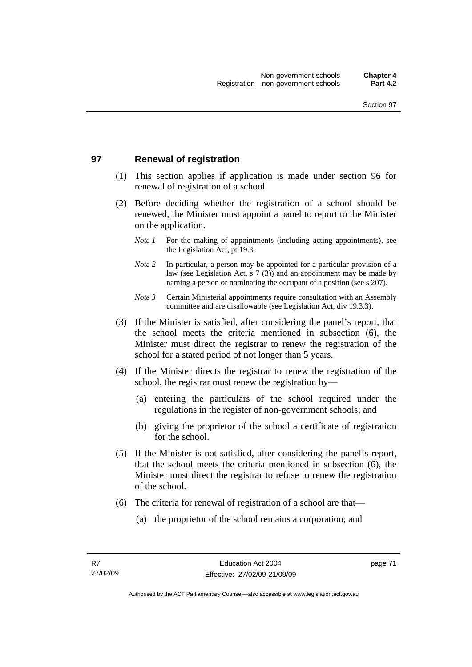#### **97 Renewal of registration**

- (1) This section applies if application is made under section 96 for renewal of registration of a school.
- (2) Before deciding whether the registration of a school should be renewed, the Minister must appoint a panel to report to the Minister on the application.
	- *Note 1* For the making of appointments (including acting appointments), see the Legislation Act, pt 19.3.
	- *Note 2* In particular, a person may be appointed for a particular provision of a law (see Legislation Act, s 7 (3)) and an appointment may be made by naming a person or nominating the occupant of a position (see s 207).
	- *Note 3* Certain Ministerial appointments require consultation with an Assembly committee and are disallowable (see Legislation Act, div 19.3.3).
- (3) If the Minister is satisfied, after considering the panel's report, that the school meets the criteria mentioned in subsection (6), the Minister must direct the registrar to renew the registration of the school for a stated period of not longer than 5 years.
- (4) If the Minister directs the registrar to renew the registration of the school, the registrar must renew the registration by—
	- (a) entering the particulars of the school required under the regulations in the register of non-government schools; and
	- (b) giving the proprietor of the school a certificate of registration for the school.
- (5) If the Minister is not satisfied, after considering the panel's report, that the school meets the criteria mentioned in subsection (6), the Minister must direct the registrar to refuse to renew the registration of the school.
- (6) The criteria for renewal of registration of a school are that—
	- (a) the proprietor of the school remains a corporation; and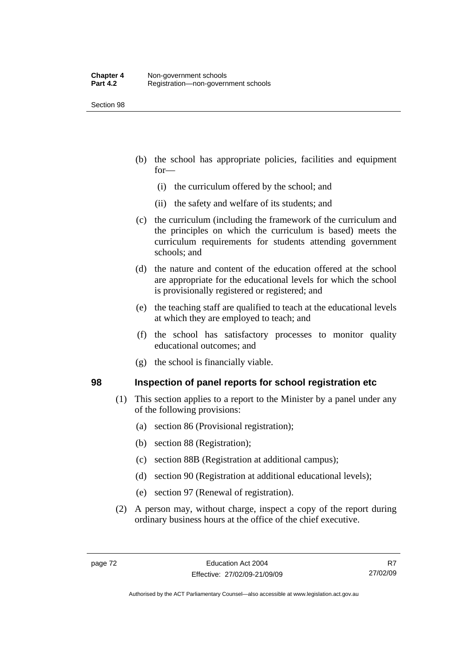- (b) the school has appropriate policies, facilities and equipment for—
	- (i) the curriculum offered by the school; and
	- (ii) the safety and welfare of its students; and
- (c) the curriculum (including the framework of the curriculum and the principles on which the curriculum is based) meets the curriculum requirements for students attending government schools; and
- (d) the nature and content of the education offered at the school are appropriate for the educational levels for which the school is provisionally registered or registered; and
- (e) the teaching staff are qualified to teach at the educational levels at which they are employed to teach; and
- (f) the school has satisfactory processes to monitor quality educational outcomes; and
- (g) the school is financially viable.

#### **98 Inspection of panel reports for school registration etc**

- (1) This section applies to a report to the Minister by a panel under any of the following provisions:
	- (a) section 86 (Provisional registration);
	- (b) section 88 (Registration);
	- (c) section 88B (Registration at additional campus);
	- (d) section 90 (Registration at additional educational levels);
	- (e) section 97 (Renewal of registration).
- (2) A person may, without charge, inspect a copy of the report during ordinary business hours at the office of the chief executive.

R7 27/02/09

Authorised by the ACT Parliamentary Counsel—also accessible at www.legislation.act.gov.au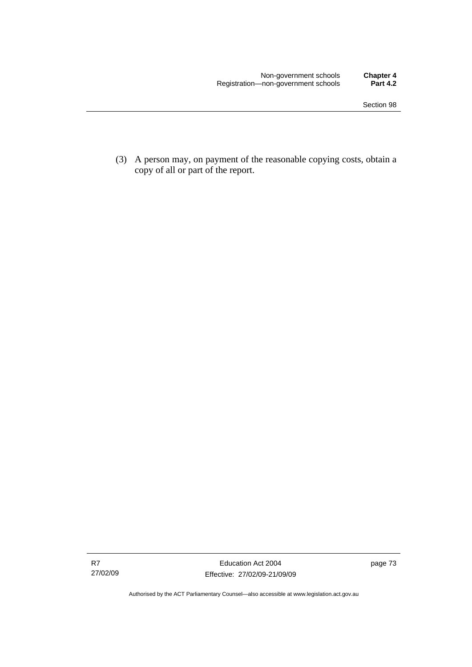(3) A person may, on payment of the reasonable copying costs, obtain a copy of all or part of the report.

Authorised by the ACT Parliamentary Counsel—also accessible at www.legislation.act.gov.au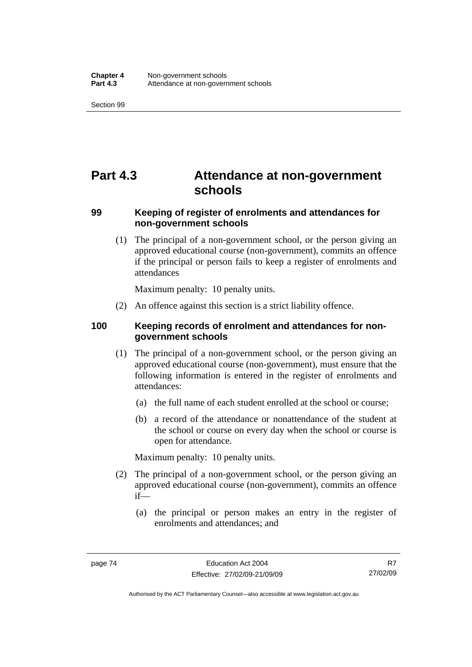## **Part 4.3 Attendance at non-government schools**

#### **99 Keeping of register of enrolments and attendances for non-government schools**

 (1) The principal of a non-government school, or the person giving an approved educational course (non-government), commits an offence if the principal or person fails to keep a register of enrolments and attendances

Maximum penalty: 10 penalty units.

(2) An offence against this section is a strict liability offence.

#### **100 Keeping records of enrolment and attendances for nongovernment schools**

- (1) The principal of a non-government school, or the person giving an approved educational course (non-government), must ensure that the following information is entered in the register of enrolments and attendances:
	- (a) the full name of each student enrolled at the school or course;
	- (b) a record of the attendance or nonattendance of the student at the school or course on every day when the school or course is open for attendance.

Maximum penalty: 10 penalty units.

- (2) The principal of a non-government school, or the person giving an approved educational course (non-government), commits an offence if—
	- (a) the principal or person makes an entry in the register of enrolments and attendances; and

Authorised by the ACT Parliamentary Counsel—also accessible at www.legislation.act.gov.au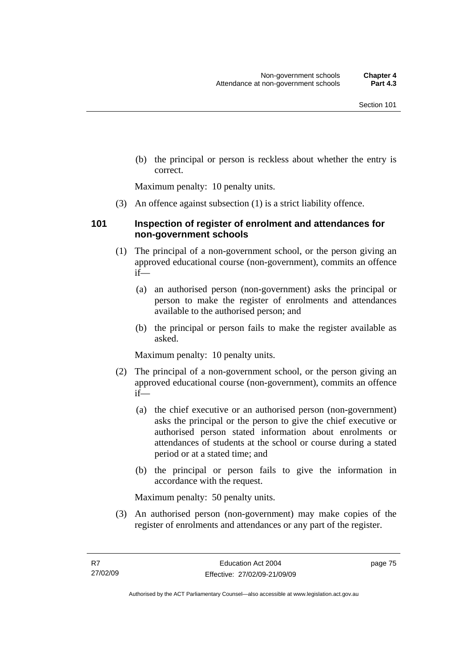(b) the principal or person is reckless about whether the entry is correct.

Maximum penalty: 10 penalty units.

(3) An offence against subsection (1) is a strict liability offence.

#### **101 Inspection of register of enrolment and attendances for non-government schools**

- (1) The principal of a non-government school, or the person giving an approved educational course (non-government), commits an offence if—
	- (a) an authorised person (non-government) asks the principal or person to make the register of enrolments and attendances available to the authorised person; and
	- (b) the principal or person fails to make the register available as asked.

Maximum penalty: 10 penalty units.

- (2) The principal of a non-government school, or the person giving an approved educational course (non-government), commits an offence if—
	- (a) the chief executive or an authorised person (non-government) asks the principal or the person to give the chief executive or authorised person stated information about enrolments or attendances of students at the school or course during a stated period or at a stated time; and
	- (b) the principal or person fails to give the information in accordance with the request.

Maximum penalty: 50 penalty units.

 (3) An authorised person (non-government) may make copies of the register of enrolments and attendances or any part of the register.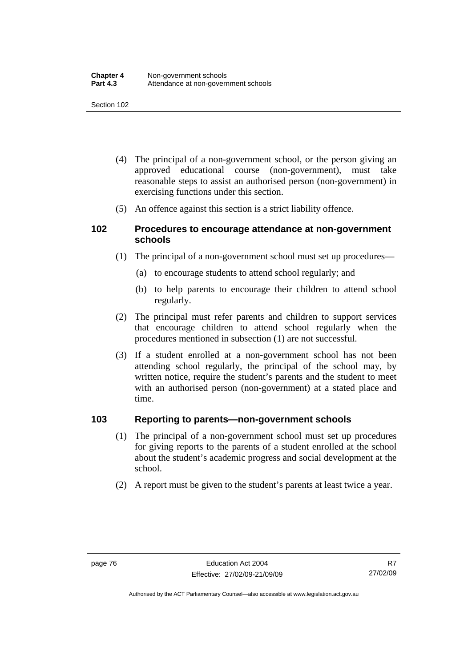- (4) The principal of a non-government school, or the person giving an approved educational course (non-government), must take reasonable steps to assist an authorised person (non-government) in exercising functions under this section.
- (5) An offence against this section is a strict liability offence.

#### **102 Procedures to encourage attendance at non-government schools**

- (1) The principal of a non-government school must set up procedures—
	- (a) to encourage students to attend school regularly; and
	- (b) to help parents to encourage their children to attend school regularly.
- (2) The principal must refer parents and children to support services that encourage children to attend school regularly when the procedures mentioned in subsection (1) are not successful.
- (3) If a student enrolled at a non-government school has not been attending school regularly, the principal of the school may, by written notice, require the student's parents and the student to meet with an authorised person (non-government) at a stated place and time.

#### **103 Reporting to parents—non-government schools**

- (1) The principal of a non-government school must set up procedures for giving reports to the parents of a student enrolled at the school about the student's academic progress and social development at the school.
- (2) A report must be given to the student's parents at least twice a year.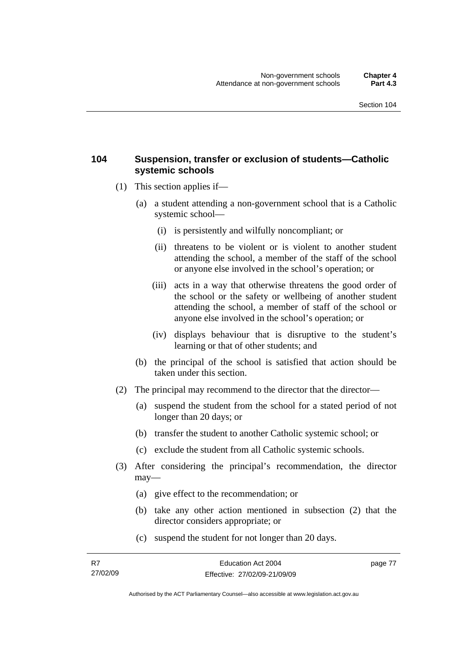#### **104 Suspension, transfer or exclusion of students—Catholic systemic schools**

- (1) This section applies if—
	- (a) a student attending a non-government school that is a Catholic systemic school—
		- (i) is persistently and wilfully noncompliant; or
		- (ii) threatens to be violent or is violent to another student attending the school, a member of the staff of the school or anyone else involved in the school's operation; or
		- (iii) acts in a way that otherwise threatens the good order of the school or the safety or wellbeing of another student attending the school, a member of staff of the school or anyone else involved in the school's operation; or
		- (iv) displays behaviour that is disruptive to the student's learning or that of other students; and
	- (b) the principal of the school is satisfied that action should be taken under this section.
- (2) The principal may recommend to the director that the director—
	- (a) suspend the student from the school for a stated period of not longer than 20 days; or
	- (b) transfer the student to another Catholic systemic school; or
	- (c) exclude the student from all Catholic systemic schools.
- (3) After considering the principal's recommendation, the director may—
	- (a) give effect to the recommendation; or
	- (b) take any other action mentioned in subsection (2) that the director considers appropriate; or
	- (c) suspend the student for not longer than 20 days.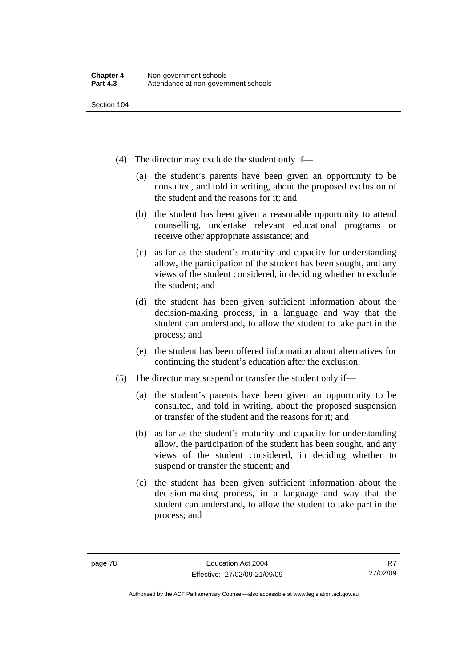- (4) The director may exclude the student only if—
	- (a) the student's parents have been given an opportunity to be consulted, and told in writing, about the proposed exclusion of the student and the reasons for it; and
	- (b) the student has been given a reasonable opportunity to attend counselling, undertake relevant educational programs or receive other appropriate assistance; and
	- (c) as far as the student's maturity and capacity for understanding allow, the participation of the student has been sought, and any views of the student considered, in deciding whether to exclude the student; and
	- (d) the student has been given sufficient information about the decision-making process, in a language and way that the student can understand, to allow the student to take part in the process; and
	- (e) the student has been offered information about alternatives for continuing the student's education after the exclusion.
- (5) The director may suspend or transfer the student only if—
	- (a) the student's parents have been given an opportunity to be consulted, and told in writing, about the proposed suspension or transfer of the student and the reasons for it; and
	- (b) as far as the student's maturity and capacity for understanding allow, the participation of the student has been sought, and any views of the student considered, in deciding whether to suspend or transfer the student; and
	- (c) the student has been given sufficient information about the decision-making process, in a language and way that the student can understand, to allow the student to take part in the process; and

R7 27/02/09

Authorised by the ACT Parliamentary Counsel—also accessible at www.legislation.act.gov.au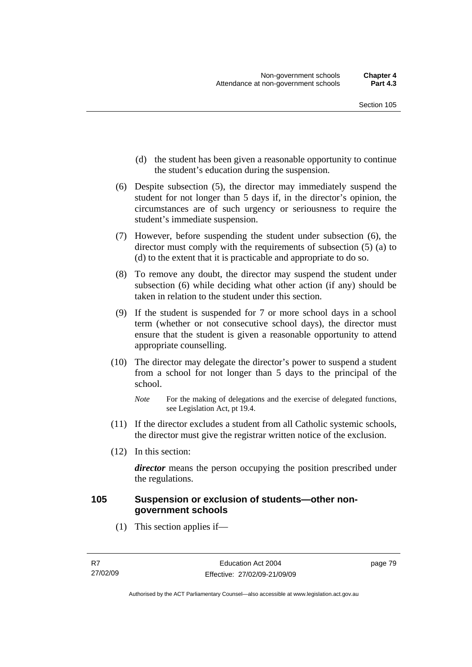- (d) the student has been given a reasonable opportunity to continue the student's education during the suspension.
- (6) Despite subsection (5), the director may immediately suspend the student for not longer than 5 days if, in the director's opinion, the circumstances are of such urgency or seriousness to require the student's immediate suspension.
- (7) However, before suspending the student under subsection (6), the director must comply with the requirements of subsection (5) (a) to (d) to the extent that it is practicable and appropriate to do so.
- (8) To remove any doubt, the director may suspend the student under subsection (6) while deciding what other action (if any) should be taken in relation to the student under this section.
- (9) If the student is suspended for 7 or more school days in a school term (whether or not consecutive school days), the director must ensure that the student is given a reasonable opportunity to attend appropriate counselling.
- (10) The director may delegate the director's power to suspend a student from a school for not longer than 5 days to the principal of the school.

- (11) If the director excludes a student from all Catholic systemic schools, the director must give the registrar written notice of the exclusion.
- (12) In this section:

*director* means the person occupying the position prescribed under the regulations.

#### **105 Suspension or exclusion of students—other nongovernment schools**

(1) This section applies if—

*Note* For the making of delegations and the exercise of delegated functions, see Legislation Act, pt 19.4.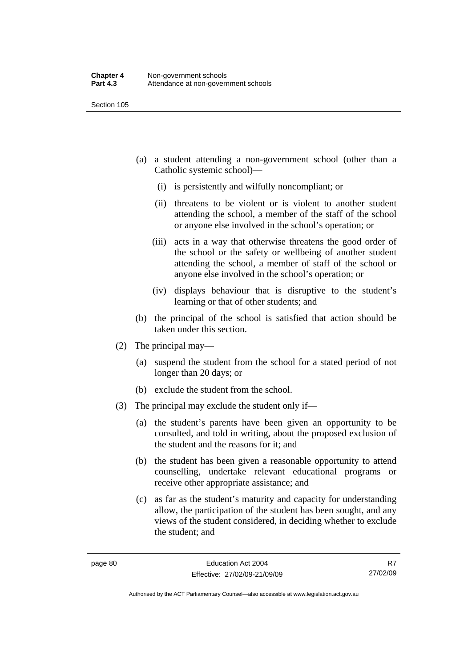- (a) a student attending a non-government school (other than a Catholic systemic school)—
	- (i) is persistently and wilfully noncompliant; or
	- (ii) threatens to be violent or is violent to another student attending the school, a member of the staff of the school or anyone else involved in the school's operation; or
	- (iii) acts in a way that otherwise threatens the good order of the school or the safety or wellbeing of another student attending the school, a member of staff of the school or anyone else involved in the school's operation; or
	- (iv) displays behaviour that is disruptive to the student's learning or that of other students; and
- (b) the principal of the school is satisfied that action should be taken under this section.
- (2) The principal may—
	- (a) suspend the student from the school for a stated period of not longer than 20 days; or
	- (b) exclude the student from the school.
- (3) The principal may exclude the student only if—
	- (a) the student's parents have been given an opportunity to be consulted, and told in writing, about the proposed exclusion of the student and the reasons for it; and
	- (b) the student has been given a reasonable opportunity to attend counselling, undertake relevant educational programs or receive other appropriate assistance; and
	- (c) as far as the student's maturity and capacity for understanding allow, the participation of the student has been sought, and any views of the student considered, in deciding whether to exclude the student; and

R7 27/02/09

Authorised by the ACT Parliamentary Counsel—also accessible at www.legislation.act.gov.au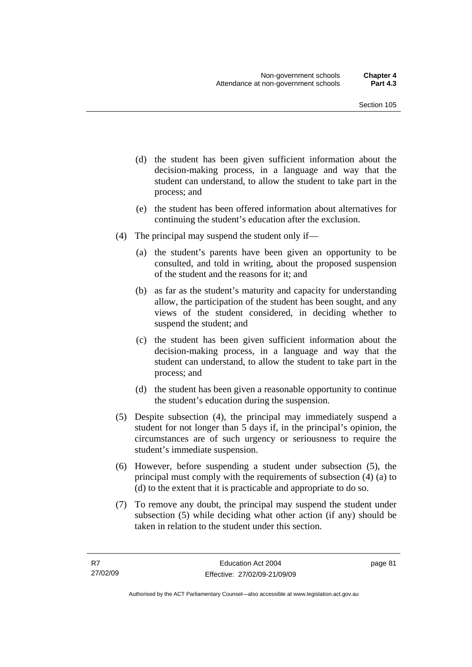- (d) the student has been given sufficient information about the decision-making process, in a language and way that the student can understand, to allow the student to take part in the process; and
- (e) the student has been offered information about alternatives for continuing the student's education after the exclusion.
- (4) The principal may suspend the student only if—
	- (a) the student's parents have been given an opportunity to be consulted, and told in writing, about the proposed suspension of the student and the reasons for it; and
	- (b) as far as the student's maturity and capacity for understanding allow, the participation of the student has been sought, and any views of the student considered, in deciding whether to suspend the student; and
	- (c) the student has been given sufficient information about the decision-making process, in a language and way that the student can understand, to allow the student to take part in the process; and
	- (d) the student has been given a reasonable opportunity to continue the student's education during the suspension.
- (5) Despite subsection (4), the principal may immediately suspend a student for not longer than 5 days if, in the principal's opinion, the circumstances are of such urgency or seriousness to require the student's immediate suspension.
- (6) However, before suspending a student under subsection (5), the principal must comply with the requirements of subsection (4) (a) to (d) to the extent that it is practicable and appropriate to do so.
- (7) To remove any doubt, the principal may suspend the student under subsection (5) while deciding what other action (if any) should be taken in relation to the student under this section.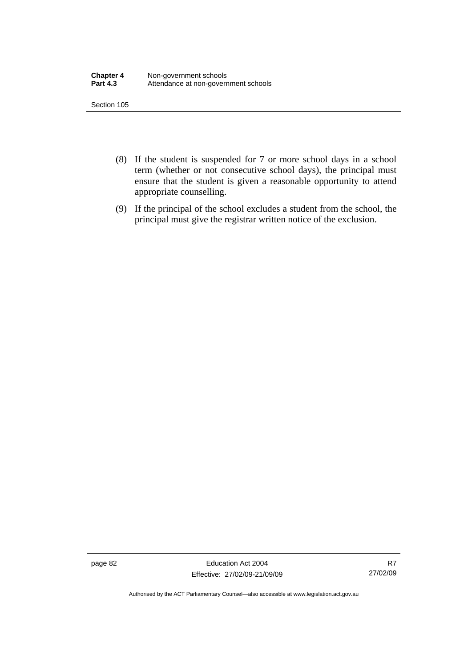- (8) If the student is suspended for 7 or more school days in a school term (whether or not consecutive school days), the principal must ensure that the student is given a reasonable opportunity to attend appropriate counselling.
- (9) If the principal of the school excludes a student from the school, the principal must give the registrar written notice of the exclusion.

page 82 Education Act 2004 Effective: 27/02/09-21/09/09

R7 27/02/09

Authorised by the ACT Parliamentary Counsel—also accessible at www.legislation.act.gov.au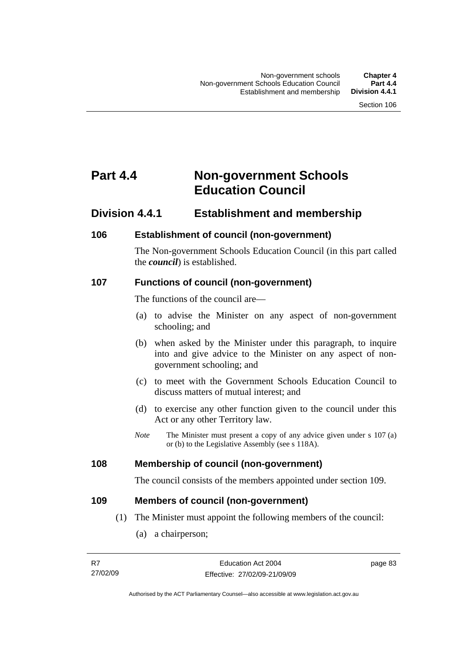## **Part 4.4 Non-government Schools Education Council**

### **Division 4.4.1 Establishment and membership**

#### **106 Establishment of council (non-government)**

The Non-government Schools Education Council (in this part called the *council*) is established.

#### **107 Functions of council (non-government)**

The functions of the council are—

- (a) to advise the Minister on any aspect of non-government schooling; and
- (b) when asked by the Minister under this paragraph, to inquire into and give advice to the Minister on any aspect of nongovernment schooling; and
- (c) to meet with the Government Schools Education Council to discuss matters of mutual interest; and
- (d) to exercise any other function given to the council under this Act or any other Territory law.
- *Note* The Minister must present a copy of any advice given under s 107 (a) or (b) to the Legislative Assembly (see s 118A).

#### **108 Membership of council (non-government)**

The council consists of the members appointed under section 109.

#### **109 Members of council (non-government)**

- (1) The Minister must appoint the following members of the council:
	- (a) a chairperson;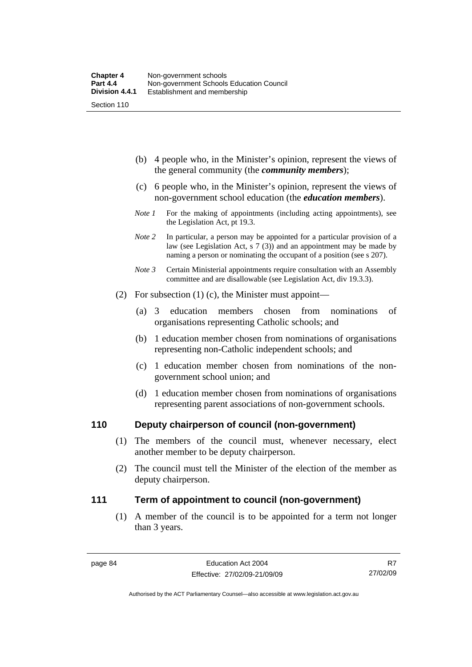- (b) 4 people who, in the Minister's opinion, represent the views of the general community (the *community members*);
- (c) 6 people who, in the Minister's opinion, represent the views of non-government school education (the *education members*).
- *Note 1* For the making of appointments (including acting appointments), see the Legislation Act, pt 19.3.
- *Note* 2 In particular, a person may be appointed for a particular provision of a law (see Legislation Act, s 7 (3)) and an appointment may be made by naming a person or nominating the occupant of a position (see s 207).
- *Note 3* Certain Ministerial appointments require consultation with an Assembly committee and are disallowable (see Legislation Act, div 19.3.3).
- (2) For subsection (1) (c), the Minister must appoint—
	- (a) 3 education members chosen from nominations of organisations representing Catholic schools; and
	- (b) 1 education member chosen from nominations of organisations representing non-Catholic independent schools; and
	- (c) 1 education member chosen from nominations of the nongovernment school union; and
	- (d) 1 education member chosen from nominations of organisations representing parent associations of non-government schools.

#### **110 Deputy chairperson of council (non-government)**

- (1) The members of the council must, whenever necessary, elect another member to be deputy chairperson.
- (2) The council must tell the Minister of the election of the member as deputy chairperson.

#### **111 Term of appointment to council (non-government)**

 (1) A member of the council is to be appointed for a term not longer than 3 years.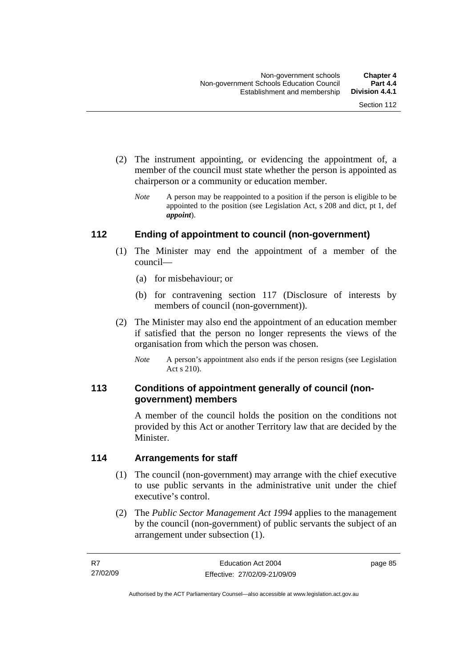- (2) The instrument appointing, or evidencing the appointment of, a member of the council must state whether the person is appointed as chairperson or a community or education member.
	- *Note* A person may be reappointed to a position if the person is eligible to be appointed to the position (see Legislation Act, s 208 and dict, pt 1, def *appoint*).

#### **112 Ending of appointment to council (non-government)**

- (1) The Minister may end the appointment of a member of the council—
	- (a) for misbehaviour; or
	- (b) for contravening section 117 (Disclosure of interests by members of council (non-government)).
- (2) The Minister may also end the appointment of an education member if satisfied that the person no longer represents the views of the organisation from which the person was chosen.
	- *Note* A person's appointment also ends if the person resigns (see Legislation Act s 210).

#### **113 Conditions of appointment generally of council (nongovernment) members**

A member of the council holds the position on the conditions not provided by this Act or another Territory law that are decided by the Minister.

#### **114 Arrangements for staff**

- (1) The council (non-government) may arrange with the chief executive to use public servants in the administrative unit under the chief executive's control.
- (2) The *Public Sector Management Act 1994* applies to the management by the council (non-government) of public servants the subject of an arrangement under subsection (1).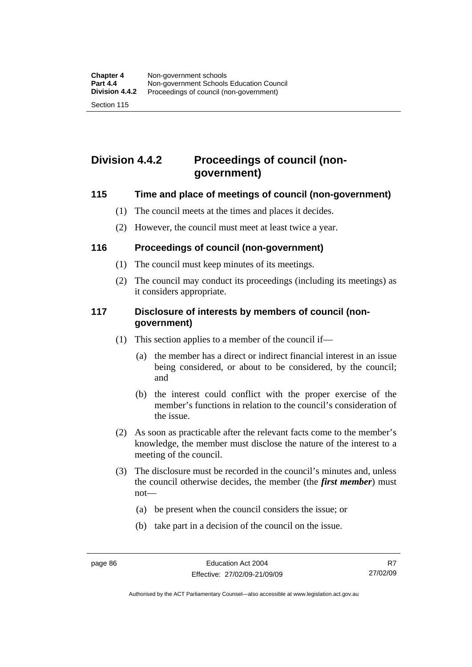## **Division 4.4.2 Proceedings of council (nongovernment)**

#### **115 Time and place of meetings of council (non-government)**

- (1) The council meets at the times and places it decides.
- (2) However, the council must meet at least twice a year.

#### **116 Proceedings of council (non-government)**

- (1) The council must keep minutes of its meetings.
- (2) The council may conduct its proceedings (including its meetings) as it considers appropriate.

#### **117 Disclosure of interests by members of council (nongovernment)**

- (1) This section applies to a member of the council if—
	- (a) the member has a direct or indirect financial interest in an issue being considered, or about to be considered, by the council; and
	- (b) the interest could conflict with the proper exercise of the member's functions in relation to the council's consideration of the issue.
- (2) As soon as practicable after the relevant facts come to the member's knowledge, the member must disclose the nature of the interest to a meeting of the council.
- (3) The disclosure must be recorded in the council's minutes and, unless the council otherwise decides, the member (the *first member*) must not—
	- (a) be present when the council considers the issue; or
	- (b) take part in a decision of the council on the issue.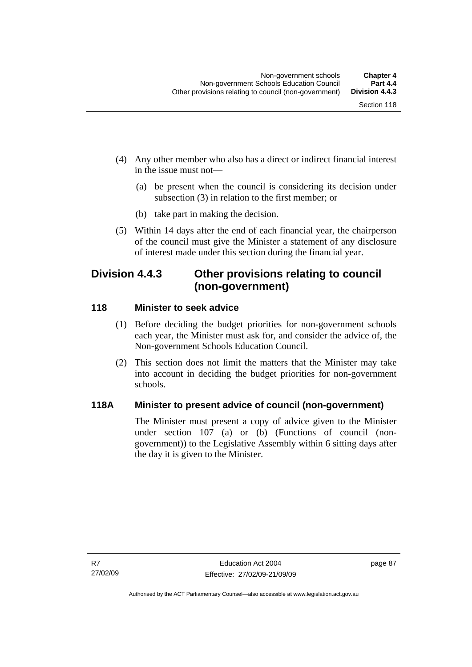- (4) Any other member who also has a direct or indirect financial interest in the issue must not—
	- (a) be present when the council is considering its decision under subsection (3) in relation to the first member; or
	- (b) take part in making the decision.
- (5) Within 14 days after the end of each financial year, the chairperson of the council must give the Minister a statement of any disclosure of interest made under this section during the financial year.

## **Division 4.4.3 Other provisions relating to council (non-government)**

#### **118 Minister to seek advice**

- (1) Before deciding the budget priorities for non-government schools each year, the Minister must ask for, and consider the advice of, the Non-government Schools Education Council.
- (2) This section does not limit the matters that the Minister may take into account in deciding the budget priorities for non-government schools.

#### **118A Minister to present advice of council (non-government)**

The Minister must present a copy of advice given to the Minister under section 107 (a) or (b) (Functions of council (nongovernment)) to the Legislative Assembly within 6 sitting days after the day it is given to the Minister.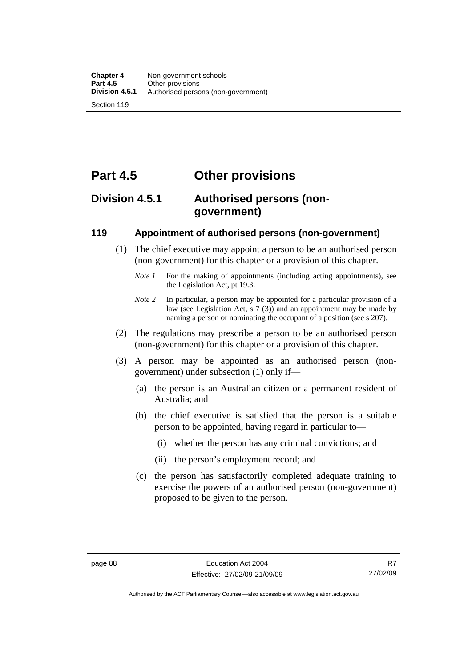# **Part 4.5 Other provisions**

## **Division 4.5.1 Authorised persons (nongovernment)**

#### **119 Appointment of authorised persons (non-government)**

- (1) The chief executive may appoint a person to be an authorised person (non-government) for this chapter or a provision of this chapter.
	- *Note 1* For the making of appointments (including acting appointments), see the Legislation Act, pt 19.3.
	- *Note 2* In particular, a person may be appointed for a particular provision of a law (see Legislation Act, s 7 (3)) and an appointment may be made by naming a person or nominating the occupant of a position (see s 207).
- (2) The regulations may prescribe a person to be an authorised person (non-government) for this chapter or a provision of this chapter.
- (3) A person may be appointed as an authorised person (nongovernment) under subsection (1) only if—
	- (a) the person is an Australian citizen or a permanent resident of Australia; and
	- (b) the chief executive is satisfied that the person is a suitable person to be appointed, having regard in particular to—
		- (i) whether the person has any criminal convictions; and
		- (ii) the person's employment record; and
	- (c) the person has satisfactorily completed adequate training to exercise the powers of an authorised person (non-government) proposed to be given to the person.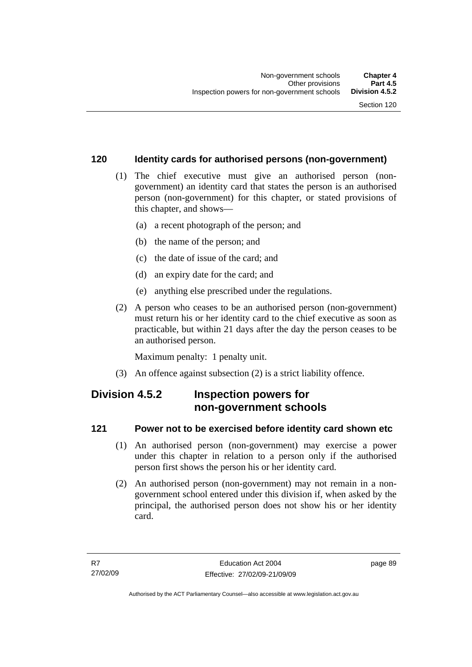#### **120 Identity cards for authorised persons (non-government)**

- (1) The chief executive must give an authorised person (nongovernment) an identity card that states the person is an authorised person (non-government) for this chapter, or stated provisions of this chapter, and shows—
	- (a) a recent photograph of the person; and
	- (b) the name of the person; and
	- (c) the date of issue of the card; and
	- (d) an expiry date for the card; and
	- (e) anything else prescribed under the regulations.
- (2) A person who ceases to be an authorised person (non-government) must return his or her identity card to the chief executive as soon as practicable, but within 21 days after the day the person ceases to be an authorised person.

Maximum penalty: 1 penalty unit.

(3) An offence against subsection (2) is a strict liability offence.

## **Division 4.5.2 Inspection powers for non-government schools**

#### **121 Power not to be exercised before identity card shown etc**

- (1) An authorised person (non-government) may exercise a power under this chapter in relation to a person only if the authorised person first shows the person his or her identity card.
- (2) An authorised person (non-government) may not remain in a nongovernment school entered under this division if, when asked by the principal, the authorised person does not show his or her identity card.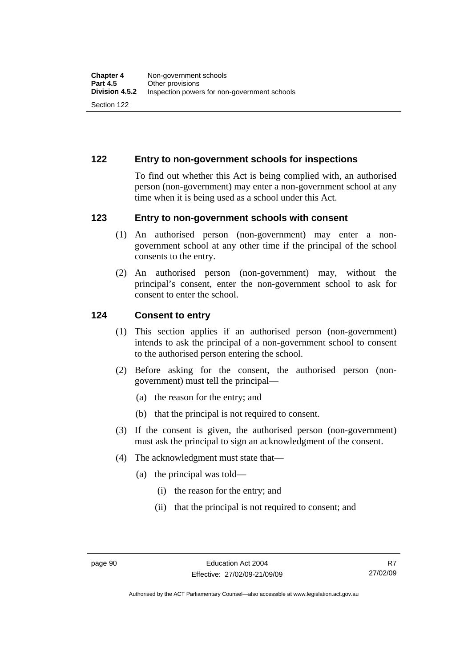#### **122 Entry to non-government schools for inspections**

To find out whether this Act is being complied with, an authorised person (non-government) may enter a non-government school at any time when it is being used as a school under this Act.

#### **123 Entry to non-government schools with consent**

- (1) An authorised person (non-government) may enter a nongovernment school at any other time if the principal of the school consents to the entry.
- (2) An authorised person (non-government) may, without the principal's consent, enter the non-government school to ask for consent to enter the school.

#### **124 Consent to entry**

- (1) This section applies if an authorised person (non-government) intends to ask the principal of a non-government school to consent to the authorised person entering the school.
- (2) Before asking for the consent, the authorised person (nongovernment) must tell the principal—
	- (a) the reason for the entry; and
	- (b) that the principal is not required to consent.
- (3) If the consent is given, the authorised person (non-government) must ask the principal to sign an acknowledgment of the consent.
- (4) The acknowledgment must state that—
	- (a) the principal was told—
		- (i) the reason for the entry; and
		- (ii) that the principal is not required to consent; and

R7 27/02/09

Authorised by the ACT Parliamentary Counsel—also accessible at www.legislation.act.gov.au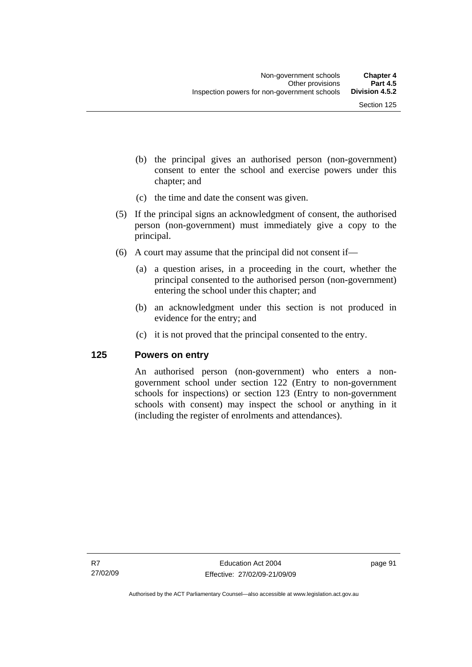- (b) the principal gives an authorised person (non-government) consent to enter the school and exercise powers under this chapter; and
- (c) the time and date the consent was given.
- (5) If the principal signs an acknowledgment of consent, the authorised person (non-government) must immediately give a copy to the principal.
- (6) A court may assume that the principal did not consent if—
	- (a) a question arises, in a proceeding in the court, whether the principal consented to the authorised person (non-government) entering the school under this chapter; and
	- (b) an acknowledgment under this section is not produced in evidence for the entry; and
	- (c) it is not proved that the principal consented to the entry.

#### **125 Powers on entry**

An authorised person (non-government) who enters a nongovernment school under section 122 (Entry to non-government schools for inspections) or section 123 (Entry to non-government schools with consent) may inspect the school or anything in it (including the register of enrolments and attendances).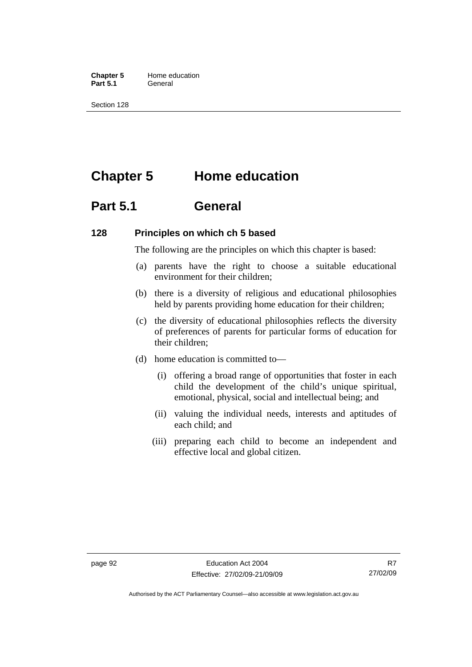**Chapter 5** Home education Part 5.1 **General** 

Section 128

## **Chapter 5 Home education**

## **Part 5.1 General**

#### **128 Principles on which ch 5 based**

The following are the principles on which this chapter is based:

- (a) parents have the right to choose a suitable educational environment for their children;
- (b) there is a diversity of religious and educational philosophies held by parents providing home education for their children;
- (c) the diversity of educational philosophies reflects the diversity of preferences of parents for particular forms of education for their children;
- (d) home education is committed to—
	- (i) offering a broad range of opportunities that foster in each child the development of the child's unique spiritual, emotional, physical, social and intellectual being; and
	- (ii) valuing the individual needs, interests and aptitudes of each child; and
	- (iii) preparing each child to become an independent and effective local and global citizen.

Authorised by the ACT Parliamentary Counsel—also accessible at www.legislation.act.gov.au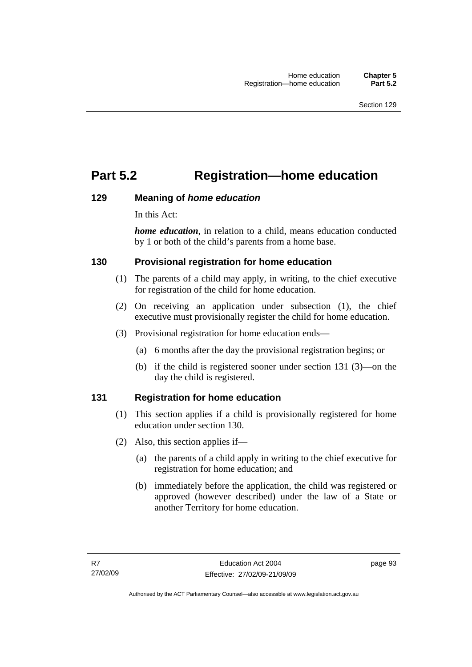## **Part 5.2 Registration—home education**

#### **129 Meaning of** *home education*

In this Act:

*home education*, in relation to a child, means education conducted by 1 or both of the child's parents from a home base.

#### **130 Provisional registration for home education**

- (1) The parents of a child may apply, in writing, to the chief executive for registration of the child for home education.
- (2) On receiving an application under subsection (1), the chief executive must provisionally register the child for home education.
- (3) Provisional registration for home education ends—
	- (a) 6 months after the day the provisional registration begins; or
	- (b) if the child is registered sooner under section 131 (3)—on the day the child is registered.

### **131 Registration for home education**

- (1) This section applies if a child is provisionally registered for home education under section 130.
- (2) Also, this section applies if—
	- (a) the parents of a child apply in writing to the chief executive for registration for home education; and
	- (b) immediately before the application, the child was registered or approved (however described) under the law of a State or another Territory for home education.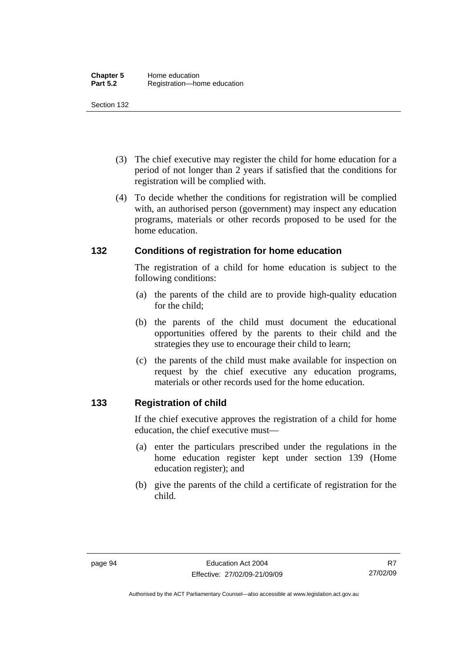- (3) The chief executive may register the child for home education for a period of not longer than 2 years if satisfied that the conditions for registration will be complied with.
- (4) To decide whether the conditions for registration will be complied with, an authorised person (government) may inspect any education programs, materials or other records proposed to be used for the home education.

#### **132 Conditions of registration for home education**

The registration of a child for home education is subject to the following conditions:

- (a) the parents of the child are to provide high-quality education for the child;
- (b) the parents of the child must document the educational opportunities offered by the parents to their child and the strategies they use to encourage their child to learn;
- (c) the parents of the child must make available for inspection on request by the chief executive any education programs, materials or other records used for the home education.

#### **133 Registration of child**

If the chief executive approves the registration of a child for home education, the chief executive must—

- (a) enter the particulars prescribed under the regulations in the home education register kept under section 139 (Home education register); and
- (b) give the parents of the child a certificate of registration for the child.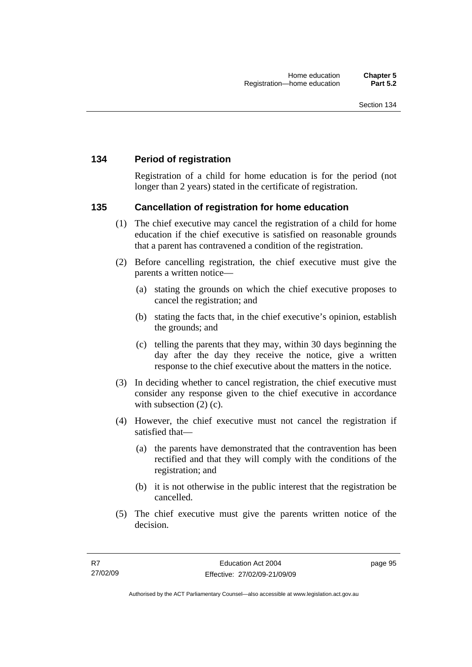#### **134 Period of registration**

Registration of a child for home education is for the period (not longer than 2 years) stated in the certificate of registration.

#### **135 Cancellation of registration for home education**

- (1) The chief executive may cancel the registration of a child for home education if the chief executive is satisfied on reasonable grounds that a parent has contravened a condition of the registration.
- (2) Before cancelling registration, the chief executive must give the parents a written notice—
	- (a) stating the grounds on which the chief executive proposes to cancel the registration; and
	- (b) stating the facts that, in the chief executive's opinion, establish the grounds; and
	- (c) telling the parents that they may, within 30 days beginning the day after the day they receive the notice, give a written response to the chief executive about the matters in the notice.
- (3) In deciding whether to cancel registration, the chief executive must consider any response given to the chief executive in accordance with subsection  $(2)$  (c).
- (4) However, the chief executive must not cancel the registration if satisfied that—
	- (a) the parents have demonstrated that the contravention has been rectified and that they will comply with the conditions of the registration; and
	- (b) it is not otherwise in the public interest that the registration be cancelled.
- (5) The chief executive must give the parents written notice of the decision.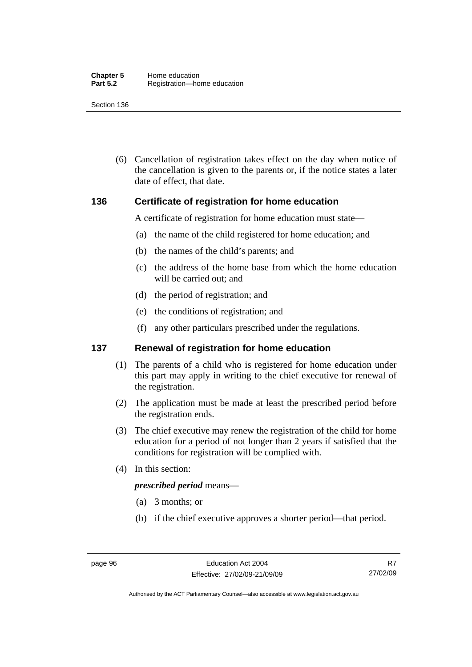(6) Cancellation of registration takes effect on the day when notice of the cancellation is given to the parents or, if the notice states a later date of effect, that date.

#### **136 Certificate of registration for home education**

A certificate of registration for home education must state—

- (a) the name of the child registered for home education; and
- (b) the names of the child's parents; and
- (c) the address of the home base from which the home education will be carried out; and
- (d) the period of registration; and
- (e) the conditions of registration; and
- (f) any other particulars prescribed under the regulations.

#### **137 Renewal of registration for home education**

- (1) The parents of a child who is registered for home education under this part may apply in writing to the chief executive for renewal of the registration.
- (2) The application must be made at least the prescribed period before the registration ends.
- (3) The chief executive may renew the registration of the child for home education for a period of not longer than 2 years if satisfied that the conditions for registration will be complied with.
- (4) In this section:

#### *prescribed period* means—

- (a) 3 months; or
- (b) if the chief executive approves a shorter period—that period.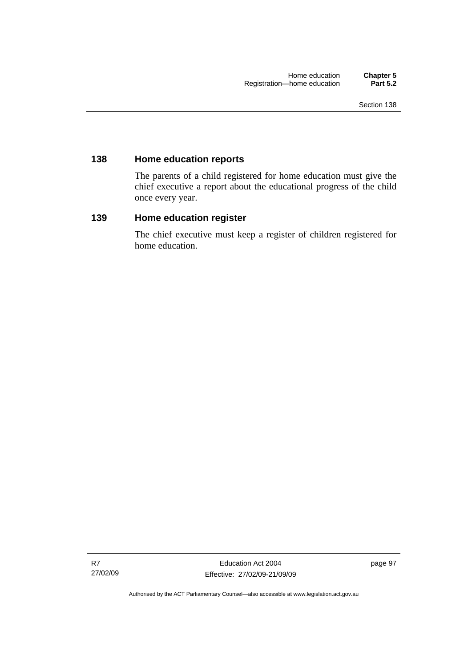#### **138 Home education reports**

The parents of a child registered for home education must give the chief executive a report about the educational progress of the child once every year.

#### **139 Home education register**

The chief executive must keep a register of children registered for home education.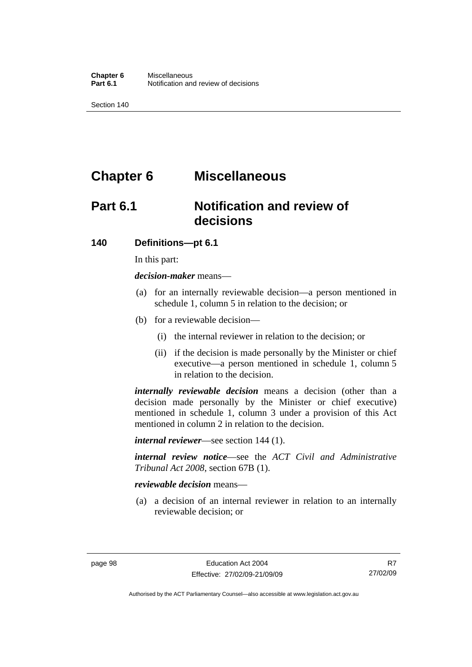## **Chapter 6 Miscellaneous**

## **Part 6.1 Notification and review of decisions**

#### **140 Definitions***—***pt 6.1**

In this part:

*decision-maker* means—

- (a) for an internally reviewable decision—a person mentioned in schedule 1, column 5 in relation to the decision; or
- (b) for a reviewable decision—
	- (i) the internal reviewer in relation to the decision; or
	- (ii) if the decision is made personally by the Minister or chief executive—a person mentioned in schedule 1, column 5 in relation to the decision.

*internally reviewable decision* means a decision (other than a decision made personally by the Minister or chief executive) mentioned in schedule 1, column 3 under a provision of this Act mentioned in column 2 in relation to the decision.

*internal reviewer*—see section 144 (1).

*internal review notice*—see the *ACT Civil and Administrative Tribunal Act 2008*, section 67B (1).

#### *reviewable decision* means—

 (a) a decision of an internal reviewer in relation to an internally reviewable decision; or

R7 27/02/09

Authorised by the ACT Parliamentary Counsel—also accessible at www.legislation.act.gov.au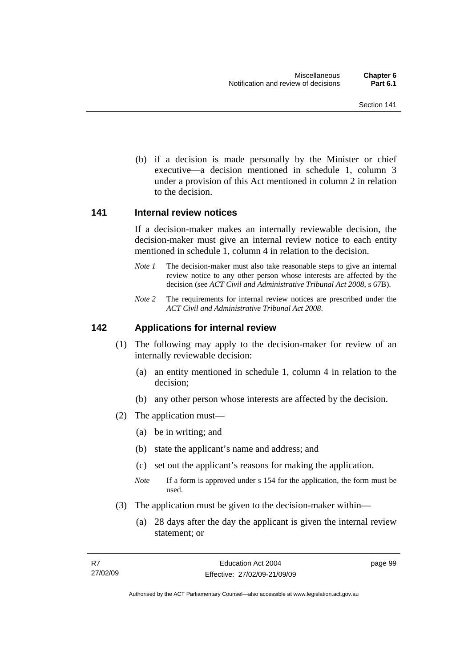(b) if a decision is made personally by the Minister or chief executive—a decision mentioned in schedule 1, column 3 under a provision of this Act mentioned in column 2 in relation to the decision.

## **141 Internal review notices**

If a decision-maker makes an internally reviewable decision, the decision-maker must give an internal review notice to each entity mentioned in schedule 1, column 4 in relation to the decision.

- *Note 1* The decision-maker must also take reasonable steps to give an internal review notice to any other person whose interests are affected by the decision (see *ACT Civil and Administrative Tribunal Act 2008*, s 67B).
- *Note 2* The requirements for internal review notices are prescribed under the *ACT Civil and Administrative Tribunal Act 2008*.

# **142 Applications for internal review**

- (1) The following may apply to the decision-maker for review of an internally reviewable decision:
	- (a) an entity mentioned in schedule 1, column 4 in relation to the decision;
	- (b) any other person whose interests are affected by the decision.
- (2) The application must—
	- (a) be in writing; and
	- (b) state the applicant's name and address; and
	- (c) set out the applicant's reasons for making the application.
	- *Note* If a form is approved under s 154 for the application, the form must be used.
- (3) The application must be given to the decision-maker within—
	- (a) 28 days after the day the applicant is given the internal review statement; or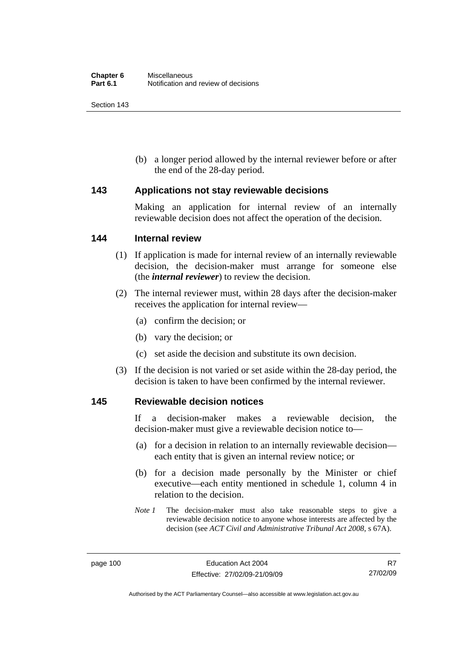Section 143

 (b) a longer period allowed by the internal reviewer before or after the end of the 28-day period.

## **143 Applications not stay reviewable decisions**

Making an application for internal review of an internally reviewable decision does not affect the operation of the decision.

## **144 Internal review**

- (1) If application is made for internal review of an internally reviewable decision, the decision-maker must arrange for someone else (the *internal reviewer*) to review the decision.
- (2) The internal reviewer must, within 28 days after the decision-maker receives the application for internal review—
	- (a) confirm the decision; or
	- (b) vary the decision; or
	- (c) set aside the decision and substitute its own decision.
- (3) If the decision is not varied or set aside within the 28-day period, the decision is taken to have been confirmed by the internal reviewer.

## **145 Reviewable decision notices**

If a decision-maker makes a reviewable decision, the decision-maker must give a reviewable decision notice to—

- (a) for a decision in relation to an internally reviewable decision each entity that is given an internal review notice; or
- (b) for a decision made personally by the Minister or chief executive—each entity mentioned in schedule 1, column 4 in relation to the decision.
- *Note 1* The decision-maker must also take reasonable steps to give a reviewable decision notice to anyone whose interests are affected by the decision (see *ACT Civil and Administrative Tribunal Act 2008*, s 67A).

Authorised by the ACT Parliamentary Counsel—also accessible at www.legislation.act.gov.au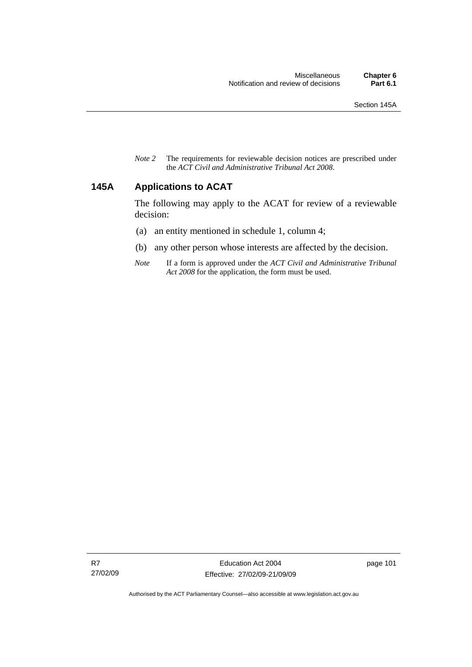*Note 2* The requirements for reviewable decision notices are prescribed under the *ACT Civil and Administrative Tribunal Act 2008*.

# **145A Applications to ACAT**

The following may apply to the ACAT for review of a reviewable decision:

- (a) an entity mentioned in schedule 1, column 4;
- (b) any other person whose interests are affected by the decision.
- *Note* If a form is approved under the *ACT Civil and Administrative Tribunal Act 2008* for the application, the form must be used.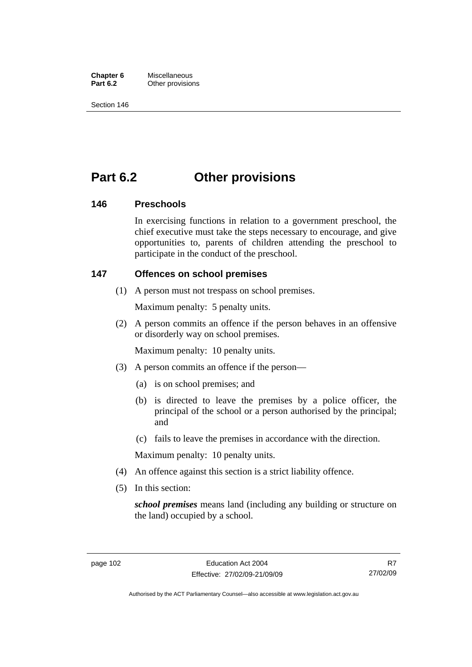**Chapter 6** Miscellaneous<br>**Part 6.2** Other provision **Other provisions** 

Section 146

# **Part 6.2 Other provisions**

## **146 Preschools**

In exercising functions in relation to a government preschool, the chief executive must take the steps necessary to encourage, and give opportunities to, parents of children attending the preschool to participate in the conduct of the preschool.

## **147 Offences on school premises**

(1) A person must not trespass on school premises.

Maximum penalty: 5 penalty units.

 (2) A person commits an offence if the person behaves in an offensive or disorderly way on school premises.

Maximum penalty: 10 penalty units.

- (3) A person commits an offence if the person—
	- (a) is on school premises; and
	- (b) is directed to leave the premises by a police officer, the principal of the school or a person authorised by the principal; and
	- (c) fails to leave the premises in accordance with the direction.

Maximum penalty: 10 penalty units.

- (4) An offence against this section is a strict liability offence.
- (5) In this section:

*school premises* means land (including any building or structure on the land) occupied by a school.

R7 27/02/09

Authorised by the ACT Parliamentary Counsel—also accessible at www.legislation.act.gov.au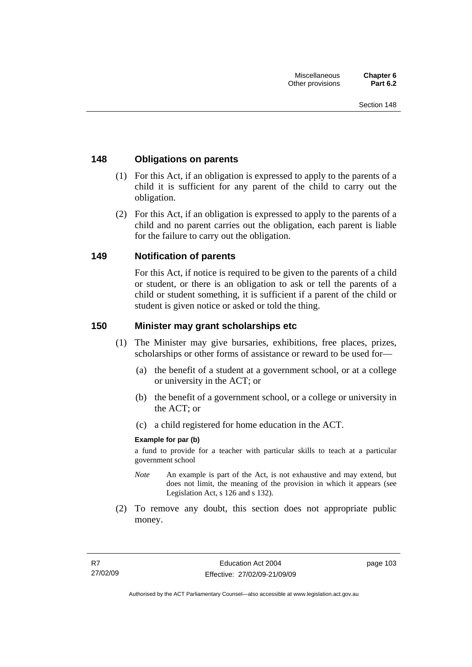# **148 Obligations on parents**

- (1) For this Act, if an obligation is expressed to apply to the parents of a child it is sufficient for any parent of the child to carry out the obligation.
- (2) For this Act, if an obligation is expressed to apply to the parents of a child and no parent carries out the obligation, each parent is liable for the failure to carry out the obligation.

## **149 Notification of parents**

For this Act, if notice is required to be given to the parents of a child or student, or there is an obligation to ask or tell the parents of a child or student something, it is sufficient if a parent of the child or student is given notice or asked or told the thing.

## **150 Minister may grant scholarships etc**

- (1) The Minister may give bursaries, exhibitions, free places, prizes, scholarships or other forms of assistance or reward to be used for—
	- (a) the benefit of a student at a government school, or at a college or university in the ACT; or
	- (b) the benefit of a government school, or a college or university in the ACT; or
	- (c) a child registered for home education in the ACT.

## **Example for par (b)**

a fund to provide for a teacher with particular skills to teach at a particular government school

- *Note* An example is part of the Act, is not exhaustive and may extend, but does not limit, the meaning of the provision in which it appears (see Legislation Act, s 126 and s 132).
- (2) To remove any doubt, this section does not appropriate public money.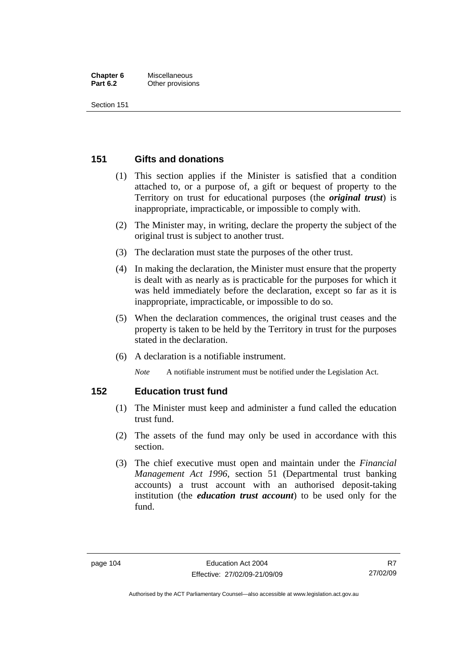#### **Chapter 6** Miscellaneous **Part 6.2** Other provisions

Section 151

# **151 Gifts and donations**

- (1) This section applies if the Minister is satisfied that a condition attached to, or a purpose of, a gift or bequest of property to the Territory on trust for educational purposes (the *original trust*) is inappropriate, impracticable, or impossible to comply with.
- (2) The Minister may, in writing, declare the property the subject of the original trust is subject to another trust.
- (3) The declaration must state the purposes of the other trust.
- (4) In making the declaration, the Minister must ensure that the property is dealt with as nearly as is practicable for the purposes for which it was held immediately before the declaration, except so far as it is inappropriate, impracticable, or impossible to do so.
- (5) When the declaration commences, the original trust ceases and the property is taken to be held by the Territory in trust for the purposes stated in the declaration.
- (6) A declaration is a notifiable instrument.

*Note* A notifiable instrument must be notified under the Legislation Act.

# **152 Education trust fund**

- (1) The Minister must keep and administer a fund called the education trust fund.
- (2) The assets of the fund may only be used in accordance with this section.
- (3) The chief executive must open and maintain under the *Financial Management Act 1996*, section 51 (Departmental trust banking accounts) a trust account with an authorised deposit-taking institution (the *education trust account*) to be used only for the fund.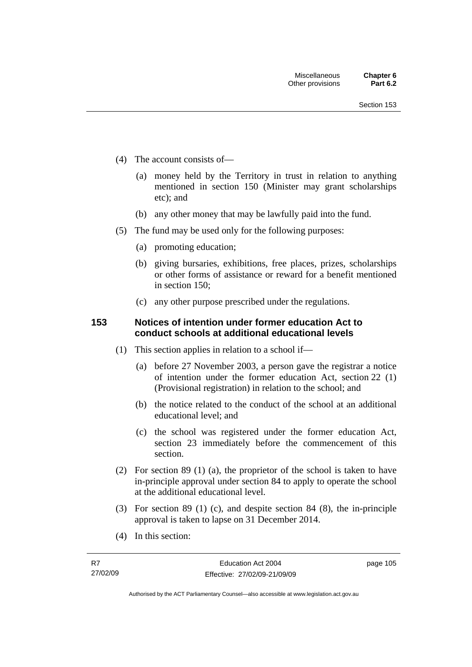- (4) The account consists of—
	- (a) money held by the Territory in trust in relation to anything mentioned in section 150 (Minister may grant scholarships etc); and
	- (b) any other money that may be lawfully paid into the fund.
- (5) The fund may be used only for the following purposes:
	- (a) promoting education;
	- (b) giving bursaries, exhibitions, free places, prizes, scholarships or other forms of assistance or reward for a benefit mentioned in section 150;
	- (c) any other purpose prescribed under the regulations.

# **153 Notices of intention under former education Act to conduct schools at additional educational levels**

- (1) This section applies in relation to a school if—
	- (a) before 27 November 2003, a person gave the registrar a notice of intention under the former education Act, section 22 (1) (Provisional registration) in relation to the school; and
	- (b) the notice related to the conduct of the school at an additional educational level; and
	- (c) the school was registered under the former education Act, section 23 immediately before the commencement of this section.
- (2) For section 89 (1) (a), the proprietor of the school is taken to have in-principle approval under section 84 to apply to operate the school at the additional educational level.
- (3) For section 89 (1) (c), and despite section 84 (8), the in-principle approval is taken to lapse on 31 December 2014.
- (4) In this section: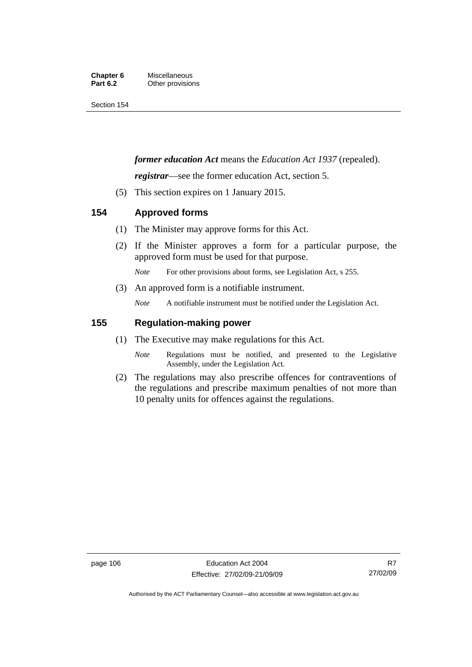#### **Chapter 6** Miscellaneous<br>**Part 6.2** Other provision **Other provisions**

Section 154

# *former education Act* means the *Education Act 1937* (repealed).

*registrar*—see the former education Act, section 5.

(5) This section expires on 1 January 2015.

# **154 Approved forms**

- (1) The Minister may approve forms for this Act.
- (2) If the Minister approves a form for a particular purpose, the approved form must be used for that purpose.

*Note* For other provisions about forms, see Legislation Act, s 255.

(3) An approved form is a notifiable instrument.

*Note* A notifiable instrument must be notified under the Legislation Act.

## **155 Regulation-making power**

- (1) The Executive may make regulations for this Act.
	- *Note* Regulations must be notified, and presented to the Legislative Assembly, under the Legislation Act.
- (2) The regulations may also prescribe offences for contraventions of the regulations and prescribe maximum penalties of not more than 10 penalty units for offences against the regulations.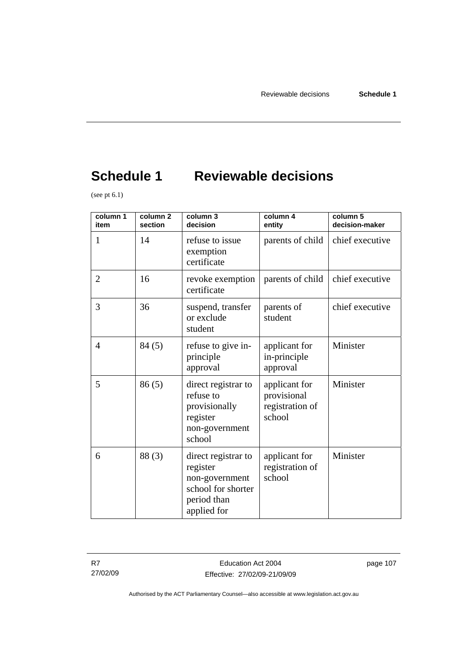# **Schedule 1 Reviewable decisions**

(see pt  $6.1$ )

| column 1<br>item | colum <sub>1</sub><br>section | column 3<br>decision                                                                                  | column 4<br>entity                                        | column 5<br>decision-maker |
|------------------|-------------------------------|-------------------------------------------------------------------------------------------------------|-----------------------------------------------------------|----------------------------|
| 1                | 14                            | refuse to issue<br>exemption<br>certificate                                                           | parents of child                                          | chief executive            |
| $\overline{2}$   | 16                            | revoke exemption<br>certificate                                                                       | parents of child                                          | chief executive            |
| 3                | 36                            | suspend, transfer<br>or exclude<br>student                                                            | parents of<br>student                                     | chief executive            |
| $\overline{4}$   | 84(5)                         | refuse to give in-<br>principle<br>approval                                                           | applicant for<br>in-principle<br>approval                 | Minister                   |
| 5                | 86(5)                         | direct registrar to<br>refuse to<br>provisionally<br>register<br>non-government<br>school             | applicant for<br>provisional<br>registration of<br>school | Minister                   |
| 6                | 88(3)                         | direct registrar to<br>register<br>non-government<br>school for shorter<br>period than<br>applied for | applicant for<br>registration of<br>school                | Minister                   |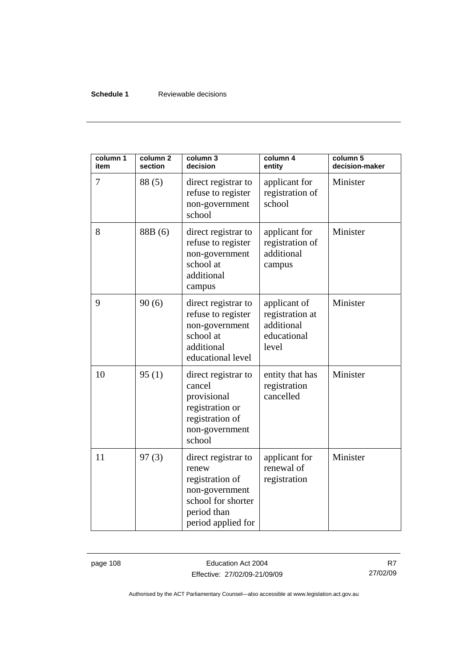## **Schedule 1** Reviewable decisions

| column 1<br>item | column <sub>2</sub><br>section | column 3<br>decision                                                                                                         | column 4<br>entity                                                    | column 5<br>decision-maker |
|------------------|--------------------------------|------------------------------------------------------------------------------------------------------------------------------|-----------------------------------------------------------------------|----------------------------|
| 7                | 88 (5)                         | direct registrar to<br>refuse to register<br>non-government<br>school                                                        | applicant for<br>registration of<br>school                            | Minister                   |
| 8                | 88B (6)                        | direct registrar to<br>refuse to register<br>non-government<br>school at<br>additional<br>campus                             | applicant for<br>registration of<br>additional<br>campus              | Minister                   |
| 9                | 90(6)                          | direct registrar to<br>refuse to register<br>non-government<br>school at<br>additional<br>educational level                  | applicant of<br>registration at<br>additional<br>educational<br>level | Minister                   |
| 10               | 95(1)                          | direct registrar to<br>cancel<br>provisional<br>registration or<br>registration of<br>non-government<br>school               | entity that has<br>registration<br>cancelled                          | Minister                   |
| 11               | 97(3)                          | direct registrar to<br>renew<br>registration of<br>non-government<br>school for shorter<br>period than<br>period applied for | applicant for<br>renewal of<br>registration                           | Minister                   |

page 108 **Education Act 2004** Effective: 27/02/09-21/09/09

R7 27/02/09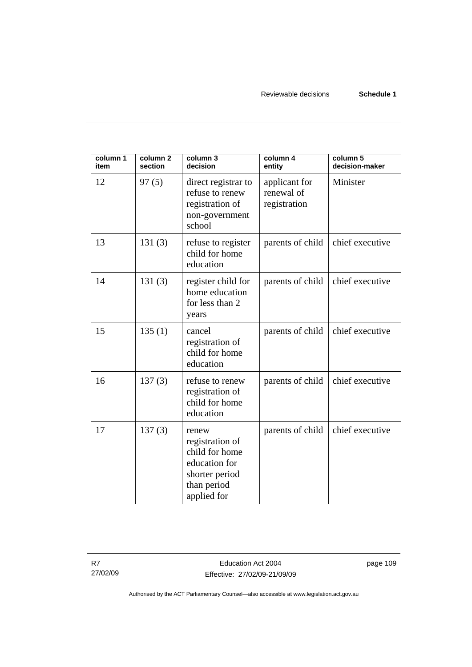Reviewable decisions **Schedule 1** 

| column 1<br>item | column 2<br>section | column 3<br>decision                                                                                        | column 4<br>entity                          | column 5<br>decision-maker |
|------------------|---------------------|-------------------------------------------------------------------------------------------------------------|---------------------------------------------|----------------------------|
| 12               | 97(5)               | direct registrar to<br>refuse to renew<br>registration of<br>non-government<br>school                       | applicant for<br>renewal of<br>registration | Minister                   |
| 13               | 131(3)              | refuse to register<br>child for home<br>education                                                           | parents of child                            | chief executive            |
| 14               | 131(3)              | register child for<br>home education<br>for less than 2<br>years                                            | parents of child                            | chief executive            |
| 15               | 135(1)              | cancel<br>registration of<br>child for home<br>education                                                    | parents of child                            | chief executive            |
| 16               | 137(3)              | refuse to renew<br>registration of<br>child for home<br>education                                           | parents of child                            | chief executive            |
| 17               | 137(3)              | renew<br>registration of<br>child for home<br>education for<br>shorter period<br>than period<br>applied for | parents of child                            | chief executive            |

R7 27/02/09 page 109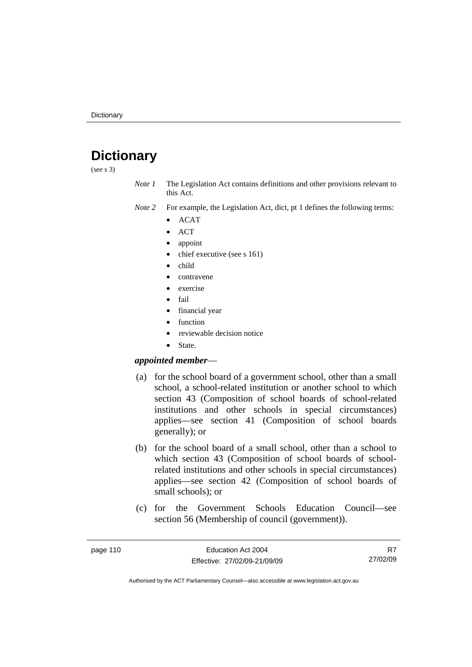# **Dictionary**

(see s 3)

*Note 1* The Legislation Act contains definitions and other provisions relevant to this Act.

*Note 2* For example, the Legislation Act, dict, pt 1 defines the following terms:

- ACAT
- ACT
- appoint
- chief executive (see s 161)
- child
- contravene
- exercise
- fail
- financial year
- function
- reviewable decision notice
- State.

## *appointed member*—

- (a) for the school board of a government school, other than a small school, a school-related institution or another school to which section 43 (Composition of school boards of school-related institutions and other schools in special circumstances) applies—see section 41 (Composition of school boards generally); or
- (b) for the school board of a small school, other than a school to which section 43 (Composition of school boards of schoolrelated institutions and other schools in special circumstances) applies—see section 42 (Composition of school boards of small schools); or
- (c) for the Government Schools Education Council—see section 56 (Membership of council (government)).

R7 27/02/09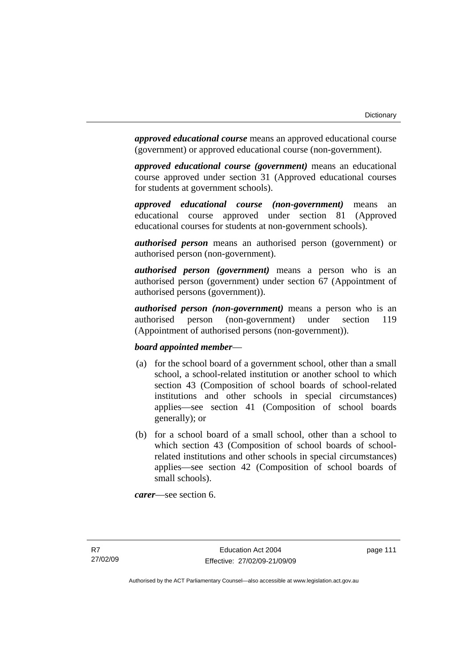*approved educational course* means an approved educational course (government) or approved educational course (non-government).

*approved educational course (government)* means an educational course approved under section 31 (Approved educational courses for students at government schools).

*approved educational course (non-government)* means an educational course approved under section 81 (Approved educational courses for students at non-government schools).

*authorised person* means an authorised person (government) or authorised person (non-government).

*authorised person (government)* means a person who is an authorised person (government) under section 67 (Appointment of authorised persons (government)).

*authorised person (non-government)* means a person who is an authorised person (non-government) under section 119 (Appointment of authorised persons (non-government)).

## *board appointed member*—

- (a) for the school board of a government school, other than a small school, a school-related institution or another school to which section 43 (Composition of school boards of school-related institutions and other schools in special circumstances) applies—see section 41 (Composition of school boards generally); or
- (b) for a school board of a small school, other than a school to which section 43 (Composition of school boards of schoolrelated institutions and other schools in special circumstances) applies—see section 42 (Composition of school boards of small schools).

*carer*—see section 6.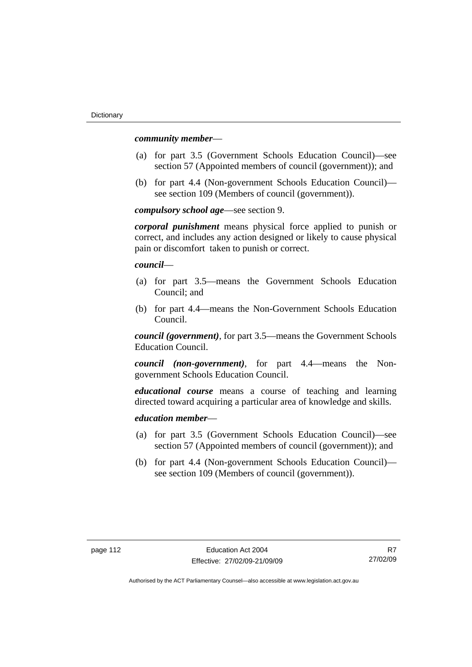#### *community member*—

- (a) for part 3.5 (Government Schools Education Council)—see section 57 (Appointed members of council (government)); and
- (b) for part 4.4 (Non-government Schools Education Council) see section 109 (Members of council (government)).

*compulsory school age*—see section 9.

*corporal punishment* means physical force applied to punish or correct, and includes any action designed or likely to cause physical pain or discomfort taken to punish or correct.

*council*—

- (a) for part 3.5—means the Government Schools Education Council; and
- (b) for part 4.4—means the Non-Government Schools Education Council.

*council (government)*, for part 3.5—means the Government Schools Education Council.

*council (non-government)*, for part 4.4—means the Nongovernment Schools Education Council.

*educational course* means a course of teaching and learning directed toward acquiring a particular area of knowledge and skills.

#### *education member*—

- (a) for part 3.5 (Government Schools Education Council)—see section 57 (Appointed members of council (government)); and
- (b) for part 4.4 (Non-government Schools Education Council) see section 109 (Members of council (government)).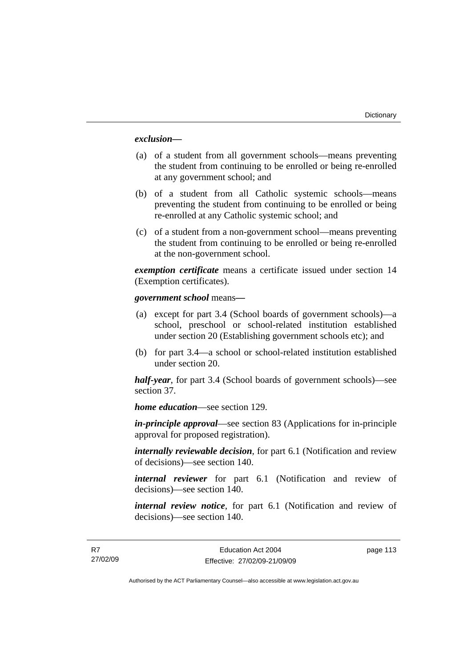## *exclusion***—**

- (a) of a student from all government schools—means preventing the student from continuing to be enrolled or being re-enrolled at any government school; and
- (b) of a student from all Catholic systemic schools—means preventing the student from continuing to be enrolled or being re-enrolled at any Catholic systemic school; and
- (c) of a student from a non-government school—means preventing the student from continuing to be enrolled or being re-enrolled at the non-government school.

*exemption certificate* means a certificate issued under section 14 (Exemption certificates).

#### *government school* means*—*

- (a) except for part 3.4 (School boards of government schools)—a school, preschool or school-related institution established under section 20 (Establishing government schools etc); and
- (b) for part 3.4—a school or school-related institution established under section 20.

*half-year*, for part 3.4 (School boards of government schools)—see section 37.

*home education*—see section 129.

*in-principle approval*—see section 83 (Applications for in-principle approval for proposed registration).

*internally reviewable decision*, for part 6.1 (Notification and review of decisions)—see section 140.

*internal reviewer* for part 6.1 (Notification and review of decisions)—see section 140.

*internal review notice*, for part 6.1 (Notification and review of decisions)—see section 140.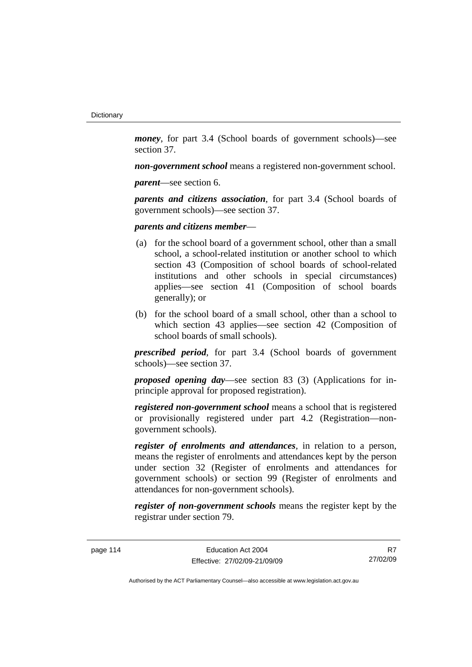*money*, for part 3.4 (School boards of government schools)—see section 37.

*non-government school* means a registered non-government school.

*parent*—see section 6.

*parents and citizens association*, for part 3.4 (School boards of government schools)—see section 37.

*parents and citizens member*—

- (a) for the school board of a government school, other than a small school, a school-related institution or another school to which section 43 (Composition of school boards of school-related institutions and other schools in special circumstances) applies—see section 41 (Composition of school boards generally); or
- (b) for the school board of a small school, other than a school to which section 43 applies—see section 42 (Composition of school boards of small schools).

*prescribed period*, for part 3.4 (School boards of government schools)—see section 37.

*proposed opening day*—see section 83 (3) (Applications for inprinciple approval for proposed registration).

*registered non-government school* means a school that is registered or provisionally registered under part 4.2 (Registration—nongovernment schools).

*register of enrolments and attendances*, in relation to a person, means the register of enrolments and attendances kept by the person under section 32 (Register of enrolments and attendances for government schools) or section 99 (Register of enrolments and attendances for non-government schools).

*register of non-government schools* means the register kept by the registrar under section 79.

page 114 Education Act 2004 Effective: 27/02/09-21/09/09

R7 27/02/09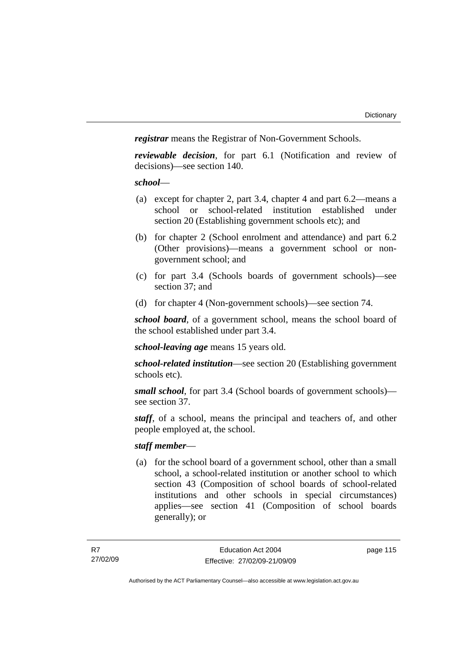*registrar* means the Registrar of Non-Government Schools.

*reviewable decision*, for part 6.1 (Notification and review of decisions)—see section 140.

#### *school*—

- (a) except for chapter 2, part 3.4, chapter 4 and part 6.2—means a school or school-related institution established under section 20 (Establishing government schools etc); and
- (b) for chapter 2 (School enrolment and attendance) and part 6.2 (Other provisions)—means a government school or nongovernment school; and
- (c) for part 3.4 (Schools boards of government schools)—see section 37; and
- (d) for chapter 4 (Non-government schools)—see section 74.

*school board*, of a government school, means the school board of the school established under part 3.4.

*school-leaving age* means 15 years old.

*school-related institution*—see section 20 (Establishing government schools etc).

*small school*, for part 3.4 (School boards of government schools) see section 37.

*staff*, of a school, means the principal and teachers of, and other people employed at, the school.

## *staff member*—

 (a) for the school board of a government school, other than a small school, a school-related institution or another school to which section 43 (Composition of school boards of school-related institutions and other schools in special circumstances) applies—see section 41 (Composition of school boards generally); or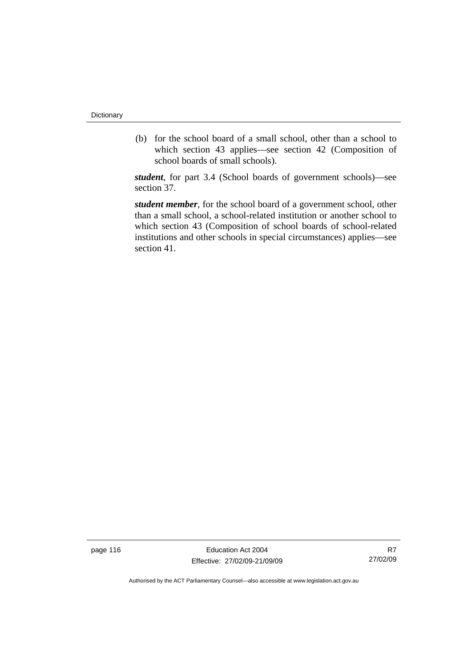(b) for the school board of a small school, other than a school to which section 43 applies—see section 42 (Composition of school boards of small schools).

*student*, for part 3.4 (School boards of government schools)—see section 37.

*student member*, for the school board of a government school, other than a small school, a school-related institution or another school to which section 43 (Composition of school boards of school-related institutions and other schools in special circumstances) applies—see section 41.

page 116 **Education Act 2004** Effective: 27/02/09-21/09/09

R7 27/02/09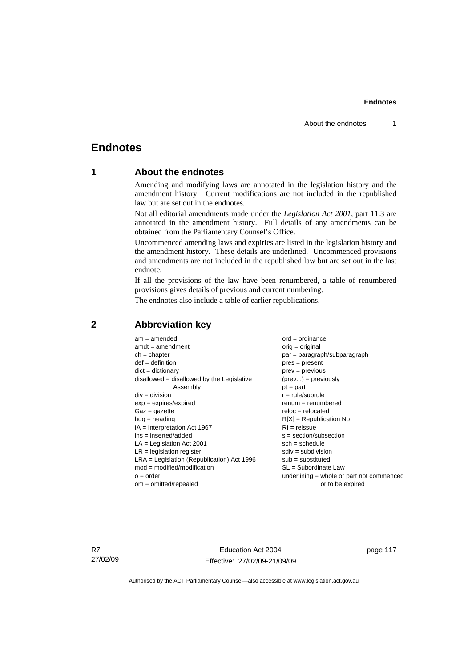# **Endnotes**

# **1 About the endnotes**

Amending and modifying laws are annotated in the legislation history and the amendment history. Current modifications are not included in the republished law but are set out in the endnotes.

Not all editorial amendments made under the *Legislation Act 2001*, part 11.3 are annotated in the amendment history. Full details of any amendments can be obtained from the Parliamentary Counsel's Office.

Uncommenced amending laws and expiries are listed in the legislation history and the amendment history. These details are underlined. Uncommenced provisions and amendments are not included in the republished law but are set out in the last endnote.

If all the provisions of the law have been renumbered, a table of renumbered provisions gives details of previous and current numbering.

The endnotes also include a table of earlier republications.

| $am = amended$                               | $ord = ordinance$                         |
|----------------------------------------------|-------------------------------------------|
| $amdt = amendment$                           | $orig = original$                         |
| $ch = chapter$                               | $par = paragraph/subparagraph$            |
| $def = definition$                           | $pres = present$                          |
| $dict = dictionary$                          | $prev = previous$                         |
| $disallowed = disallowed by the Legislative$ | $(\text{prev}) = \text{previously}$       |
| Assembly                                     | $pt = part$                               |
| $div = division$                             | $r = rule/subrule$                        |
| $exp = expires/expired$                      | $renum = renumbered$                      |
| $Gaz = gazette$                              | $reloc = relocated$                       |
| $hdg =$ heading                              | $R[X]$ = Republication No                 |
| $IA = Interpretation Act 1967$               | $RI = reissue$                            |
| $ins = inserted/added$                       | $s = section/subsection$                  |
| $LA =$ Legislation Act 2001                  | $sch = schedule$                          |
| $LR =$ legislation register                  | $sdiv = subdivision$                      |
| $LRA =$ Legislation (Republication) Act 1996 | $sub = substituted$                       |
| $mod = modified/modification$                | $SL = Subordinate$ Law                    |
| $o = order$                                  | underlining = whole or part not commenced |
| $om = omitted/repealed$                      | or to be expired                          |
|                                              |                                           |

## **2 Abbreviation key**

R7 27/02/09

Education Act 2004 Effective: 27/02/09-21/09/09 page 117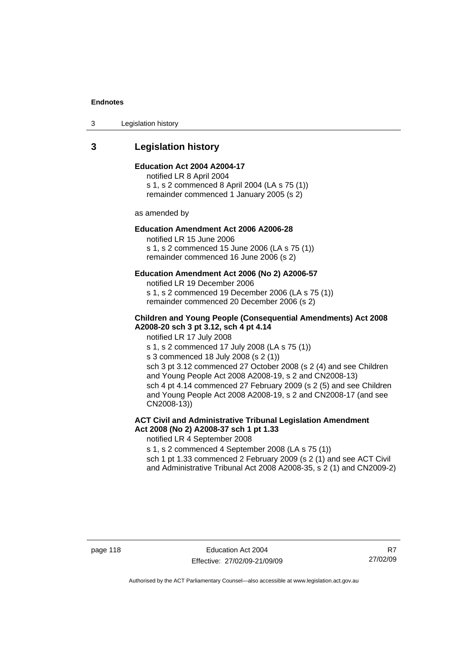3 Legislation history

# **3 Legislation history**

#### **Education Act 2004 A2004-17**

notified LR 8 April 2004 s 1, s 2 commenced 8 April 2004 (LA s 75 (1)) remainder commenced 1 January 2005 (s 2)

as amended by

#### **Education Amendment Act 2006 A2006-28**

notified LR 15 June 2006 s 1, s 2 commenced 15 June 2006 (LA s 75 (1)) remainder commenced 16 June 2006 (s 2)

#### **Education Amendment Act 2006 (No 2) A2006-57**

notified LR 19 December 2006 s 1, s 2 commenced 19 December 2006 (LA s 75 (1)) remainder commenced 20 December 2006 (s 2)

#### **Children and Young People (Consequential Amendments) Act 2008 A2008-20 sch 3 pt 3.12, sch 4 pt 4.14**

notified LR 17 July 2008

s 1, s 2 commenced 17 July 2008 (LA s 75 (1))

s 3 commenced 18 July 2008 (s 2 (1))

sch 3 pt 3.12 commenced 27 October 2008 (s 2 (4) and see Children and Young People Act 2008 A2008-19, s 2 and CN2008-13) sch 4 pt 4.14 commenced 27 February 2009 (s 2 (5) and see Children and Young People Act 2008 A2008-19, s 2 and CN2008-17 (and see CN2008-13))

## **ACT Civil and Administrative Tribunal Legislation Amendment Act 2008 (No 2) A2008-37 sch 1 pt 1.33**

notified LR 4 September 2008

s 1, s 2 commenced 4 September 2008 (LA s 75 (1))

sch 1 pt 1.33 commenced 2 February 2009 (s 2 (1) and see ACT Civil and Administrative Tribunal Act 2008 A2008-35, s 2 (1) and CN2009-2)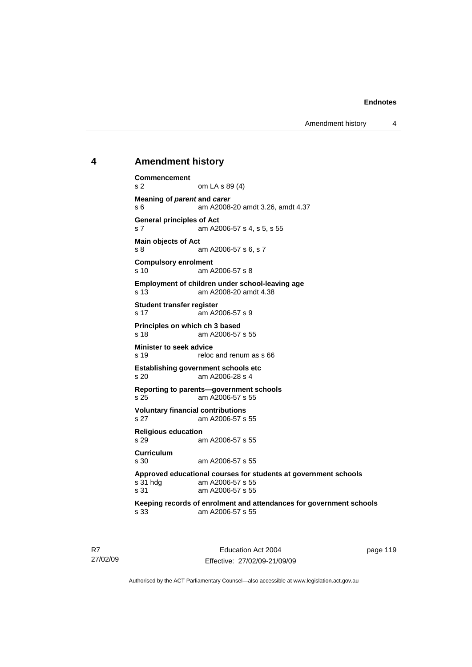Amendment history 4

## **4 Amendment history**

```
Commencement 
s 2 om LA s 89 (4) 
Meaning of parent and carer 
s 6 am A2008-20 amdt 3.26, amdt 4.37 
General principles of Act 
s 7 am A2006-57 s 4, s 5, s 55 
Main objects of Act 
s 8 am A2006-57 s 6, s 7 
Compulsory enrolment 
s 10 am A2006-57 s 8 
Employment of children under school-leaving age 
                am A2008-20 amdt 4.38
Student transfer register 
s 17 am A2006-57 s 9 
Principles on which ch 3 based<br>s 18 am A2006-57
                am A2006-57 s 55
Minister to seek advice 
s 19 reloc and renum as s 66
Establishing government schools etc<br>s 20 am A2006-28 s 4
                am A2006-28 s 4
Reporting to parents—government schools 
s 25 am A2006-57 s 55 
Voluntary financial contributions 
s 27 am A2006-57 s 55 
Religious education 
s 29 am A2006-57 s 55 
Curriculum 
s 30 am A2006-57 s 55 
Approved educational courses for students at government schools 
s 31 hdg am A2006-57 s 55 
s 31 am A2006-57 s 55 
Keeping records of enrolment and attendances for government schools 
                am A2006-57 s 55
```
R7 27/02/09

Education Act 2004 Effective: 27/02/09-21/09/09 page 119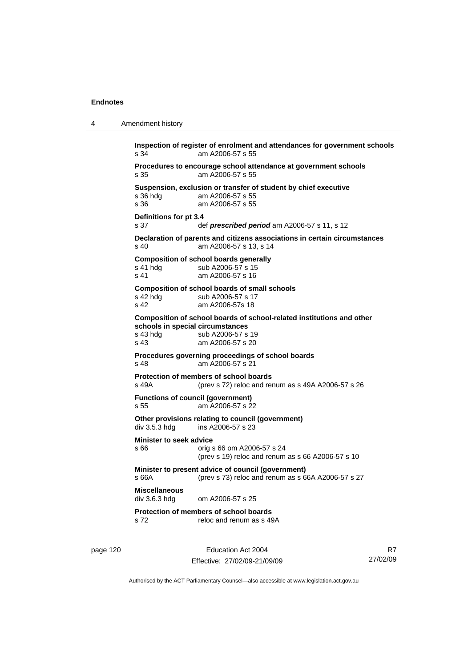```
4 Amendment history 
           Inspection of register of enrolment and attendances for government schools 
           s 34 am A2006-57 s 55 
            Procedures to encourage school attendance at government schools 
           s 35 am A2006-57 s 55 
            Suspension, exclusion or transfer of student by chief executive 
           s 36 hdg am A2006-57 s 55 
           s 36 am A2006-57 s 55 
            Definitions for pt 3.4 
           s 37 def prescribed period am A2006-57 s 11, s 12
            Declaration of parents and citizens associations in certain circumstances 
           s 40 am A2006-57 s 13, s 14 
           Composition of school boards generally 
           s 41 hdg sub A2006-57 s 15
           s 41 am A2006-57 s 16 
           Composition of school boards of small schools 
           s 42 hdg sub A2006-57 s 17<br>s 42 am A2006-57 s 18
                             am A2006-57s 18
            Composition of school boards of school-related institutions and other 
            schools in special circumstances 
            s 43 hdg sub A2006-57 s 19<br>s 43 s 43 s am A2006-57 s 20
                             am A2006-57 s 20
            Procedures governing proceedings of school boards 
           s 48 am A2006-57 s 21 
           Protection of members of school boards<br>s 49A (prev s 72) reloc and real
                             (s) (prev s 72) reloc and renum as s 49A A2006-57 s 26
            Functions of council (government) 
           s 55 am A2006-57 s 22 
            Other provisions relating to council (government) 
           div 3.5.3 hdg ins A2006-57 s 23 
            Minister to seek advice 
           s 66 orig s 66 om A2006-57 s 24 
                              (prev s 19) reloc and renum as s 66 A2006-57 s 10 
           Minister to present advice of council (government) 
            s 66A (prev s 73) reloc and renum as s 66A A2006-57 s 27 
           Miscellaneous 
                             om A2006-57 s 25.
            Protection of members of school boards 
           s 72 reloc and renum as s 49A
```
page 120 **Education Act 2004** Effective: 27/02/09-21/09/09

R7 27/02/09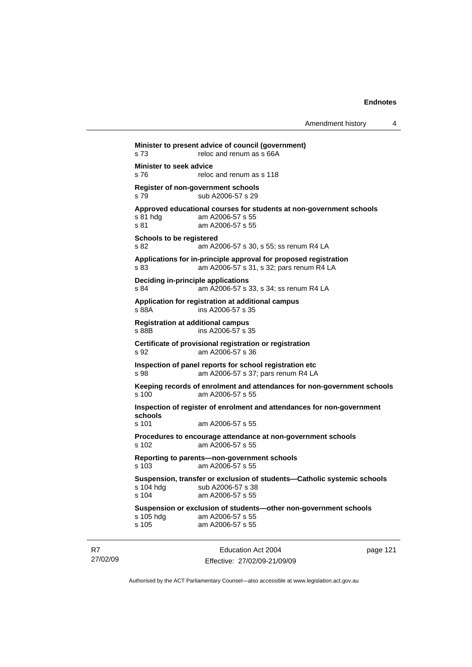```
Education Act 2004 
                                                              page 121 
Minister to present advice of council (government) 
s 73 reloc and renum as s 66A
Minister to seek advice 
s 76 reloc and renum as s 118 
Register of non-government schools 
s 79 sub A2006-57 s 29 
Approved educational courses for students at non-government schools 
s 81 hdg am A2006-57 s 55<br>s 81 am A2006-57 s 55
                 am A2006-57 s 55
Schools to be registered 
s 82 am A2006-57 s 30, s 55; ss renum R4 LA 
Applications for in-principle approval for proposed registration 
s 83 am A2006-57 s 31, s 32; pars renum R4 LA 
Deciding in-principle applications 
s 84 am A2006-57 s 33, s 34; ss renum R4 LA 
Application for registration at additional campus 
s 88A ins A2006-57 s 35 
Registration at additional campus 
s 88B ins A2006-57 s 35 
Certificate of provisional registration or registration 
s 92 am A2006-57 s 36 
Inspection of panel reports for school registration etc 
s 98 am A2006-57 s 37; pars renum R4 LA 
Keeping records of enrolment and attendances for non-government schools 
                 am A2006-57 s 55
Inspection of register of enrolment and attendances for non-government 
schools 
s 101 am A2006-57 s 55 
Procedures to encourage attendance at non-government schools 
s 102 am A2006-57 s 55 
Reporting to parents—non-government schools 
s 103 am A2006-57 s 55 
Suspension, transfer or exclusion of students—Catholic systemic schools 
                sub A2006-57 s 38
s 104 am A2006-57 s 55 
Suspension or exclusion of students—other non-government schools 
s 105 hdg am A2006-57 s 55<br>s 105 am A2006-57 s 55
                 am A2006-57 s 55
```
27/02/09

R7

Effective: 27/02/09-21/09/09 Authorised by the ACT Parliamentary Counsel—also accessible at www.legislation.act.gov.au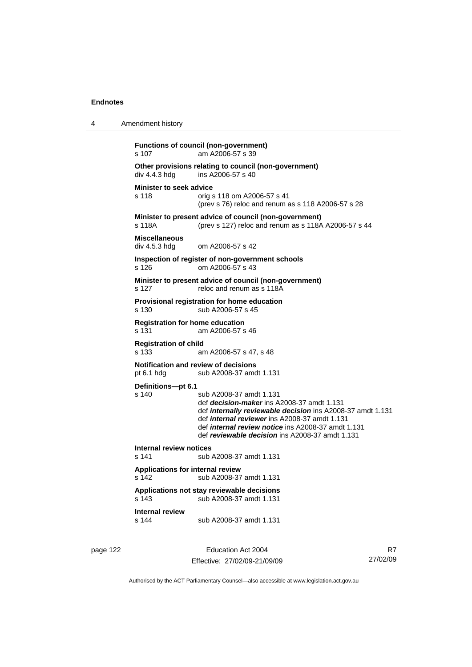```
4 Amendment history 
           Functions of council (non-government) 
           s 107 am A2006-57 s 39 
           Other provisions relating to council (non-government) 
           div 4.4.3 hdg ins A2006-57 s 40 
           Minister to seek advice 
           s 118 orig s 118 om A2006-57 s 41 
                              (prev s 76) reloc and renum as s 118 A2006-57 s 28 
           Minister to present advice of council (non-government) 
           s 118A (prev s 127) reloc and renum as s 118A A2006-57 s 44 
           Miscellaneous 
           div 4.5.3 hdg om A2006-57 s 42 
           Inspection of register of non-government schools 
           s 126 om A2006-57 s 43 
           Minister to present advice of council (non-government) 
           s 127 reloc and renum as s 118A
           Provisional registration for home education 
           s 130 sub A2006-57 s 45 
           Registration for home education 
           s 131 am A2006-57 s 46 
           Registration of child 
           s 133 am A2006-57 s 47, s 48 
           Notification and review of decisions 
           pt 6.1 hdg sub A2008-37 amdt 1.131 
           Definitions—pt 6.1 
                             sub A2008-37 amdt 1.131
                              def decision-maker ins A2008-37 amdt 1.131 
                              def internally reviewable decision ins A2008-37 amdt 1.131 
                              def internal reviewer ins A2008-37 amdt 1.131 
                              def internal review notice ins A2008-37 amdt 1.131 
                              def reviewable decision ins A2008-37 amdt 1.131 
           Internal review notices 
                            sub A2008-37 amdt 1.131
           Applications for internal review 
           s 142 sub A2008-37 amdt 1.131 
           Applications not stay reviewable decisions 
                             s 143 sub A2008-37 amdt 1.131 
           Internal review 
           s 144 sub A2008-37 amdt 1.131
```
page 122 Education Act 2004 Effective: 27/02/09-21/09/09

R7 27/02/09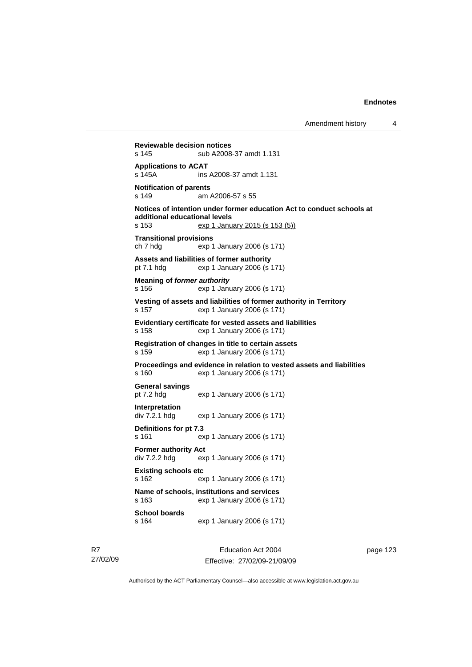**Reviewable decision notices**  s 145 sub A2008-37 amdt 1.131 **Applications to ACAT**  s 145A ins A2008-37 amdt 1.131 **Notification of parents**  s 149 am A2006-57 s 55 **Notices of intention under former education Act to conduct schools at additional educational levels**  s 153 exp 1 January 2015 (s 153 (5)) **Transitional provisions**  ch 7 hdg exp 1 January 2006 (s 171) **Assets and liabilities of former authority**  pt 7.1 hdg exp 1 January 2006 (s 171) **Meaning of** *former authority* s 156 exp 1 January 2006 (s 171) **Vesting of assets and liabilities of former authority in Territory**  s 157 exp 1 January 2006 (s 171) **Evidentiary certificate for vested assets and liabilities**  s 158 exp 1 January 2006 (s 171) **Registration of changes in title to certain assets**  s 159 exp 1 January 2006 (s 171) **Proceedings and evidence in relation to vested assets and liabilities**  s 160 exp 1 January 2006 (s 171) **General savings**  pt 7.2 hdg exp 1 January 2006 (s 171) **Interpretation**  div 7.2.1 hdg exp 1 January 2006 (s 171) **Definitions for pt 7.3**  s 161 exp 1 January 2006 (s 171) **Former authority Act**  div 7.2.2 hdg exp 1 January 2006 (s 171) **Existing schools etc**  s 162 exp 1 January 2006 (s 171) **Name of schools, institutions and services**  s 163 exp 1 January 2006 (s 171) **School boards**  s 164 exp 1 January 2006 (s 171)

R7 27/02/09

Education Act 2004 Effective: 27/02/09-21/09/09 page 123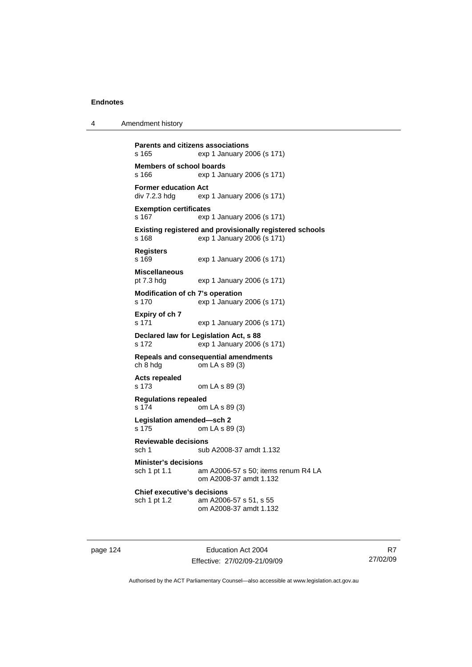4 Amendment history

```
Parents and citizens associations 
s 165 exp 1 January 2006 (s 171) 
Members of school boards<br>s 166 exp 1 Jar
                 exp 1 January 2006 (s 171)
Former education Act div 7.2.3 hdg exp
                exp 1 January 2006 (s 171)
Exemption certificates 
s 167 exp 1 January 2006 (s 171) 
Existing registered and provisionally registered schools 
s 168 exp 1 January 2006 (s 171) 
Registers 
s 169 exp 1 January 2006 (s 171) 
Miscellaneous 
pt 7.3 hdg exp 1 January 2006 (s 171) 
Modification of ch 7's operation 
s 170 exp 1 January 2006 (s 171) 
Expiry of ch 7 
s 171 exp 1 January 2006 (s 171) 
Declared law for Legislation Act, s 88 
s 172 exp 1 January 2006 (s 171) 
Repeals and consequential amendments 
ch 8 hdg om LA s 89 (3) 
Acts repealed 
s 173 om LA s 89 (3) 
Regulations repealed 
s 174 om LA s 89 (3) 
Legislation amended—sch 2 
s 175 om LA s 89 (3) 
Reviewable decisions 
sch 1 sub A2008-37 amdt 1.132 
Minister's decisions 
sch 1 pt 1.1 am A2006-57 s 50; items renum R4 LA 
                 om A2008-37 amdt 1.132 
Chief executive's decisions 
sch 1 pt 1.2 am A2006-57 s 51, s 55 
                  om A2008-37 amdt 1.132
```
page 124 Education Act 2004 Effective: 27/02/09-21/09/09

R7 27/02/09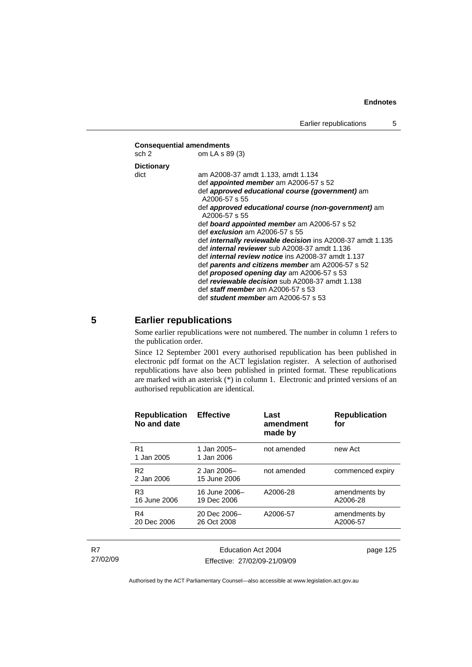#### **Consequential amendments**

| sch 2             | om LA s 89 (3)                                                       |
|-------------------|----------------------------------------------------------------------|
| <b>Dictionary</b> |                                                                      |
| dict              | am A2008-37 amdt 1.133, amdt 1.134                                   |
|                   | def <i>appointed member</i> am A2006-57 s 52                         |
|                   | def approved educational course (government) am<br>A2006-57 s 55     |
|                   | def approved educational course (non-government) am<br>A2006-57 s 55 |
|                   | def <b>board appointed member</b> am A2006-57 s 52                   |
|                   | def <i>exclusion</i> am A2006-57 s 55                                |
|                   | def internally reviewable decision ins A2008-37 amdt 1.135           |
|                   | def <i>internal reviewer</i> sub A2008-37 amdt 1.136                 |
|                   | def <i>internal review notice</i> ins A2008-37 amdt 1.137            |
|                   | def parents and citizens member am A2006-57 s 52                     |
|                   | def <i>proposed opening day</i> am A2006-57 s 53                     |
|                   | def reviewable decision sub A2008-37 amdt 1.138                      |
|                   | def staff member am A2006-57 s 53                                    |
|                   | def student member am A2006-57 s 53                                  |

# **5 Earlier republications**

Some earlier republications were not numbered. The number in column 1 refers to the publication order.

Since 12 September 2001 every authorised republication has been published in electronic pdf format on the ACT legislation register. A selection of authorised republications have also been published in printed format. These republications are marked with an asterisk  $(*)$  in column 1. Electronic and printed versions of an authorised republication are identical.

| <b>Republication</b><br>No and date | <b>Effective</b>             | Last<br>amendment<br>made by | <b>Republication</b><br>for |
|-------------------------------------|------------------------------|------------------------------|-----------------------------|
| R <sub>1</sub><br>1 Jan 2005        | 1 Jan 2005-<br>1 Jan 2006    | not amended                  | new Act                     |
| R <sub>2</sub><br>2 Jan 2006        | 2 Jan 2006-<br>15 June 2006  | not amended                  | commenced expiry            |
| R <sub>3</sub><br>16 June 2006      | 16 June 2006-<br>19 Dec 2006 | A2006-28                     | amendments by<br>A2006-28   |
| R4<br>20 Dec 2006                   | 20 Dec 2006-<br>26 Oct 2008  | A2006-57                     | amendments by<br>A2006-57   |
|                                     |                              |                              |                             |

R7 27/02/09

Education Act 2004 Effective: 27/02/09-21/09/09 page 125